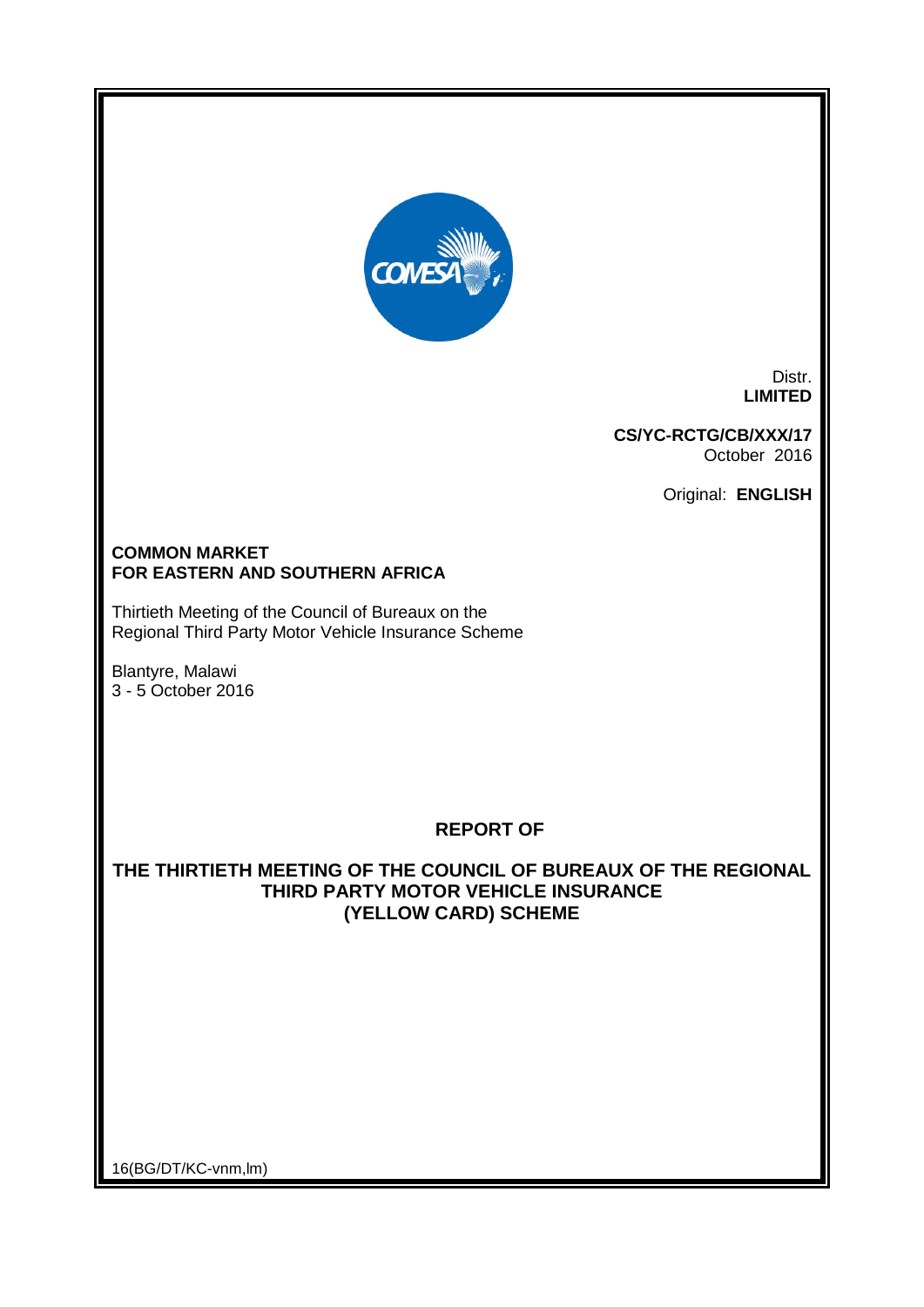

Distr. **LIMITED**

**CS/YC-RCTG/CB/XXX/17** October 2016

Original: **ENGLISH**

#### **COMMON MARKET FOR EASTERN AND SOUTHERN AFRICA**

Thirtieth Meeting of the Council of Bureaux on the Regional Third Party Motor Vehicle Insurance Scheme

Blantyre, Malawi 3 - 5 October 2016

# **REPORT OF**

# **THE THIRTIETH MEETING OF THE COUNCIL OF BUREAUX OF THE REGIONAL THIRD PARTY MOTOR VEHICLE INSURANCE (YELLOW CARD) SCHEME**

16(BG/DT/KC-vnm,lm)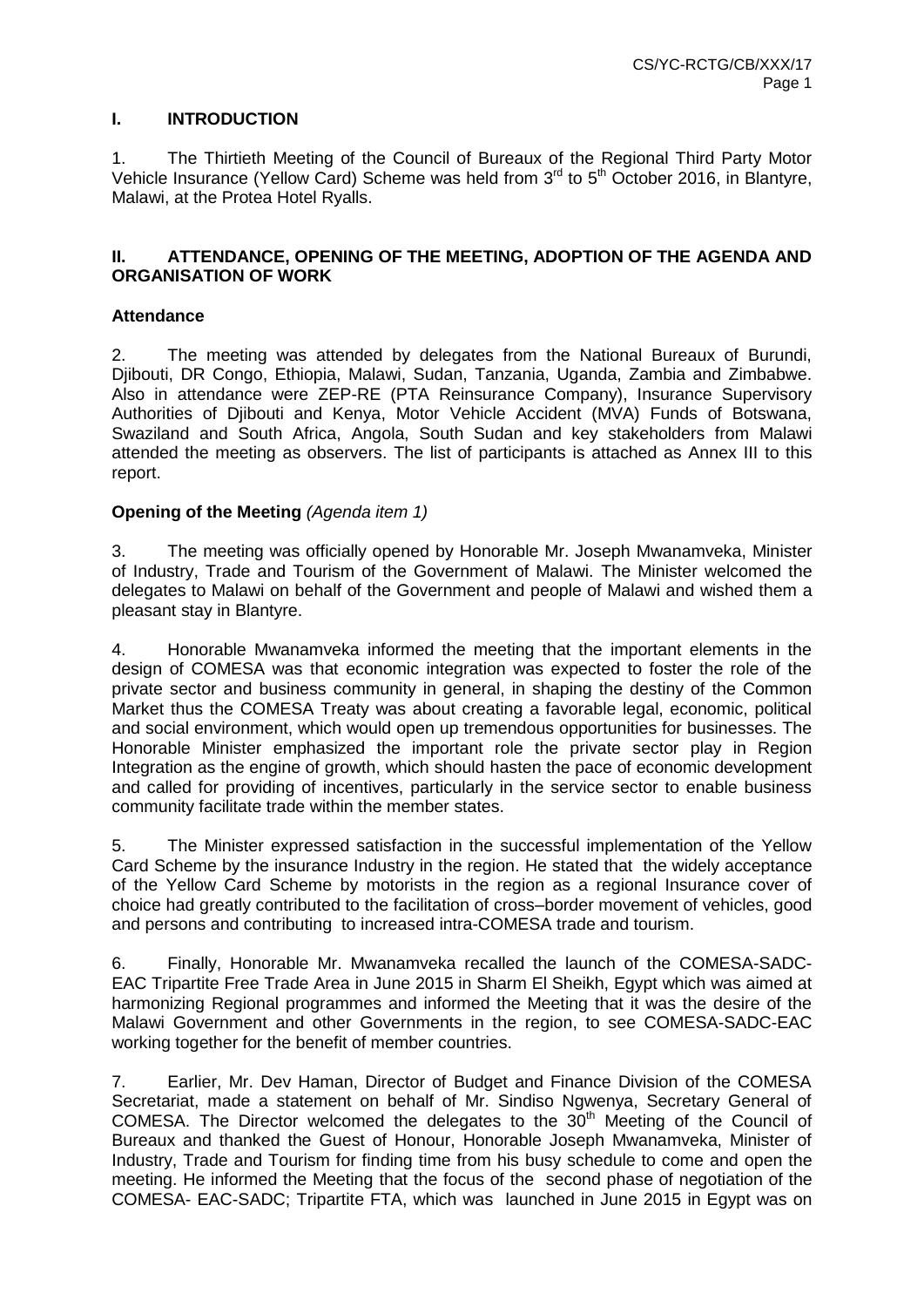# **I. INTRODUCTION**

1. The Thirtieth Meeting of the Council of Bureaux of the Regional Third Party Motor Vehicle Insurance (Yellow Card) Scheme was held from  $3<sup>rd</sup>$  to  $5<sup>th</sup>$  October 2016, in Blantyre, Malawi, at the Protea Hotel Ryalls.

#### **II. ATTENDANCE, OPENING OF THE MEETING, ADOPTION OF THE AGENDA AND ORGANISATION OF WORK**

#### **Attendance**

2. The meeting was attended by delegates from the National Bureaux of Burundi, Djibouti, DR Congo, Ethiopia, Malawi, Sudan, Tanzania, Uganda, Zambia and Zimbabwe. Also in attendance were ZEP-RE (PTA Reinsurance Company), Insurance Supervisory Authorities of Djibouti and Kenya, Motor Vehicle Accident (MVA) Funds of Botswana, Swaziland and South Africa, Angola, South Sudan and key stakeholders from Malawi attended the meeting as observers. The list of participants is attached as Annex III to this report.

#### **Opening of the Meeting** *(Agenda item 1)*

3. The meeting was officially opened by Honorable Mr. Joseph Mwanamveka, Minister of Industry, Trade and Tourism of the Government of Malawi. The Minister welcomed the delegates to Malawi on behalf of the Government and people of Malawi and wished them a pleasant stay in Blantyre.

4. Honorable Mwanamveka informed the meeting that the important elements in the design of COMESA was that economic integration was expected to foster the role of the private sector and business community in general, in shaping the destiny of the Common Market thus the COMESA Treaty was about creating a favorable legal, economic, political and social environment, which would open up tremendous opportunities for businesses. The Honorable Minister emphasized the important role the private sector play in Region Integration as the engine of growth, which should hasten the pace of economic development and called for providing of incentives, particularly in the service sector to enable business community facilitate trade within the member states.

5. The Minister expressed satisfaction in the successful implementation of the Yellow Card Scheme by the insurance Industry in the region. He stated that the widely acceptance of the Yellow Card Scheme by motorists in the region as a regional Insurance cover of choice had greatly contributed to the facilitation of cross–border movement of vehicles, good and persons and contributing to increased intra-COMESA trade and tourism.

6. Finally, Honorable Mr. Mwanamveka recalled the launch of the COMESA-SADC-EAC Tripartite Free Trade Area in June 2015 in Sharm El Sheikh, Egypt which was aimed at harmonizing Regional programmes and informed the Meeting that it was the desire of the Malawi Government and other Governments in the region, to see COMESA-SADC-EAC working together for the benefit of member countries.

7. Earlier, Mr. Dev Haman, Director of Budget and Finance Division of the COMESA Secretariat, made a statement on behalf of Mr. Sindiso Ngwenya, Secretary General of COMESA. The Director welcomed the delegates to the  $30<sup>th</sup>$  Meeting of the Council of Bureaux and thanked the Guest of Honour, Honorable Joseph Mwanamveka, Minister of Industry, Trade and Tourism for finding time from his busy schedule to come and open the meeting. He informed the Meeting that the focus of the second phase of negotiation of the COMESA- EAC-SADC; Tripartite FTA, which was launched in June 2015 in Egypt was on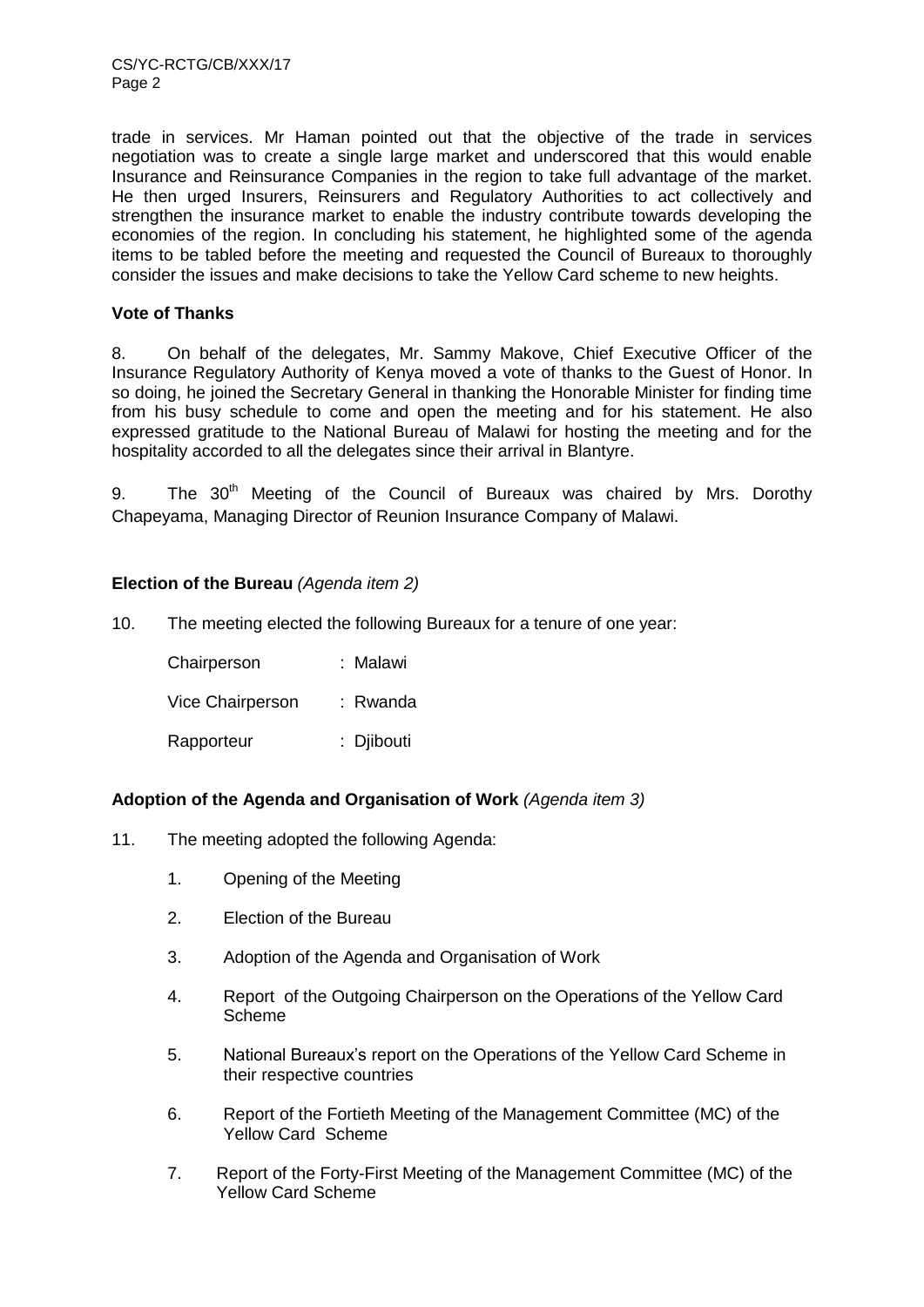CS/YC-RCTG/CB/XXX/17 Page 2

trade in services. Mr Haman pointed out that the objective of the trade in services negotiation was to create a single large market and underscored that this would enable Insurance and Reinsurance Companies in the region to take full advantage of the market. He then urged Insurers, Reinsurers and Regulatory Authorities to act collectively and strengthen the insurance market to enable the industry contribute towards developing the economies of the region. In concluding his statement, he highlighted some of the agenda items to be tabled before the meeting and requested the Council of Bureaux to thoroughly consider the issues and make decisions to take the Yellow Card scheme to new heights.

#### **Vote of Thanks**

8. On behalf of the delegates, Mr. Sammy Makove, Chief Executive Officer of the Insurance Regulatory Authority of Kenya moved a vote of thanks to the Guest of Honor. In so doing, he joined the Secretary General in thanking the Honorable Minister for finding time from his busy schedule to come and open the meeting and for his statement. He also expressed gratitude to the National Bureau of Malawi for hosting the meeting and for the hospitality accorded to all the delegates since their arrival in Blantyre.

9. The 30<sup>th</sup> Meeting of the Council of Bureaux was chaired by Mrs. Dorothy Chapeyama, Managing Director of Reunion Insurance Company of Malawi.

# **Election of the Bureau** *(Agenda item 2)*

10. The meeting elected the following Bureaux for a tenure of one year:

| Chairperson      | : Malawi   |
|------------------|------------|
| Vice Chairperson | : Rwanda   |
| Rapporteur       | : Djibouti |

# **Adoption of the Agenda and Organisation of Work** *(Agenda item 3)*

- 11. The meeting adopted the following Agenda:
	- 1. Opening of the Meeting
	- 2. Election of the Bureau
	- 3. Adoption of the Agenda and Organisation of Work
	- 4. Report of the Outgoing Chairperson on the Operations of the Yellow Card Scheme
	- 5. National Bureaux's report on the Operations of the Yellow Card Scheme in their respective countries
	- 6. Report of the Fortieth Meeting of the Management Committee (MC) of the Yellow Card Scheme
	- 7. Report of the Forty-First Meeting of the Management Committee (MC) of the Yellow Card Scheme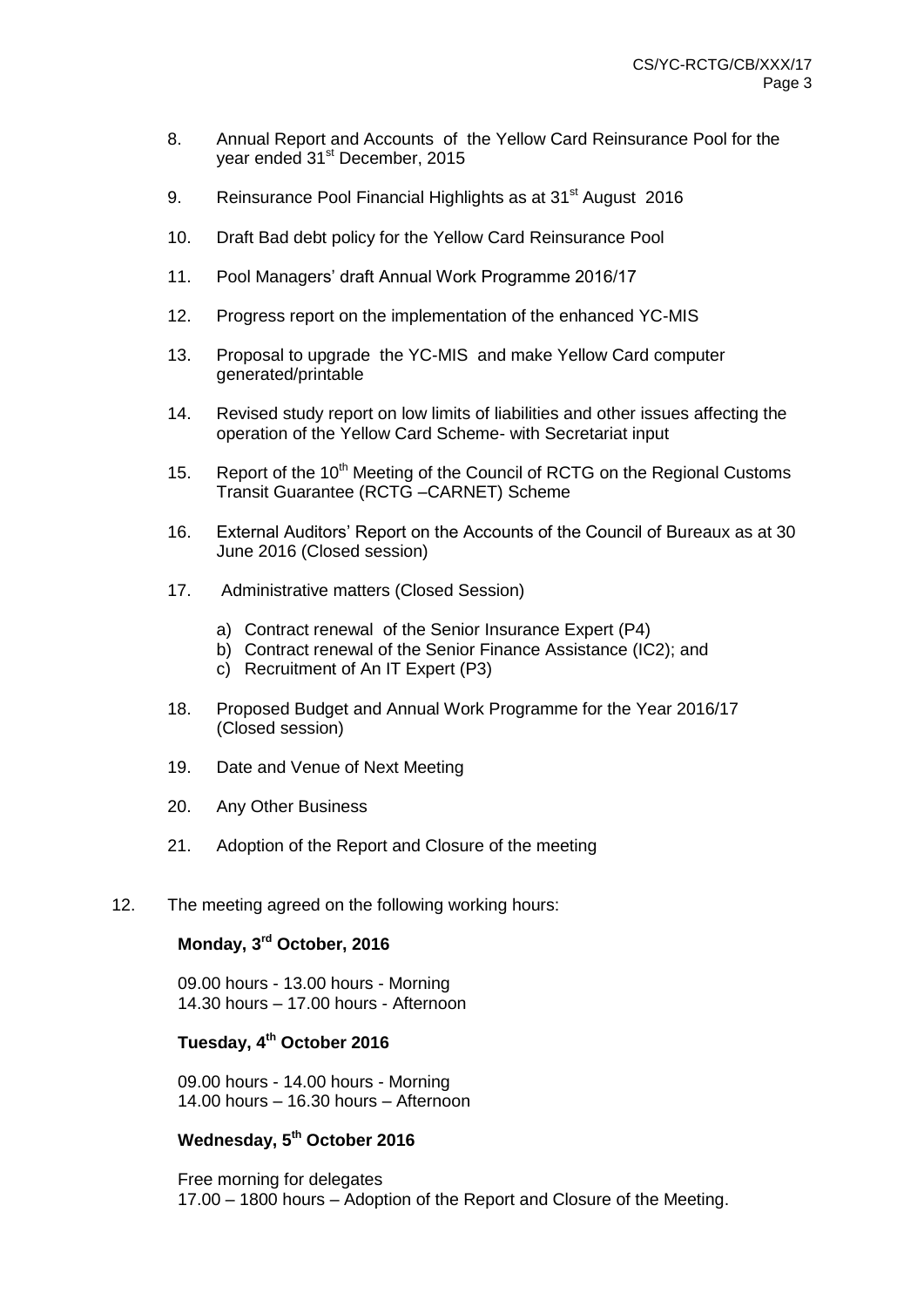- 8. Annual Report and Accounts of the Yellow Card Reinsurance Pool for the year ended 31<sup>st</sup> December, 2015
- 9. Reinsurance Pool Financial Highlights as at 31<sup>st</sup> August 2016
- 10. Draft Bad debt policy for the Yellow Card Reinsurance Pool
- 11. Pool Managers' draft Annual Work Programme 2016/17
- 12. Progress report on the implementation of the enhanced YC-MIS
- 13. Proposal to upgrade the YC-MIS and make Yellow Card computer generated/printable
- 14. Revised study report on low limits of liabilities and other issues affecting the operation of the Yellow Card Scheme- with Secretariat input
- 15. Report of the 10<sup>th</sup> Meeting of the Council of RCTG on the Regional Customs Transit Guarantee (RCTG –CARNET) Scheme
- 16. External Auditors' Report on the Accounts of the Council of Bureaux as at 30 June 2016 (Closed session)
- 17. Administrative matters (Closed Session)
	- a) Contract renewal of the Senior Insurance Expert (P4)
	- b) Contract renewal of the Senior Finance Assistance (IC2); and
	- c) Recruitment of An IT Expert (P3)
- 18. Proposed Budget and Annual Work Programme for the Year 2016/17 (Closed session)
- 19. Date and Venue of Next Meeting
- 20. Any Other Business
- 21. Adoption of the Report and Closure of the meeting
- 12. The meeting agreed on the following working hours:

#### **Monday, 3 rd October, 2016**

09.00 hours - 13.00 hours - Morning 14.30 hours – 17.00 hours - Afternoon

# **Tuesday, 4 th October 2016**

09.00 hours - 14.00 hours - Morning 14.00 hours – 16.30 hours – Afternoon

# **Wednesday, 5th October 2016**

Free morning for delegates 17.00 – 1800 hours – Adoption of the Report and Closure of the Meeting.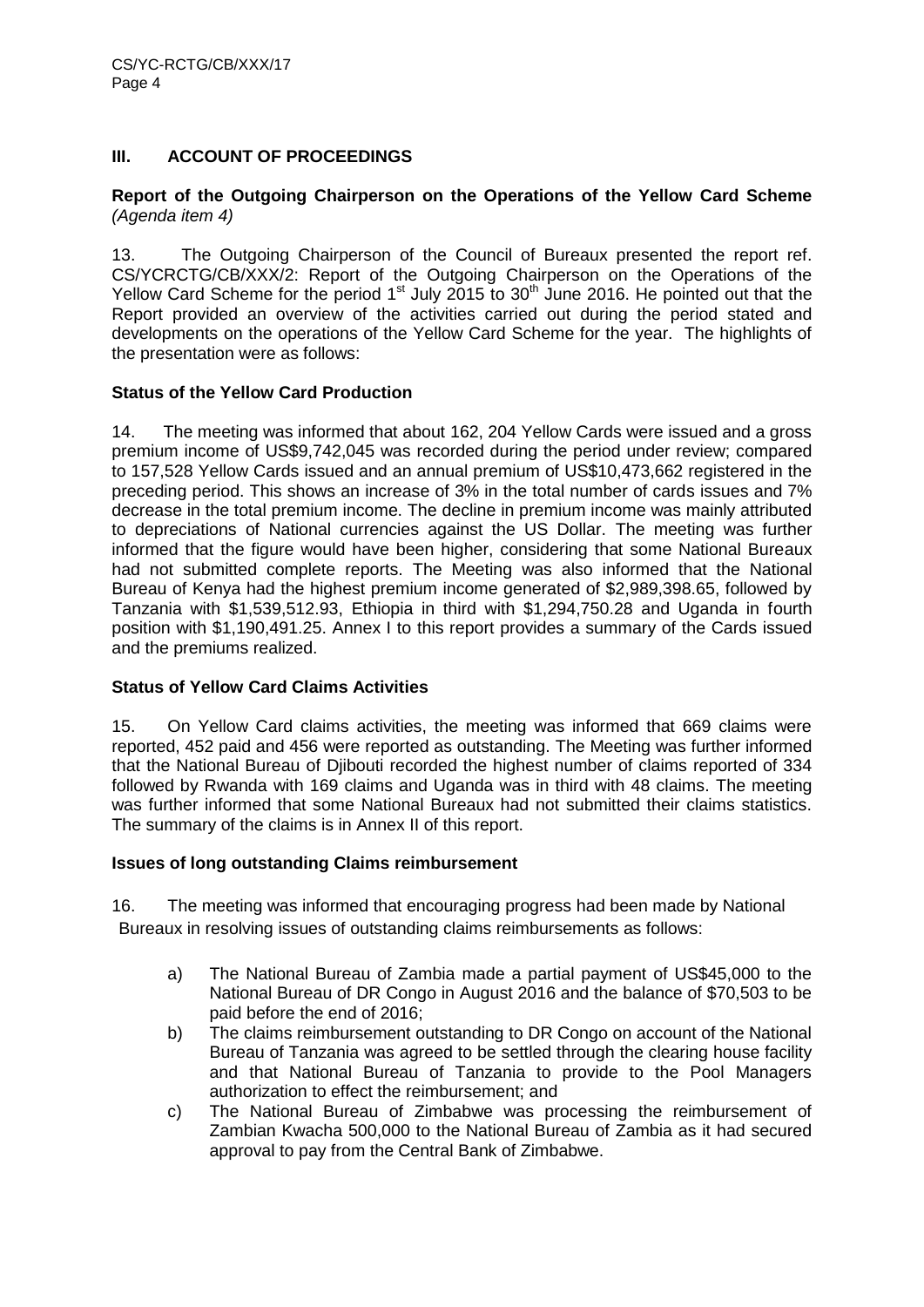# **III. ACCOUNT OF PROCEEDINGS**

# **Report of the Outgoing Chairperson on the Operations of the Yellow Card Scheme**  *(Agenda item 4)*

13. The Outgoing Chairperson of the Council of Bureaux presented the report ref. CS/YCRCTG/CB/XXX/2: Report of the Outgoing Chairperson on the Operations of the Yellow Card Scheme for the period  $1<sup>st</sup>$  July 2015 to 30<sup>th</sup> June 2016. He pointed out that the Report provided an overview of the activities carried out during the period stated and developments on the operations of the Yellow Card Scheme for the year. The highlights of the presentation were as follows:

# **Status of the Yellow Card Production**

14. The meeting was informed that about 162, 204 Yellow Cards were issued and a gross premium income of US\$9,742,045 was recorded during the period under review; compared to 157,528 Yellow Cards issued and an annual premium of US\$10,473,662 registered in the preceding period. This shows an increase of 3% in the total number of cards issues and 7% decrease in the total premium income. The decline in premium income was mainly attributed to depreciations of National currencies against the US Dollar. The meeting was further informed that the figure would have been higher, considering that some National Bureaux had not submitted complete reports. The Meeting was also informed that the National Bureau of Kenya had the highest premium income generated of \$2,989,398.65, followed by Tanzania with \$1,539,512.93, Ethiopia in third with \$1,294,750.28 and Uganda in fourth position with \$1,190,491.25. Annex I to this report provides a summary of the Cards issued and the premiums realized.

# **Status of Yellow Card Claims Activities**

15. On Yellow Card claims activities, the meeting was informed that 669 claims were reported, 452 paid and 456 were reported as outstanding. The Meeting was further informed that the National Bureau of Djibouti recorded the highest number of claims reported of 334 followed by Rwanda with 169 claims and Uganda was in third with 48 claims. The meeting was further informed that some National Bureaux had not submitted their claims statistics. The summary of the claims is in Annex II of this report.

# **Issues of long outstanding Claims reimbursement**

16. The meeting was informed that encouraging progress had been made by National Bureaux in resolving issues of outstanding claims reimbursements as follows:

- a) The National Bureau of Zambia made a partial payment of US\$45,000 to the National Bureau of DR Congo in August 2016 and the balance of \$70,503 to be paid before the end of 2016;
- b) The claims reimbursement outstanding to DR Congo on account of the National Bureau of Tanzania was agreed to be settled through the clearing house facility and that National Bureau of Tanzania to provide to the Pool Managers authorization to effect the reimbursement; and
- c) The National Bureau of Zimbabwe was processing the reimbursement of Zambian Kwacha 500,000 to the National Bureau of Zambia as it had secured approval to pay from the Central Bank of Zimbabwe.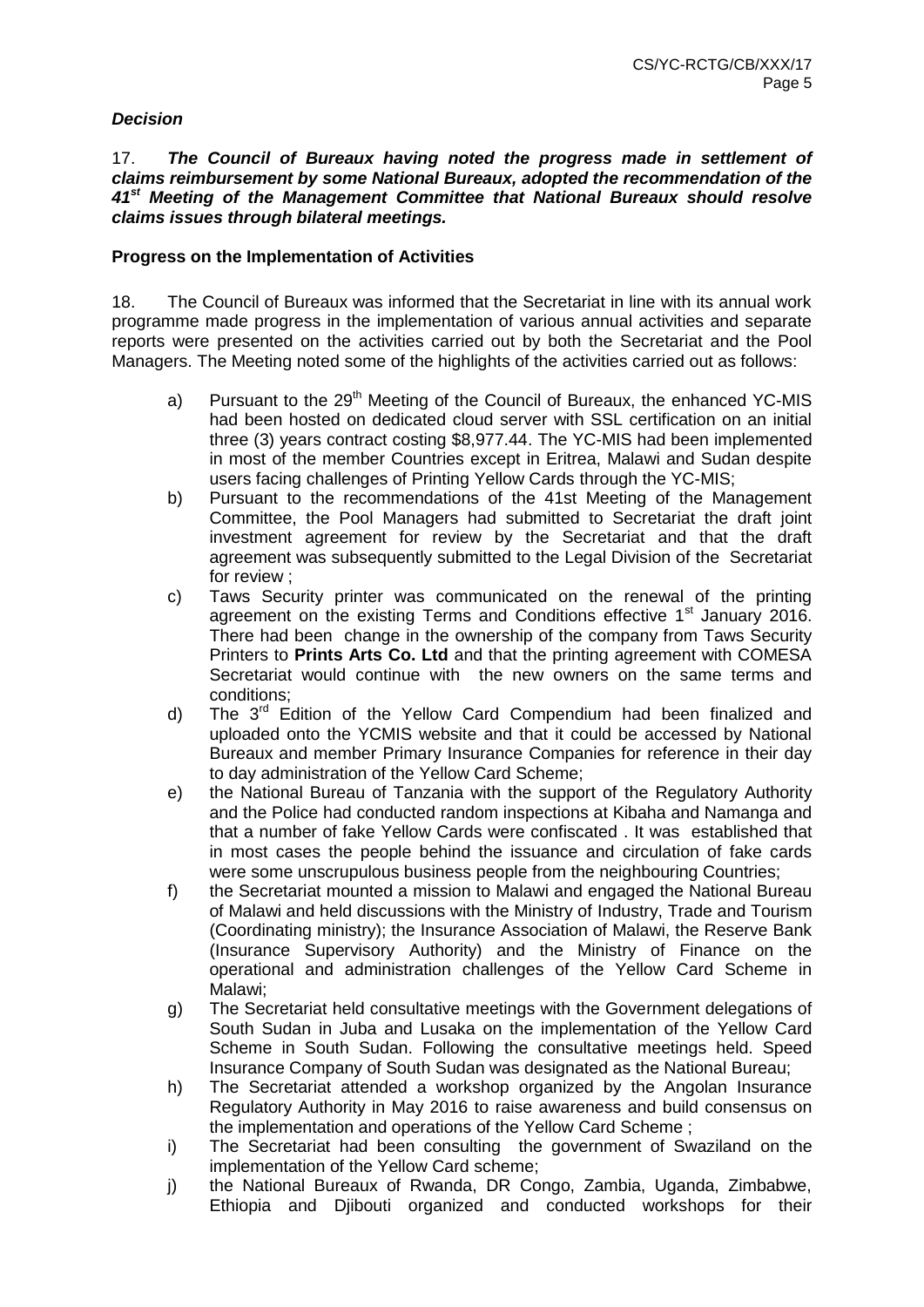# *Decision*

17. *The Council of Bureaux having noted the progress made in settlement of claims reimbursement by some National Bureaux, adopted the recommendation of the 41st Meeting of the Management Committee that National Bureaux should resolve claims issues through bilateral meetings.*

# **Progress on the Implementation of Activities**

18. The Council of Bureaux was informed that the Secretariat in line with its annual work programme made progress in the implementation of various annual activities and separate reports were presented on the activities carried out by both the Secretariat and the Pool Managers. The Meeting noted some of the highlights of the activities carried out as follows:

- a) Pursuant to the  $29<sup>th</sup>$  Meeting of the Council of Bureaux, the enhanced YC-MIS had been hosted on dedicated cloud server with SSL certification on an initial three (3) years contract costing \$8,977.44. The YC-MIS had been implemented in most of the member Countries except in Eritrea, Malawi and Sudan despite users facing challenges of Printing Yellow Cards through the YC-MIS;
- b) Pursuant to the recommendations of the 41st Meeting of the Management Committee, the Pool Managers had submitted to Secretariat the draft joint investment agreement for review by the Secretariat and that the draft agreement was subsequently submitted to the Legal Division of the Secretariat for review ;
- c) Taws Security printer was communicated on the renewal of the printing agreement on the existing Terms and Conditions effective 1<sup>st</sup> January 2016. There had been change in the ownership of the company from Taws Security Printers to **Prints Arts Co. Ltd** and that the printing agreement with COMESA Secretariat would continue with the new owners on the same terms and conditions;
- d) The 3<sup>rd</sup> Edition of the Yellow Card Compendium had been finalized and uploaded onto the YCMIS website and that it could be accessed by National Bureaux and member Primary Insurance Companies for reference in their day to day administration of the Yellow Card Scheme;
- e) the National Bureau of Tanzania with the support of the Regulatory Authority and the Police had conducted random inspections at Kibaha and Namanga and that a number of fake Yellow Cards were confiscated . It was established that in most cases the people behind the issuance and circulation of fake cards were some unscrupulous business people from the neighbouring Countries;
- f) the Secretariat mounted a mission to Malawi and engaged the National Bureau of Malawi and held discussions with the Ministry of Industry, Trade and Tourism (Coordinating ministry); the Insurance Association of Malawi, the Reserve Bank (Insurance Supervisory Authority) and the Ministry of Finance on the operational and administration challenges of the Yellow Card Scheme in Malawi;
- g) The Secretariat held consultative meetings with the Government delegations of South Sudan in Juba and Lusaka on the implementation of the Yellow Card Scheme in South Sudan. Following the consultative meetings held. Speed Insurance Company of South Sudan was designated as the National Bureau;
- h) The Secretariat attended a workshop organized by the Angolan Insurance Regulatory Authority in May 2016 to raise awareness and build consensus on the implementation and operations of the Yellow Card Scheme ;
- i) The Secretariat had been consulting the government of Swaziland on the implementation of the Yellow Card scheme;
- j) the National Bureaux of Rwanda, DR Congo, Zambia, Uganda, Zimbabwe, Ethiopia and Djibouti organized and conducted workshops for their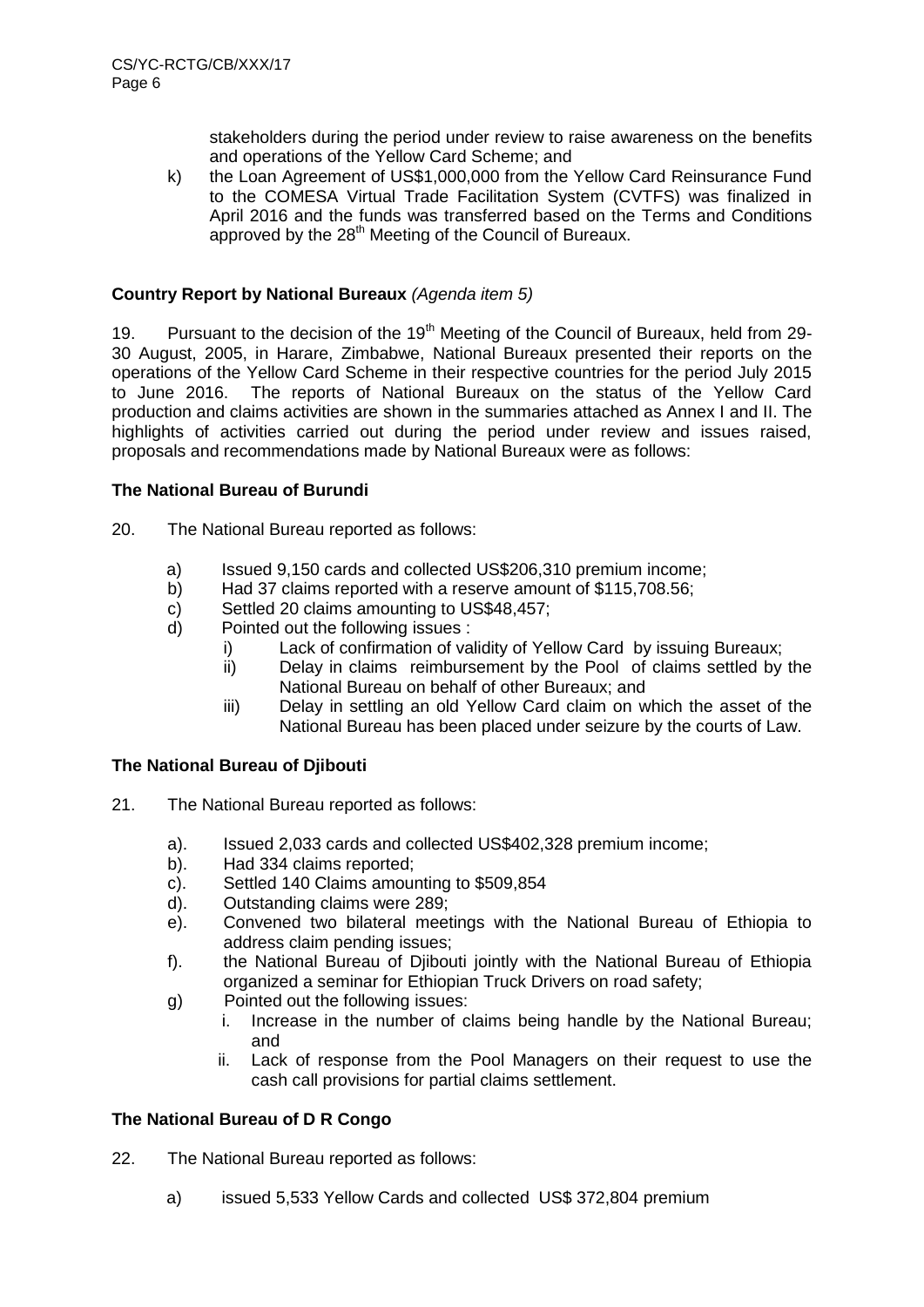stakeholders during the period under review to raise awareness on the benefits and operations of the Yellow Card Scheme; and

k) the Loan Agreement of US\$1,000,000 from the Yellow Card Reinsurance Fund to the COMESA Virtual Trade Facilitation System (CVTFS) was finalized in April 2016 and the funds was transferred based on the Terms and Conditions approved by the  $28<sup>th</sup>$  Meeting of the Council of Bureaux.

# **Country Report by National Bureaux** *(Agenda item 5)*

19. Pursuant to the decision of the  $19<sup>th</sup>$  Meeting of the Council of Bureaux, held from 29-30 August, 2005, in Harare, Zimbabwe, National Bureaux presented their reports on the operations of the Yellow Card Scheme in their respective countries for the period July 2015 to June 2016. The reports of National Bureaux on the status of the Yellow Card production and claims activities are shown in the summaries attached as Annex I and II. The highlights of activities carried out during the period under review and issues raised, proposals and recommendations made by National Bureaux were as follows:

#### **The National Bureau of Burundi**

20. The National Bureau reported as follows:

- a) Issued 9,150 cards and collected US\$206,310 premium income;
- b) Had 37 claims reported with a reserve amount of \$115,708.56;
- c) Settled 20 claims amounting to US\$48,457;
- d) Pointed out the following issues :
	- i) Lack of confirmation of validity of Yellow Card by issuing Bureaux;
	- ii) Delay in claims reimbursement by the Pool of claims settled by the National Bureau on behalf of other Bureaux; and
	- iii) Delay in settling an old Yellow Card claim on which the asset of the National Bureau has been placed under seizure by the courts of Law.

# **The National Bureau of Djibouti**

- 21. The National Bureau reported as follows:
	- a). Issued 2,033 cards and collected US\$402,328 premium income;
	- b). Had 334 claims reported;
	- c). Settled 140 Claims amounting to \$509,854
	- d). Outstanding claims were 289;
	- e). Convened two bilateral meetings with the National Bureau of Ethiopia to address claim pending issues;
	- f). the National Bureau of Djibouti jointly with the National Bureau of Ethiopia organized a seminar for Ethiopian Truck Drivers on road safety;
	- g) Pointed out the following issues:
		- i. Increase in the number of claims being handle by the National Bureau; and
		- ii. Lack of response from the Pool Managers on their request to use the cash call provisions for partial claims settlement.

#### **The National Bureau of D R Congo**

22. The National Bureau reported as follows:

a) issued 5,533 Yellow Cards and collected US\$ 372,804 premium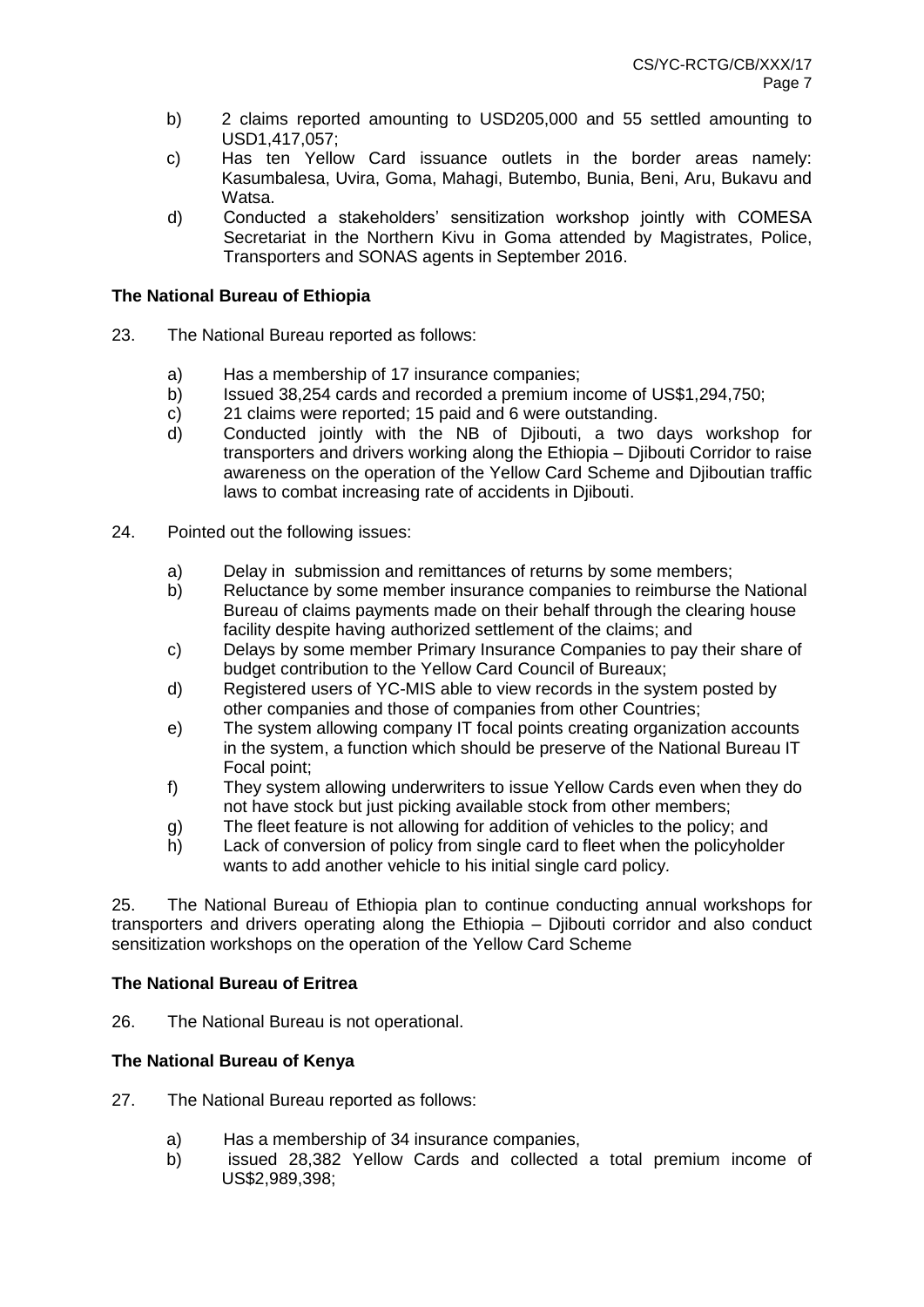- b) 2 claims reported amounting to USD205,000 and 55 settled amounting to USD1,417,057;
- c) Has ten Yellow Card issuance outlets in the border areas namely: Kasumbalesa, Uvira, Goma, Mahagi, Butembo, Bunia, Beni, Aru, Bukavu and Watsa.
- d) Conducted a stakeholders' sensitization workshop jointly with COMESA Secretariat in the Northern Kivu in Goma attended by Magistrates, Police, Transporters and SONAS agents in September 2016.

# **The National Bureau of Ethiopia**

- 23. The National Bureau reported as follows:
	- a) Has a membership of 17 insurance companies;
	- b) Issued 38,254 cards and recorded a premium income of US\$1,294,750;
	- c) 21 claims were reported; 15 paid and 6 were outstanding.
	- d) Conducted jointly with the NB of Djibouti, a two days workshop for transporters and drivers working along the Ethiopia – Djibouti Corridor to raise awareness on the operation of the Yellow Card Scheme and Djiboutian traffic laws to combat increasing rate of accidents in Djibouti.
- 24. Pointed out the following issues:
	- a) Delay in submission and remittances of returns by some members;
	- b) Reluctance by some member insurance companies to reimburse the National Bureau of claims payments made on their behalf through the clearing house facility despite having authorized settlement of the claims; and
	- c) Delays by some member Primary Insurance Companies to pay their share of budget contribution to the Yellow Card Council of Bureaux;
	- d) Registered users of YC-MIS able to view records in the system posted by other companies and those of companies from other Countries;
	- e) The system allowing company IT focal points creating organization accounts in the system, a function which should be preserve of the National Bureau IT Focal point;
	- f) They system allowing underwriters to issue Yellow Cards even when they do not have stock but just picking available stock from other members;
	- g) The fleet feature is not allowing for addition of vehicles to the policy; and
	- h) Lack of conversion of policy from single card to fleet when the policyholder wants to add another vehicle to his initial single card policy*.*

25. The National Bureau of Ethiopia plan to continue conducting annual workshops for transporters and drivers operating along the Ethiopia – Djibouti corridor and also conduct sensitization workshops on the operation of the Yellow Card Scheme

# **The National Bureau of Eritrea**

26. The National Bureau is not operational.

# **The National Bureau of Kenya**

- 27. The National Bureau reported as follows:
	- a) Has a membership of 34 insurance companies,
	- b) issued 28,382 Yellow Cards and collected a total premium income of US\$2,989,398;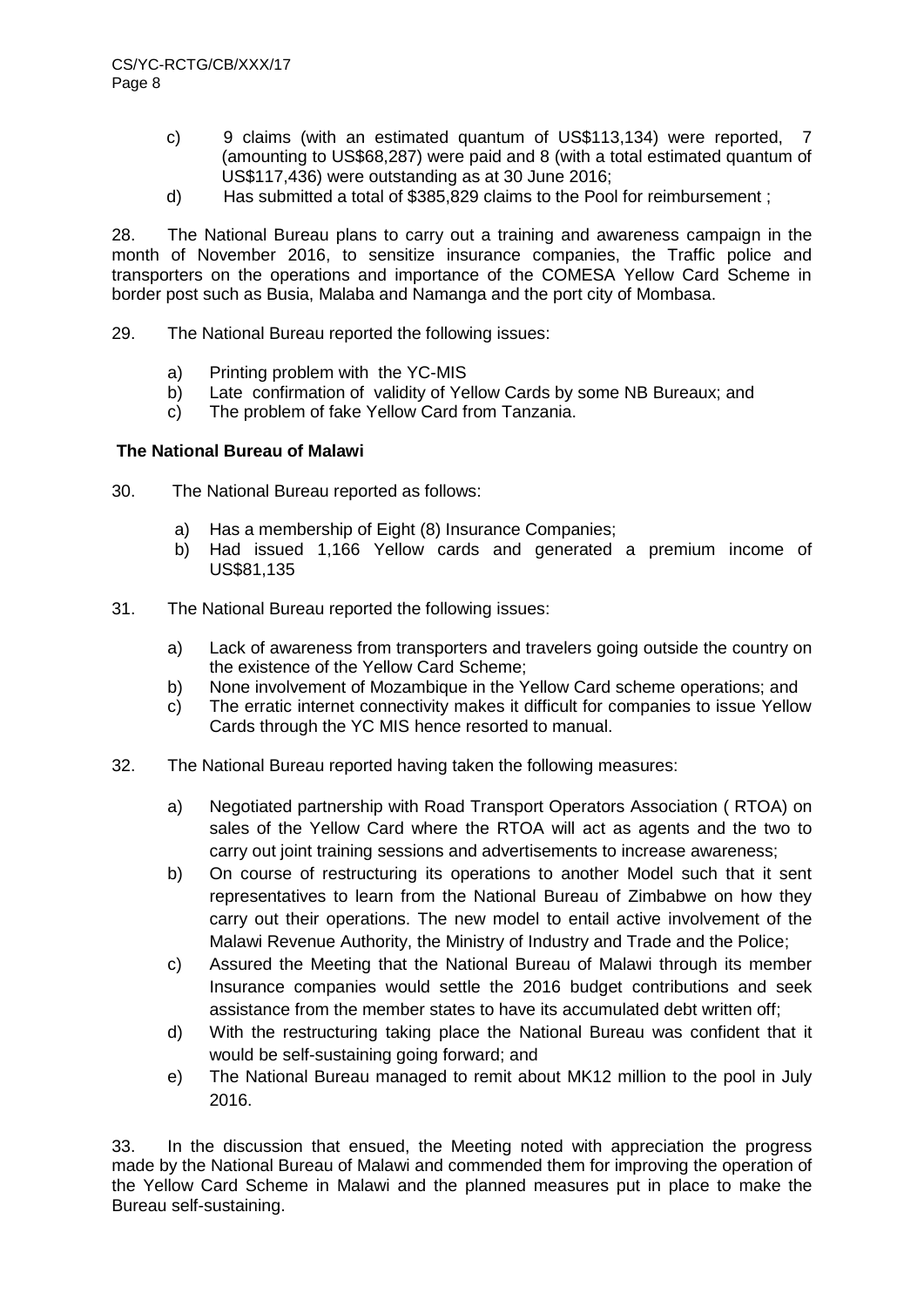- c) 9 claims (with an estimated quantum of US\$113,134) were reported, 7 (amounting to US\$68,287) were paid and 8 (with a total estimated quantum of US\$117,436) were outstanding as at 30 June 2016;
- d) Has submitted a total of \$385,829 claims to the Pool for reimbursement ;

28. The National Bureau plans to carry out a training and awareness campaign in the month of November 2016, to sensitize insurance companies, the Traffic police and transporters on the operations and importance of the COMESA Yellow Card Scheme in border post such as Busia, Malaba and Namanga and the port city of Mombasa.

- 29. The National Bureau reported the following issues:
	- a) Printing problem with the YC-MIS
	- b) Late confirmation of validity of Yellow Cards by some NB Bureaux; and
	- c) The problem of fake Yellow Card from Tanzania.

#### **The National Bureau of Malawi**

- 30. The National Bureau reported as follows:
	- a) Has a membership of Eight (8) Insurance Companies;
	- b) Had issued 1,166 Yellow cards and generated a premium income of US\$81,135
- 31. The National Bureau reported the following issues:
	- a) Lack of awareness from transporters and travelers going outside the country on the existence of the Yellow Card Scheme;
	- b) None involvement of Mozambique in the Yellow Card scheme operations; and
	- c) The erratic internet connectivity makes it difficult for companies to issue Yellow Cards through the YC MIS hence resorted to manual.
- 32. The National Bureau reported having taken the following measures:
	- a) Negotiated partnership with Road Transport Operators Association ( RTOA) on sales of the Yellow Card where the RTOA will act as agents and the two to carry out joint training sessions and advertisements to increase awareness;
	- b) On course of restructuring its operations to another Model such that it sent representatives to learn from the National Bureau of Zimbabwe on how they carry out their operations. The new model to entail active involvement of the Malawi Revenue Authority, the Ministry of Industry and Trade and the Police;
	- c) Assured the Meeting that the National Bureau of Malawi through its member Insurance companies would settle the 2016 budget contributions and seek assistance from the member states to have its accumulated debt written off;
	- d) With the restructuring taking place the National Bureau was confident that it would be self-sustaining going forward; and
	- e) The National Bureau managed to remit about MK12 million to the pool in July 2016.

33. In the discussion that ensued, the Meeting noted with appreciation the progress made by the National Bureau of Malawi and commended them for improving the operation of the Yellow Card Scheme in Malawi and the planned measures put in place to make the Bureau self-sustaining.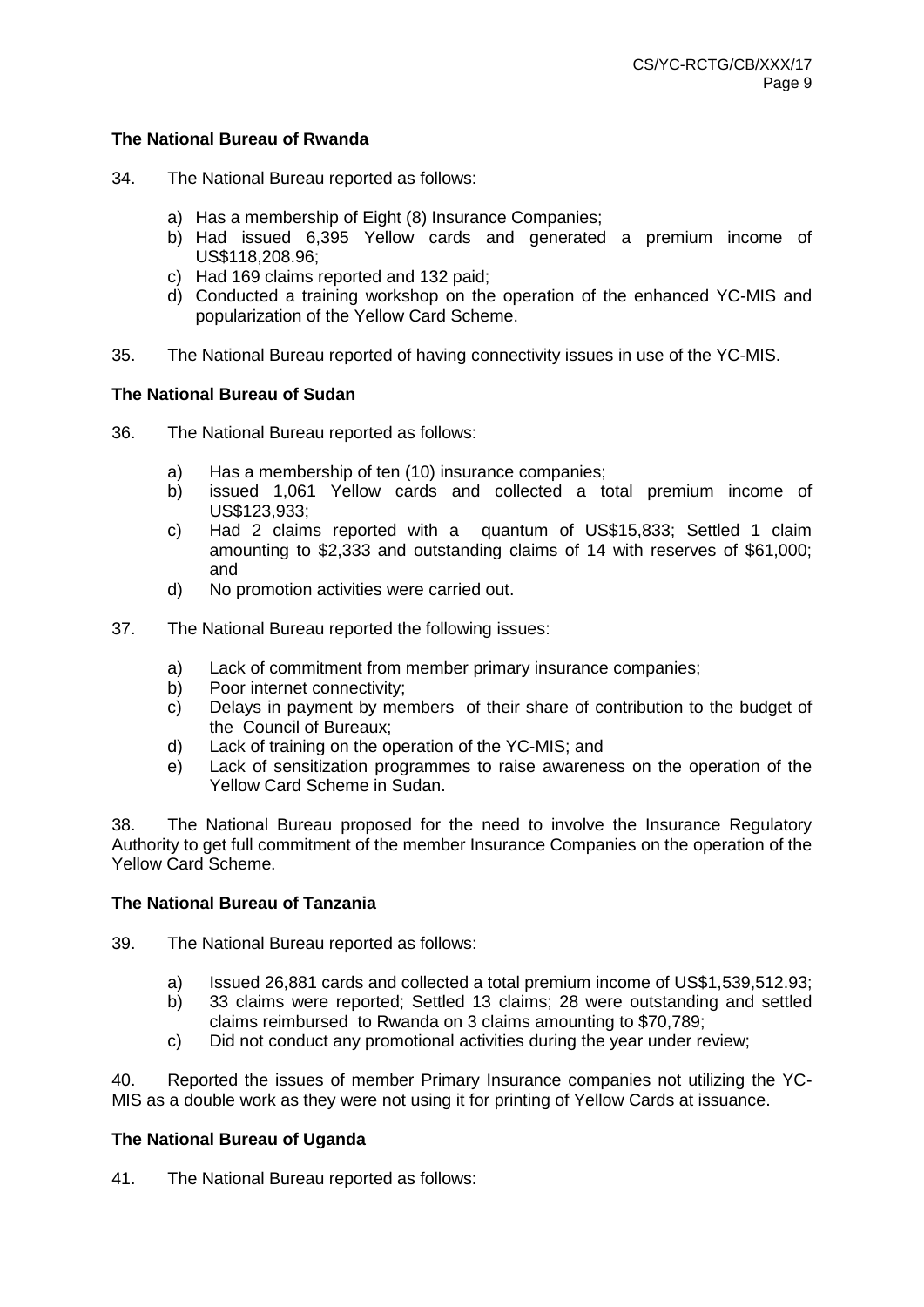#### **The National Bureau of Rwanda**

- 34. The National Bureau reported as follows:
	- a) Has a membership of Eight (8) Insurance Companies;
	- b) Had issued 6,395 Yellow cards and generated a premium income of US\$118,208.96;
	- c) Had 169 claims reported and 132 paid;
	- d) Conducted a training workshop on the operation of the enhanced YC-MIS and popularization of the Yellow Card Scheme.
- 35. The National Bureau reported of having connectivity issues in use of the YC-MIS.

#### **The National Bureau of Sudan**

- 36. The National Bureau reported as follows:
	- a) Has a membership of ten (10) insurance companies;
	- b) issued 1,061 Yellow cards and collected a total premium income of US\$123,933;
	- c) Had 2 claims reported with a quantum of US\$15,833; Settled 1 claim amounting to \$2,333 and outstanding claims of 14 with reserves of \$61,000; and
	- d) No promotion activities were carried out.
- 37. The National Bureau reported the following issues:
	- a) Lack of commitment from member primary insurance companies;
	- b) Poor internet connectivity;
	- c) Delays in payment by members of their share of contribution to the budget of the Council of Bureaux;
	- d) Lack of training on the operation of the YC-MIS; and
	- e) Lack of sensitization programmes to raise awareness on the operation of the Yellow Card Scheme in Sudan.

38. The National Bureau proposed for the need to involve the Insurance Regulatory Authority to get full commitment of the member Insurance Companies on the operation of the Yellow Card Scheme.

# **The National Bureau of Tanzania**

- 39. The National Bureau reported as follows:
	- a) Issued 26,881 cards and collected a total premium income of US\$1,539,512.93;
	- b) 33 claims were reported; Settled 13 claims; 28 were outstanding and settled claims reimbursed to Rwanda on 3 claims amounting to \$70,789;
	- c) Did not conduct any promotional activities during the year under review;

40. Reported the issues of member Primary Insurance companies not utilizing the YC-MIS as a double work as they were not using it for printing of Yellow Cards at issuance.

# **The National Bureau of Uganda**

41. The National Bureau reported as follows: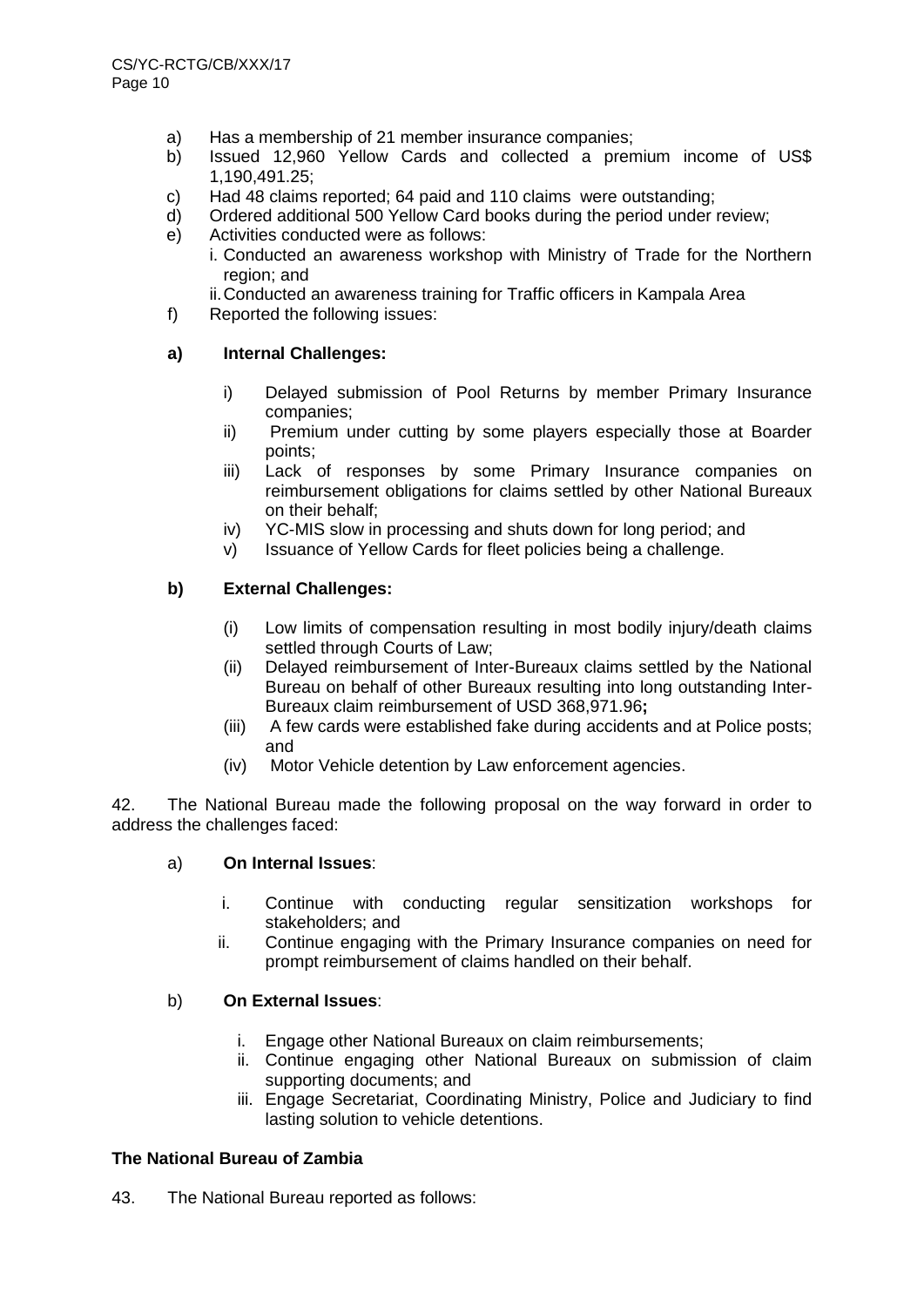- a) Has a membership of 21 member insurance companies;
- b) Issued 12,960 Yellow Cards and collected a premium income of US\$ 1,190,491.25;
- c) Had 48 claims reported; 64 paid and 110 claims were outstanding;
- d) Ordered additional 500 Yellow Card books during the period under review;
- e) Activities conducted were as follows:
	- i. Conducted an awareness workshop with Ministry of Trade for the Northern region; and
	- ii.Conducted an awareness training for Traffic officers in Kampala Area
- f) Reported the following issues:

#### **a) Internal Challenges:**

- i) Delayed submission of Pool Returns by member Primary Insurance companies;
- ii) Premium under cutting by some players especially those at Boarder points;
- iii) Lack of responses by some Primary Insurance companies on reimbursement obligations for claims settled by other National Bureaux on their behalf;
- iv) YC-MIS slow in processing and shuts down for long period; and
- v) Issuance of Yellow Cards for fleet policies being a challenge.

# **b) External Challenges:**

- (i) Low limits of compensation resulting in most bodily injury/death claims settled through Courts of Law;
- (ii) Delayed reimbursement of Inter-Bureaux claims settled by the National Bureau on behalf of other Bureaux resulting into long outstanding Inter-Bureaux claim reimbursement of USD 368,971.96**;**
- (iii) A few cards were established fake during accidents and at Police posts; and
- (iv) Motor Vehicle detention by Law enforcement agencies.

42. The National Bureau made the following proposal on the way forward in order to address the challenges faced:

#### a) **On Internal Issues**:

- i. Continue with conducting regular sensitization workshops for stakeholders; and
- ii. Continue engaging with the Primary Insurance companies on need for prompt reimbursement of claims handled on their behalf.

#### b) **On External Issues**:

- i. Engage other National Bureaux on claim reimbursements;
- ii. Continue engaging other National Bureaux on submission of claim supporting documents; and
- iii. Engage Secretariat, Coordinating Ministry, Police and Judiciary to find lasting solution to vehicle detentions.

# **The National Bureau of Zambia**

43. The National Bureau reported as follows: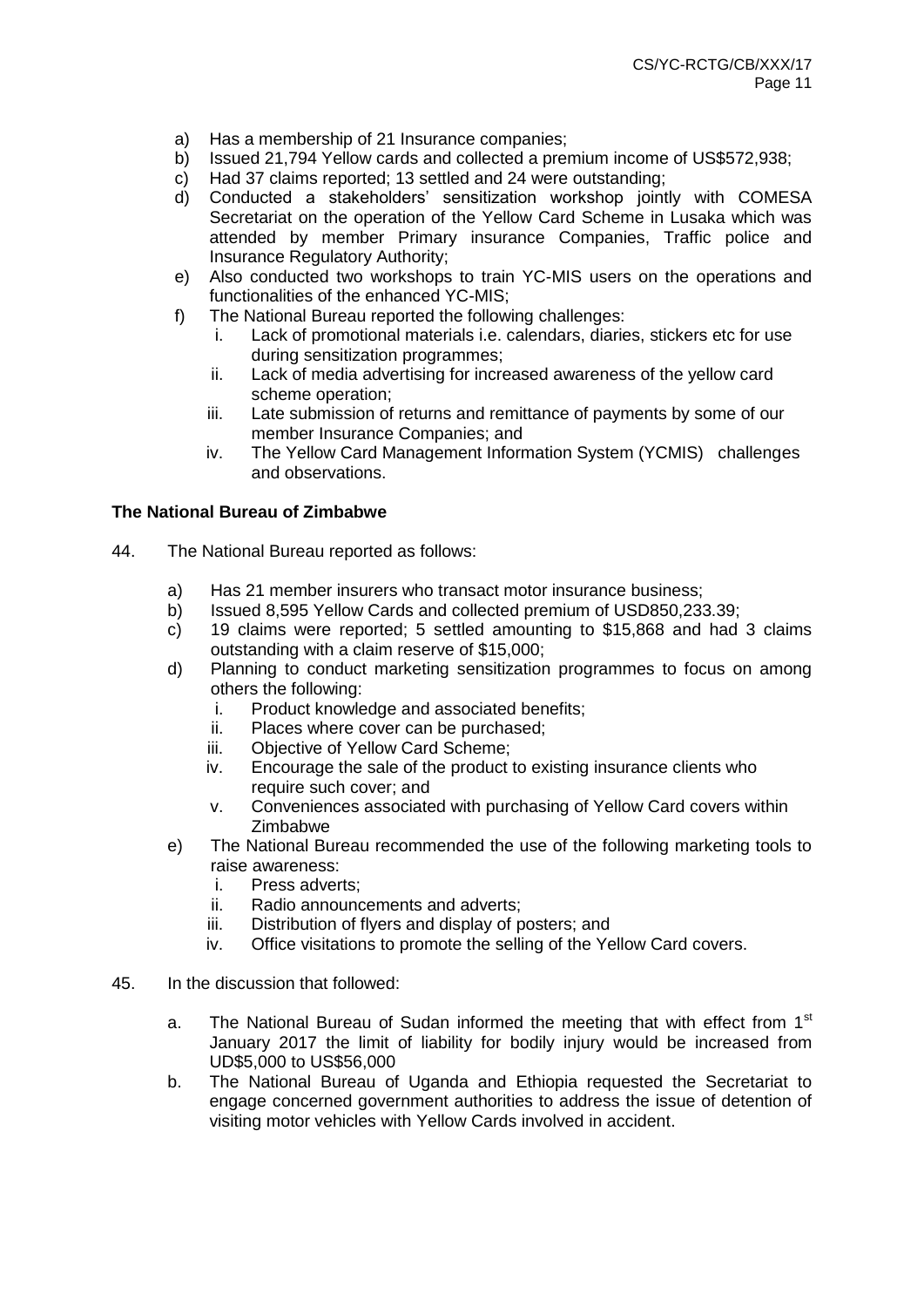- a) Has a membership of 21 Insurance companies;
- b) Issued 21,794 Yellow cards and collected a premium income of US\$572,938;
- c) Had 37 claims reported; 13 settled and 24 were outstanding;
- d) Conducted a stakeholders' sensitization workshop jointly with COMESA Secretariat on the operation of the Yellow Card Scheme in Lusaka which was attended by member Primary insurance Companies, Traffic police and Insurance Regulatory Authority;
- e) Also conducted two workshops to train YC-MIS users on the operations and functionalities of the enhanced YC-MIS;
- f) The National Bureau reported the following challenges:
	- i. Lack of promotional materials i.e. calendars, diaries, stickers etc for use during sensitization programmes;
	- ii. Lack of media advertising for increased awareness of the yellow card scheme operation;
	- iii. Late submission of returns and remittance of payments by some of our member Insurance Companies; and
	- iv. The Yellow Card Management Information System (YCMIS) challenges and observations.

#### **The National Bureau of Zimbabwe**

- 44. The National Bureau reported as follows:
	- a) Has 21 member insurers who transact motor insurance business;
	- b) Issued 8,595 Yellow Cards and collected premium of USD850,233.39;
	- c) 19 claims were reported; 5 settled amounting to \$15,868 and had 3 claims outstanding with a claim reserve of \$15,000;
	- d) Planning to conduct marketing sensitization programmes to focus on among others the following:
		- i. Product knowledge and associated benefits;
		- ii. Places where cover can be purchased;
		- iii. Objective of Yellow Card Scheme;
		- iv. Encourage the sale of the product to existing insurance clients who require such cover; and
		- v. Conveniences associated with purchasing of Yellow Card covers within Zimbabwe
	- e) The National Bureau recommended the use of the following marketing tools to raise awareness:
		- i. Press adverts;
		- ii. Radio announcements and adverts;
		- iii. Distribution of flyers and display of posters; and
		- iv. Office visitations to promote the selling of the Yellow Card covers.
- 45. In the discussion that followed:
	- a. The National Bureau of Sudan informed the meeting that with effect from  $1<sup>st</sup>$ January 2017 the limit of liability for bodily injury would be increased from UD\$5,000 to US\$56,000
	- b. The National Bureau of Uganda and Ethiopia requested the Secretariat to engage concerned government authorities to address the issue of detention of visiting motor vehicles with Yellow Cards involved in accident.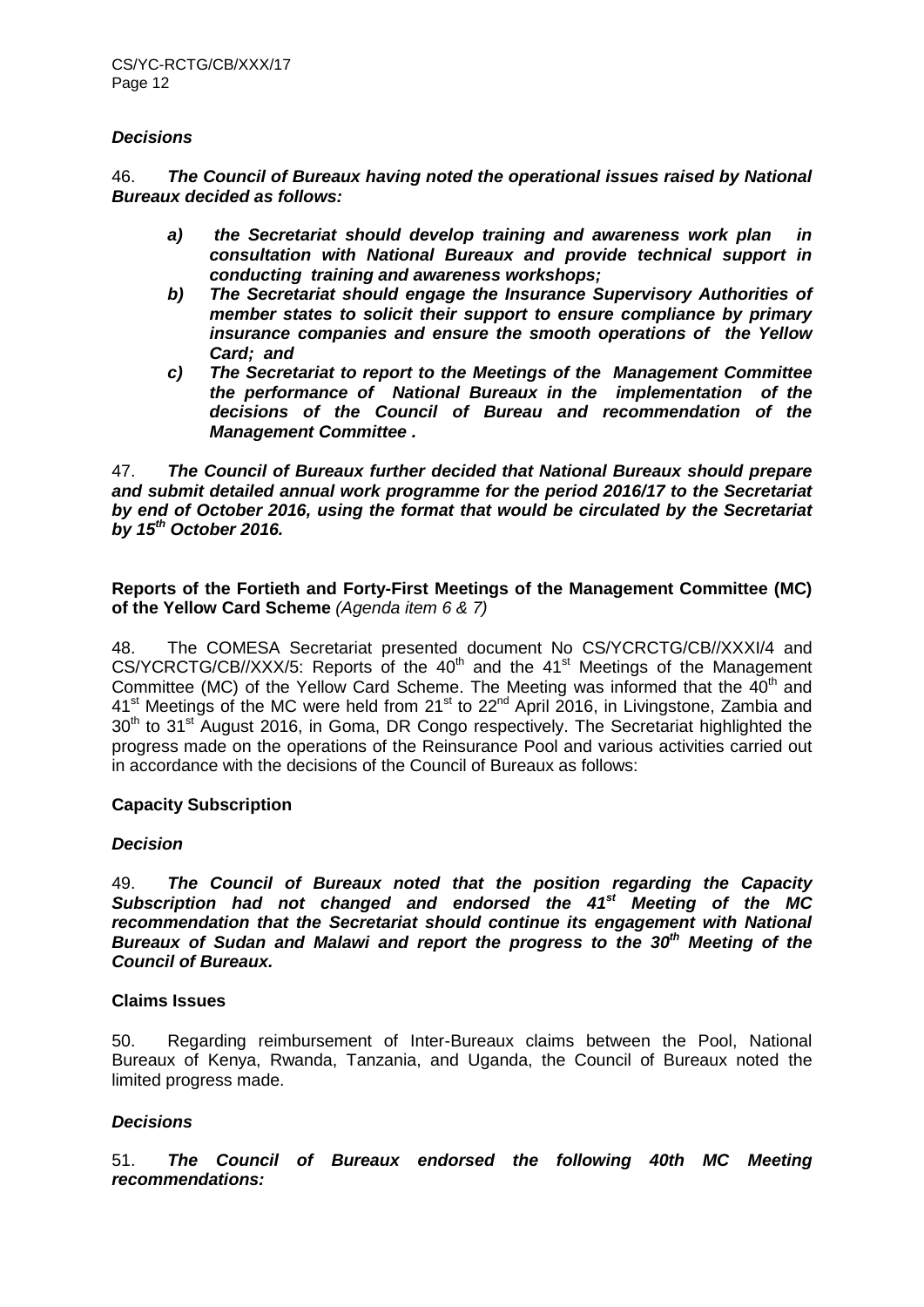#### *Decisions*

46. *The Council of Bureaux having noted the operational issues raised by National Bureaux decided as follows:*

- *a) the Secretariat should develop training and awareness work plan in consultation with National Bureaux and provide technical support in conducting training and awareness workshops;*
- *b) The Secretariat should engage the Insurance Supervisory Authorities of member states to solicit their support to ensure compliance by primary insurance companies and ensure the smooth operations of the Yellow Card; and*
- *c) The Secretariat to report to the Meetings of the Management Committee the performance of National Bureaux in the implementation of the decisions of the Council of Bureau and recommendation of the Management Committee .*

47. *The Council of Bureaux further decided that National Bureaux should prepare and submit detailed annual work programme for the period 2016/17 to the Secretariat by end of October 2016, using the format that would be circulated by the Secretariat by 15th October 2016.* 

#### **Reports of the Fortieth and Forty-First Meetings of the Management Committee (MC) of the Yellow Card Scheme** *(Agenda item 6 & 7)*

48. The COMESA Secretariat presented document No CS/YCRCTG/CB//XXXI/4 and CS/YCRCTG/CB//XXX/5: Reports of the 40<sup>th</sup> and the 41<sup>st</sup> Meetings of the Management Committee (MC) of the Yellow Card Scheme. The Meeting was informed that the  $40<sup>th</sup>$  and  $41<sup>st</sup>$  Meetings of the MC were held from  $21<sup>st</sup>$  to  $22<sup>nd</sup>$  April 2016, in Livingstone, Zambia and 30<sup>th</sup> to 31<sup>st</sup> August 2016, in Goma, DR Congo respectively. The Secretariat highlighted the progress made on the operations of the Reinsurance Pool and various activities carried out in accordance with the decisions of the Council of Bureaux as follows:

# **Capacity Subscription**

# *Decision*

49. *The Council of Bureaux noted that the position regarding the Capacity Subscription had not changed and endorsed the 41st Meeting of the MC recommendation that the Secretariat should continue its engagement with National Bureaux of Sudan and Malawi and report the progress to the 30th Meeting of the Council of Bureaux.* 

#### **Claims Issues**

50. Regarding reimbursement of Inter-Bureaux claims between the Pool, National Bureaux of Kenya, Rwanda, Tanzania, and Uganda, the Council of Bureaux noted the limited progress made.

# *Decisions*

51. *The Council of Bureaux endorsed the following 40th MC Meeting recommendations:*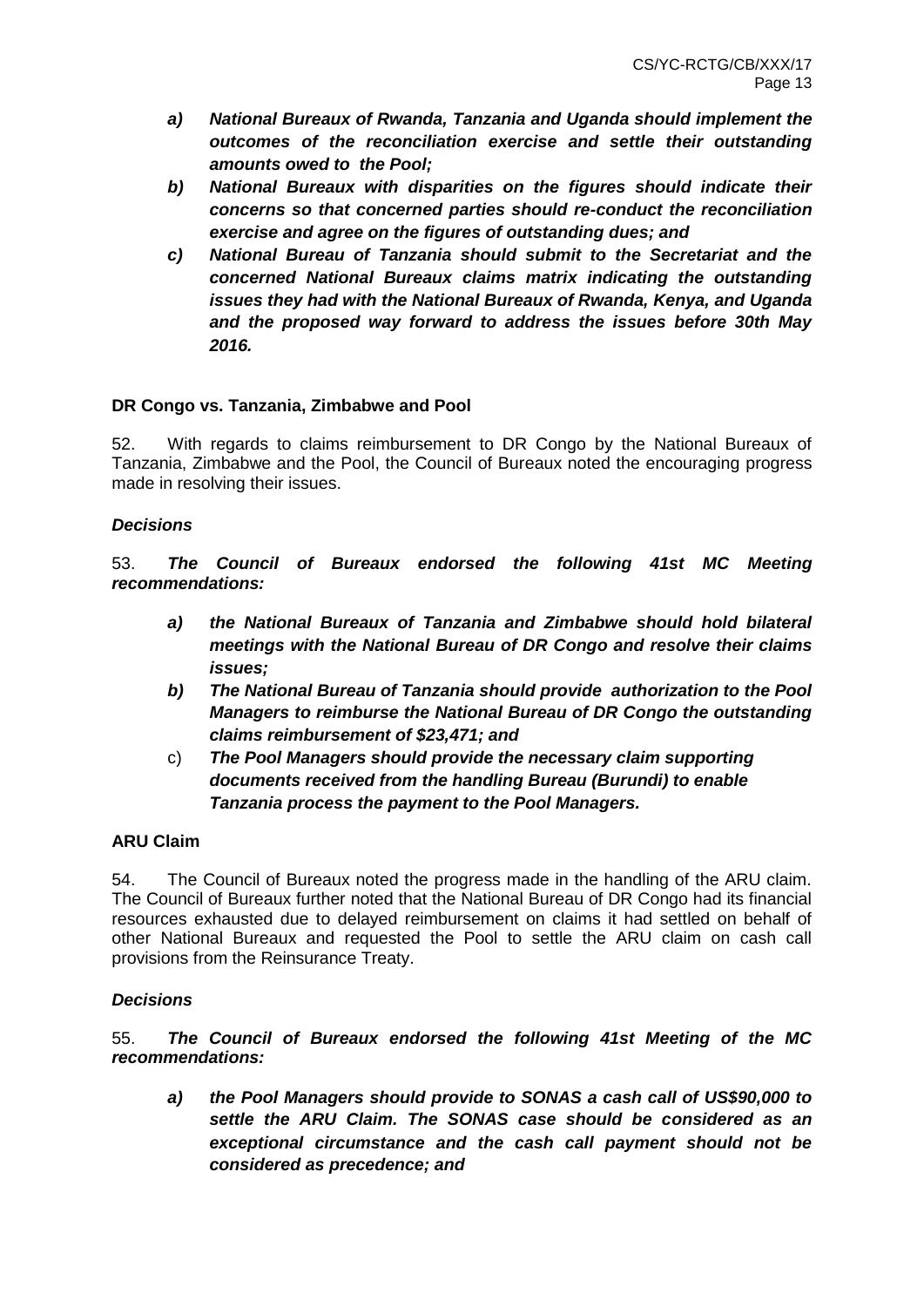- *a) National Bureaux of Rwanda, Tanzania and Uganda should implement the outcomes of the reconciliation exercise and settle their outstanding amounts owed to the Pool;*
- *b) National Bureaux with disparities on the figures should indicate their concerns so that concerned parties should re-conduct the reconciliation exercise and agree on the figures of outstanding dues; and*
- *c) National Bureau of Tanzania should submit to the Secretariat and the concerned National Bureaux claims matrix indicating the outstanding issues they had with the National Bureaux of Rwanda, Kenya, and Uganda and the proposed way forward to address the issues before 30th May 2016.*

# **DR Congo vs. Tanzania, Zimbabwe and Pool**

52. With regards to claims reimbursement to DR Congo by the National Bureaux of Tanzania, Zimbabwe and the Pool, the Council of Bureaux noted the encouraging progress made in resolving their issues.

# *Decisions*

53. *The Council of Bureaux endorsed the following 41st MC Meeting recommendations:*

- *a) the National Bureaux of Tanzania and Zimbabwe should hold bilateral meetings with the National Bureau of DR Congo and resolve their claims issues;*
- *b) The National Bureau of Tanzania should provide authorization to the Pool Managers to reimburse the National Bureau of DR Congo the outstanding claims reimbursement of \$23,471; and*
- c) *The Pool Managers should provide the necessary claim supporting documents received from the handling Bureau (Burundi) to enable Tanzania process the payment to the Pool Managers.*

# **ARU Claim**

54. The Council of Bureaux noted the progress made in the handling of the ARU claim. The Council of Bureaux further noted that the National Bureau of DR Congo had its financial resources exhausted due to delayed reimbursement on claims it had settled on behalf of other National Bureaux and requested the Pool to settle the ARU claim on cash call provisions from the Reinsurance Treaty.

# *Decisions*

55. *The Council of Bureaux endorsed the following 41st Meeting of the MC recommendations:*

*a) the Pool Managers should provide to SONAS a cash call of US\$90,000 to settle the ARU Claim. The SONAS case should be considered as an exceptional circumstance and the cash call payment should not be considered as precedence; and*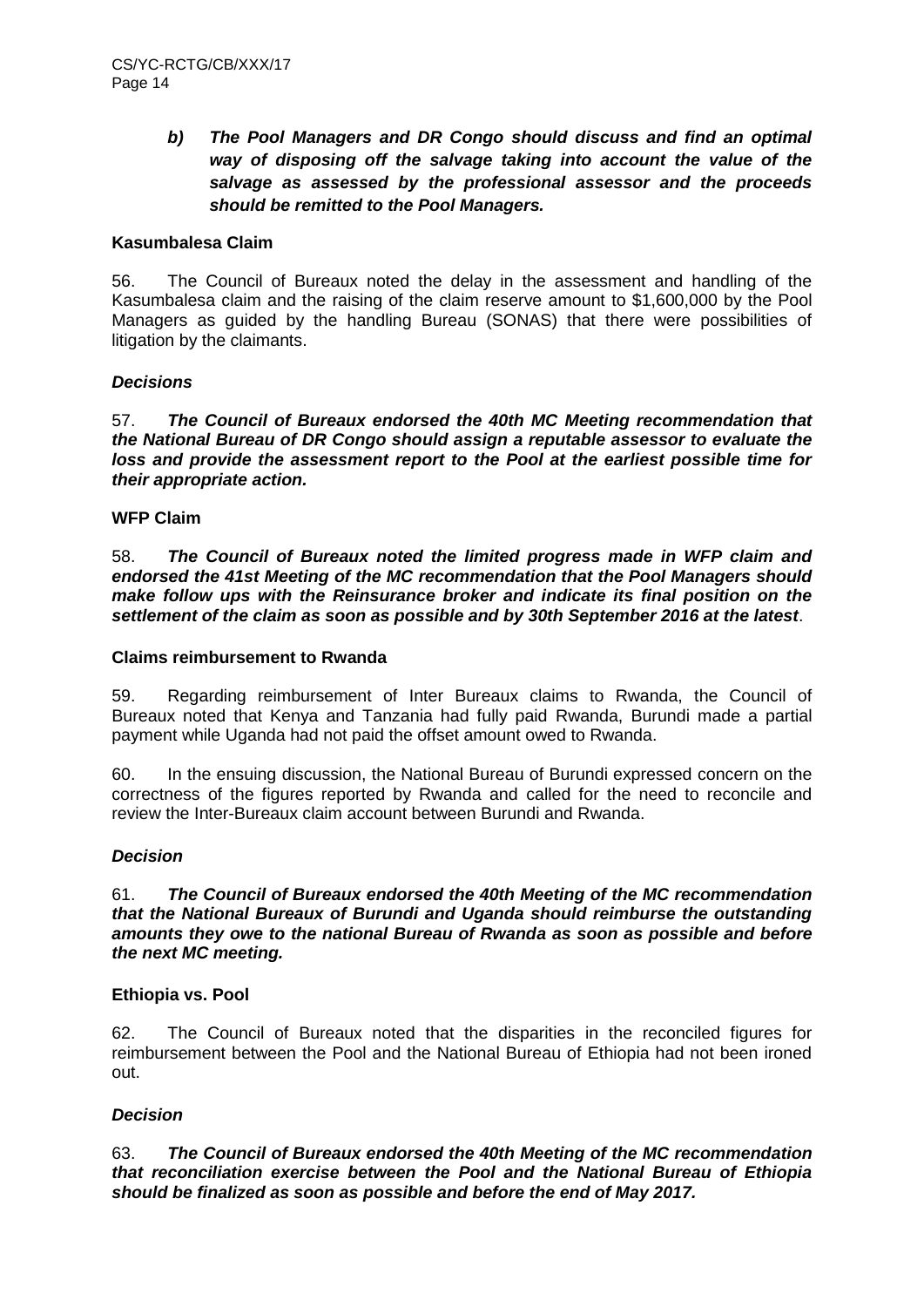# *b) The Pool Managers and DR Congo should discuss and find an optimal way of disposing off the salvage taking into account the value of the salvage as assessed by the professional assessor and the proceeds should be remitted to the Pool Managers.*

# **Kasumbalesa Claim**

56. The Council of Bureaux noted the delay in the assessment and handling of the Kasumbalesa claim and the raising of the claim reserve amount to \$1,600,000 by the Pool Managers as guided by the handling Bureau (SONAS) that there were possibilities of litigation by the claimants.

# *Decisions*

57. *The Council of Bureaux endorsed the 40th MC Meeting recommendation that the National Bureau of DR Congo should assign a reputable assessor to evaluate the loss and provide the assessment report to the Pool at the earliest possible time for their appropriate action.*

# **WFP Claim**

58. *The Council of Bureaux noted the limited progress made in WFP claim and endorsed the 41st Meeting of the MC recommendation that the Pool Managers should make follow ups with the Reinsurance broker and indicate its final position on the settlement of the claim as soon as possible and by 30th September 2016 at the latest*.

#### **Claims reimbursement to Rwanda**

59. Regarding reimbursement of Inter Bureaux claims to Rwanda, the Council of Bureaux noted that Kenya and Tanzania had fully paid Rwanda, Burundi made a partial payment while Uganda had not paid the offset amount owed to Rwanda.

60. In the ensuing discussion, the National Bureau of Burundi expressed concern on the correctness of the figures reported by Rwanda and called for the need to reconcile and review the Inter-Bureaux claim account between Burundi and Rwanda.

# *Decision*

61. *The Council of Bureaux endorsed the 40th Meeting of the MC recommendation that the National Bureaux of Burundi and Uganda should reimburse the outstanding amounts they owe to the national Bureau of Rwanda as soon as possible and before the next MC meeting.*

# **Ethiopia vs. Pool**

62. The Council of Bureaux noted that the disparities in the reconciled figures for reimbursement between the Pool and the National Bureau of Ethiopia had not been ironed out.

# *Decision*

63. *The Council of Bureaux endorsed the 40th Meeting of the MC recommendation that reconciliation exercise between the Pool and the National Bureau of Ethiopia should be finalized as soon as possible and before the end of May 2017.*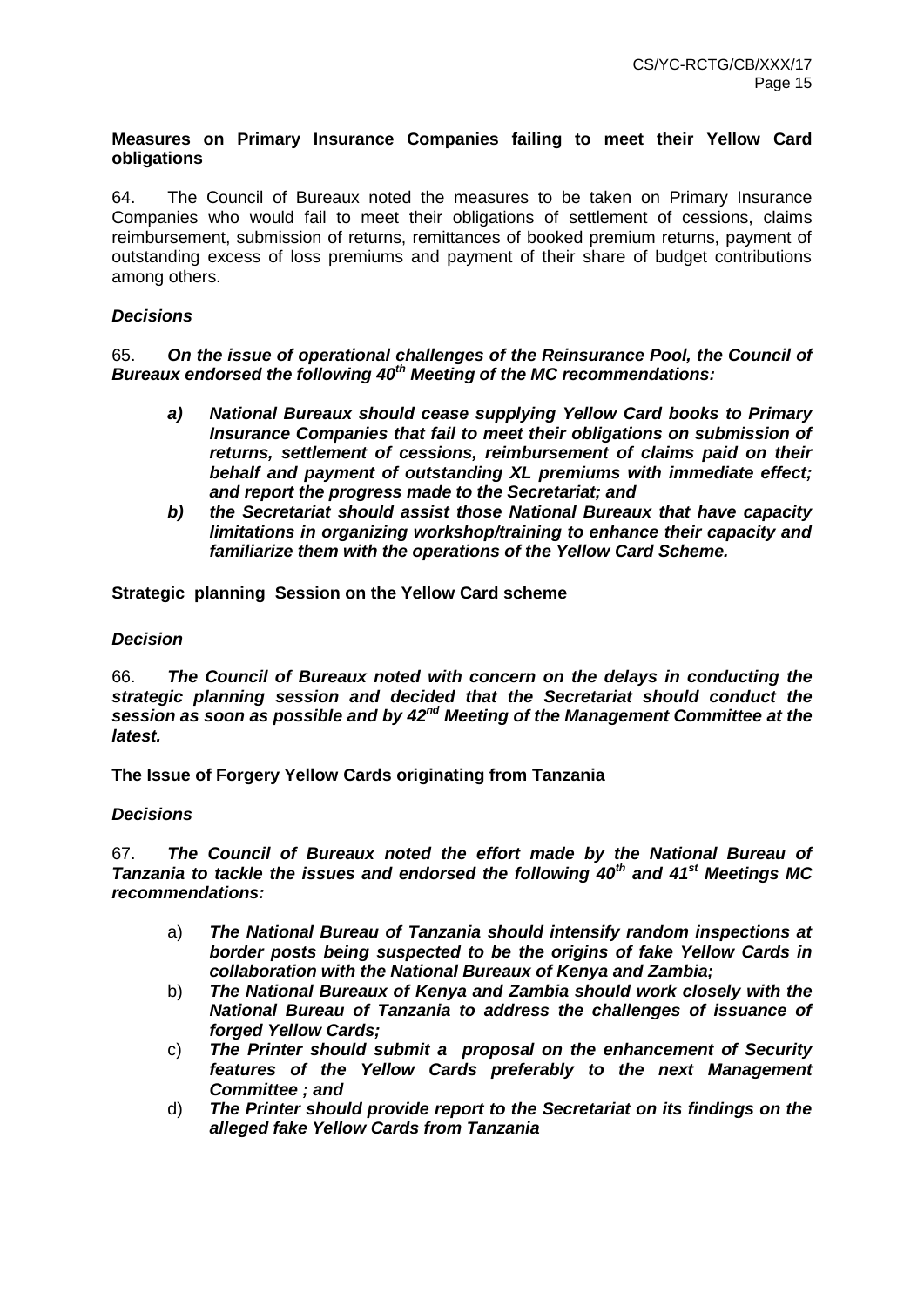# **Measures on Primary Insurance Companies failing to meet their Yellow Card obligations**

64. The Council of Bureaux noted the measures to be taken on Primary Insurance Companies who would fail to meet their obligations of settlement of cessions, claims reimbursement, submission of returns, remittances of booked premium returns, payment of outstanding excess of loss premiums and payment of their share of budget contributions among others.

# *Decisions*

65. *On the issue of operational challenges of the Reinsurance Pool, the Council of Bureaux endorsed the following 40th Meeting of the MC recommendations:*

- *a) National Bureaux should cease supplying Yellow Card books to Primary Insurance Companies that fail to meet their obligations on submission of returns, settlement of cessions, reimbursement of claims paid on their behalf and payment of outstanding XL premiums with immediate effect; and report the progress made to the Secretariat; and*
- *b) the Secretariat should assist those National Bureaux that have capacity limitations in organizing workshop/training to enhance their capacity and familiarize them with the operations of the Yellow Card Scheme.*

**Strategic planning Session on the Yellow Card scheme**

#### *Decision*

66. *The Council of Bureaux noted with concern on the delays in conducting the strategic planning session and decided that the Secretariat should conduct the session as soon as possible and by 42nd Meeting of the Management Committee at the latest.*

**The Issue of Forgery Yellow Cards originating from Tanzania**

#### *Decisions*

67. *The Council of Bureaux noted the effort made by the National Bureau of Tanzania to tackle the issues and endorsed the following 40th and 41st Meetings MC recommendations:*

- a) *The National Bureau of Tanzania should intensify random inspections at border posts being suspected to be the origins of fake Yellow Cards in collaboration with the National Bureaux of Kenya and Zambia;*
- b) *The National Bureaux of Kenya and Zambia should work closely with the National Bureau of Tanzania to address the challenges of issuance of forged Yellow Cards;*
- c) *The Printer should submit a proposal on the enhancement of Security features of the Yellow Cards preferably to the next Management Committee ; and*
- d) *The Printer should provide report to the Secretariat on its findings on the alleged fake Yellow Cards from Tanzania*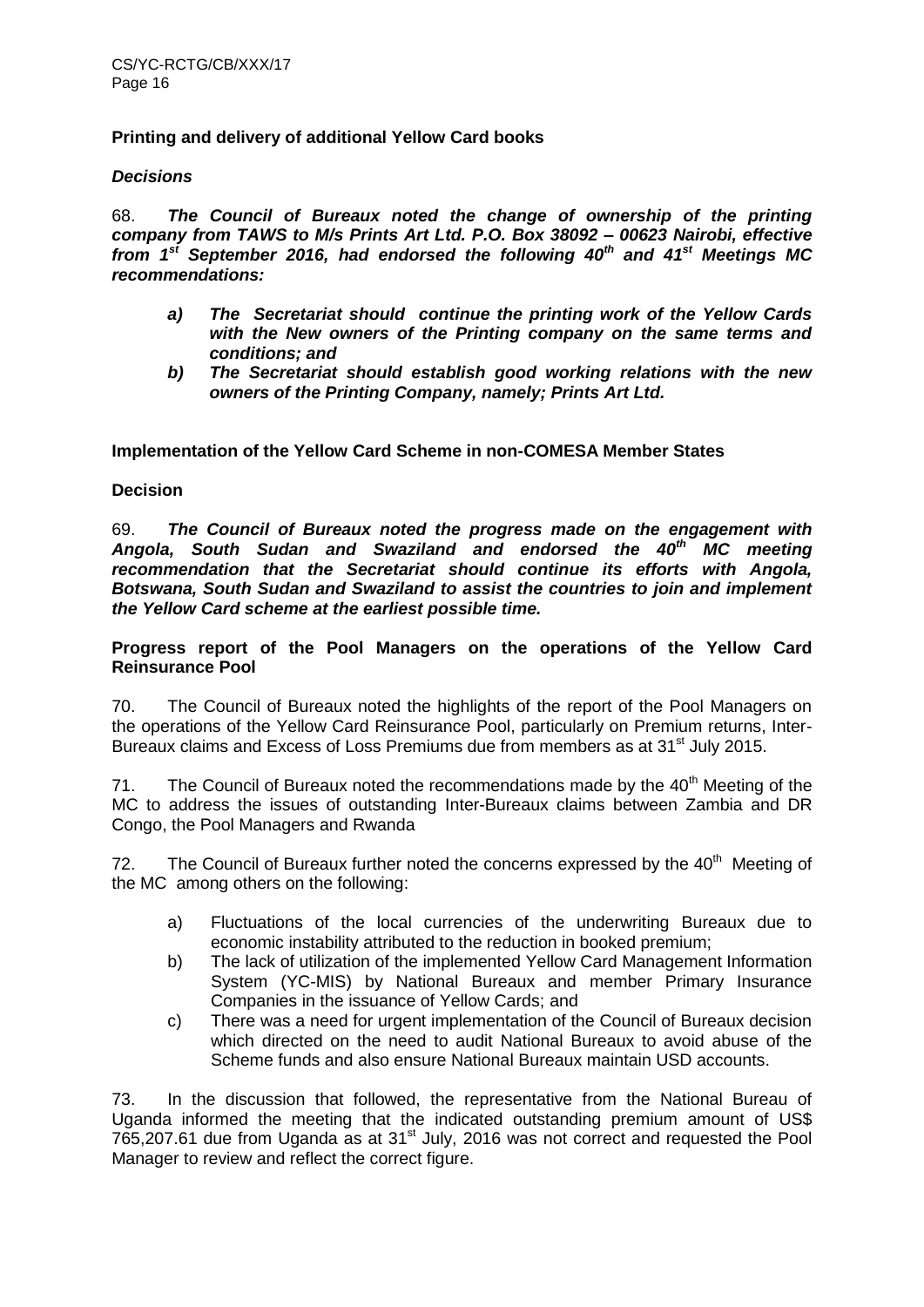#### **Printing and delivery of additional Yellow Card books**

#### *Decisions*

68. *The Council of Bureaux noted the change of ownership of the printing company from TAWS to M/s Prints Art Ltd. P.O. Box 38092 – 00623 Nairobi, effective from 1st September 2016, had endorsed the following 40th and 41st Meetings MC recommendations:*

- *a) The Secretariat should continue the printing work of the Yellow Cards with the New owners of the Printing company on the same terms and conditions; and*
- *b) The Secretariat should establish good working relations with the new owners of the Printing Company, namely; Prints Art Ltd.*

**Implementation of the Yellow Card Scheme in non-COMESA Member States**

#### **Decision**

69. *The Council of Bureaux noted the progress made on the engagement with Angola, South Sudan and Swaziland and endorsed the 40th MC meeting recommendation that the Secretariat should continue its efforts with Angola, Botswana, South Sudan and Swaziland to assist the countries to join and implement the Yellow Card scheme at the earliest possible time.* 

**Progress report of the Pool Managers on the operations of the Yellow Card Reinsurance Pool** 

70. The Council of Bureaux noted the highlights of the report of the Pool Managers on the operations of the Yellow Card Reinsurance Pool, particularly on Premium returns, Inter-Bureaux claims and Excess of Loss Premiums due from members as at 31<sup>st</sup> July 2015.

71. The Council of Bureaux noted the recommendations made by the  $40<sup>th</sup>$  Meeting of the MC to address the issues of outstanding Inter-Bureaux claims between Zambia and DR Congo, the Pool Managers and Rwanda

72. The Council of Bureaux further noted the concerns expressed by the  $40<sup>th</sup>$  Meeting of the MC among others on the following:

- a) Fluctuations of the local currencies of the underwriting Bureaux due to economic instability attributed to the reduction in booked premium;
- b) The lack of utilization of the implemented Yellow Card Management Information System (YC-MIS) by National Bureaux and member Primary Insurance Companies in the issuance of Yellow Cards; and
- c) There was a need for urgent implementation of the Council of Bureaux decision which directed on the need to audit National Bureaux to avoid abuse of the Scheme funds and also ensure National Bureaux maintain USD accounts.

73. In the discussion that followed, the representative from the National Bureau of Uganda informed the meeting that the indicated outstanding premium amount of US\$  $765,207.61$  due from Uganda as at  $31<sup>st</sup>$  July, 2016 was not correct and requested the Pool Manager to review and reflect the correct figure.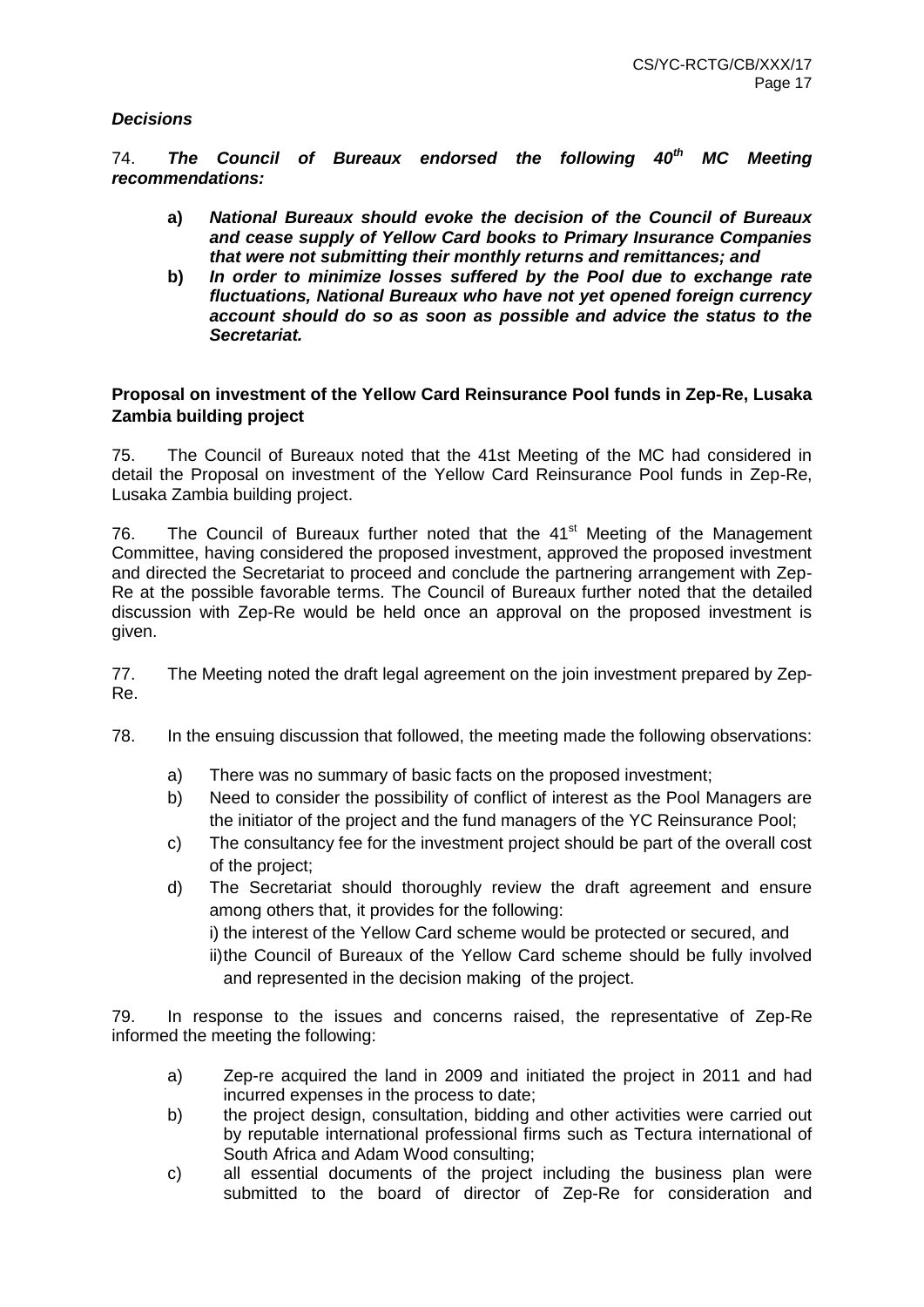# *Decisions*

74. *The Council of Bureaux endorsed the following 40th MC Meeting recommendations:*

- **a)** *National Bureaux should evoke the decision of the Council of Bureaux and cease supply of Yellow Card books to Primary Insurance Companies that were not submitting their monthly returns and remittances; and*
- **b)** *In order to minimize losses suffered by the Pool due to exchange rate fluctuations, National Bureaux who have not yet opened foreign currency account should do so as soon as possible and advice the status to the Secretariat.*

# **Proposal on investment of the Yellow Card Reinsurance Pool funds in Zep-Re, Lusaka Zambia building project**

75. The Council of Bureaux noted that the 41st Meeting of the MC had considered in detail the Proposal on investment of the Yellow Card Reinsurance Pool funds in Zep-Re, Lusaka Zambia building project.

76. The Council of Bureaux further noted that the 41<sup>st</sup> Meeting of the Management Committee, having considered the proposed investment, approved the proposed investment and directed the Secretariat to proceed and conclude the partnering arrangement with Zep-Re at the possible favorable terms. The Council of Bureaux further noted that the detailed discussion with Zep-Re would be held once an approval on the proposed investment is given.

77. The Meeting noted the draft legal agreement on the join investment prepared by Zep-Re.

- 78. In the ensuing discussion that followed, the meeting made the following observations:
	- a) There was no summary of basic facts on the proposed investment;
	- b) Need to consider the possibility of conflict of interest as the Pool Managers are the initiator of the project and the fund managers of the YC Reinsurance Pool;
	- c) The consultancy fee for the investment project should be part of the overall cost of the project;
	- d) The Secretariat should thoroughly review the draft agreement and ensure among others that, it provides for the following:
		- i) the interest of the Yellow Card scheme would be protected or secured, and
		- ii)the Council of Bureaux of the Yellow Card scheme should be fully involved and represented in the decision making of the project.

79. In response to the issues and concerns raised, the representative of Zep-Re informed the meeting the following:

- a) Zep-re acquired the land in 2009 and initiated the project in 2011 and had incurred expenses in the process to date;
- b) the project design, consultation, bidding and other activities were carried out by reputable international professional firms such as Tectura international of South Africa and Adam Wood consulting;
- c) all essential documents of the project including the business plan were submitted to the board of director of Zep-Re for consideration and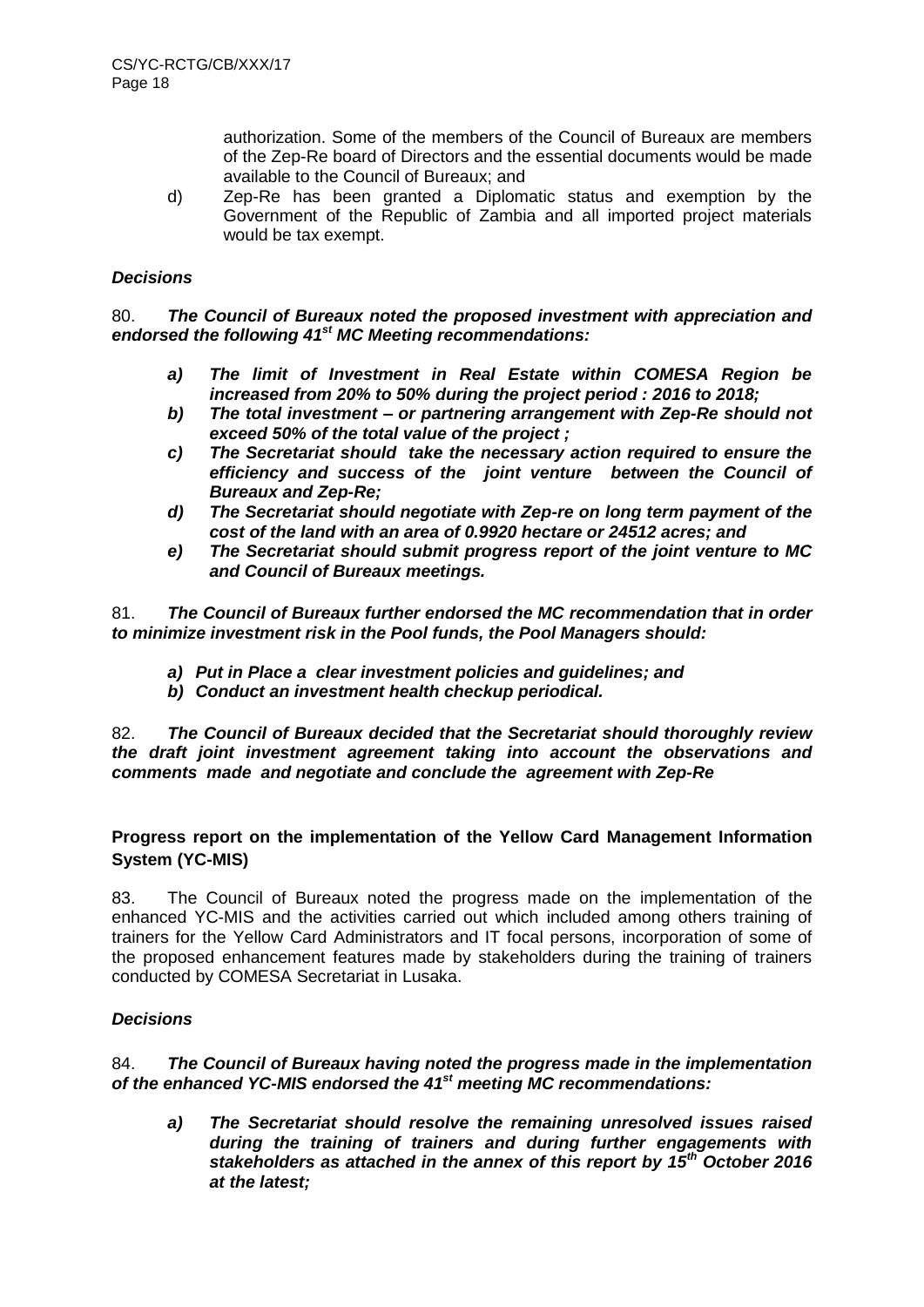authorization. Some of the members of the Council of Bureaux are members of the Zep-Re board of Directors and the essential documents would be made available to the Council of Bureaux; and

d) Zep-Re has been granted a Diplomatic status and exemption by the Government of the Republic of Zambia and all imported project materials would be tax exempt.

# *Decisions*

80. *The Council of Bureaux noted the proposed investment with appreciation and endorsed the following 41st MC Meeting recommendations:*

- *a) The limit of Investment in Real Estate within COMESA Region be increased from 20% to 50% during the project period : 2016 to 2018;*
- *b) The total investment – or partnering arrangement with Zep-Re should not exceed 50% of the total value of the project ;*
- *c) The Secretariat should take the necessary action required to ensure the efficiency and success of the joint venture between the Council of Bureaux and Zep-Re;*
- *d) The Secretariat should negotiate with Zep-re on long term payment of the cost of the land with an area of 0.9920 hectare or 24512 acres; and*
- *e) The Secretariat should submit progress report of the joint venture to MC and Council of Bureaux meetings.*

81. *The Council of Bureaux further endorsed the MC recommendation that in order to minimize investment risk in the Pool funds, the Pool Managers should:*

- *a) Put in Place a clear investment policies and guidelines; and*
- *b) Conduct an investment health checkup periodical.*

82. *The Council of Bureaux decided that the Secretariat should thoroughly review the draft joint investment agreement taking into account the observations and comments made and negotiate and conclude the agreement with Zep-Re* 

# **Progress report on the implementation of the Yellow Card Management Information System (YC-MIS)**

83. The Council of Bureaux noted the progress made on the implementation of the enhanced YC-MIS and the activities carried out which included among others training of trainers for the Yellow Card Administrators and IT focal persons, incorporation of some of the proposed enhancement features made by stakeholders during the training of trainers conducted by COMESA Secretariat in Lusaka.

# *Decisions*

84. *The Council of Bureaux having noted the progress made in the implementation of the enhanced YC-MIS endorsed the 41st meeting MC recommendations:* 

*a) The Secretariat should resolve the remaining unresolved issues raised during the training of trainers and during further engagements with stakeholders as attached in the annex of this report by 15th October 2016 at the latest;*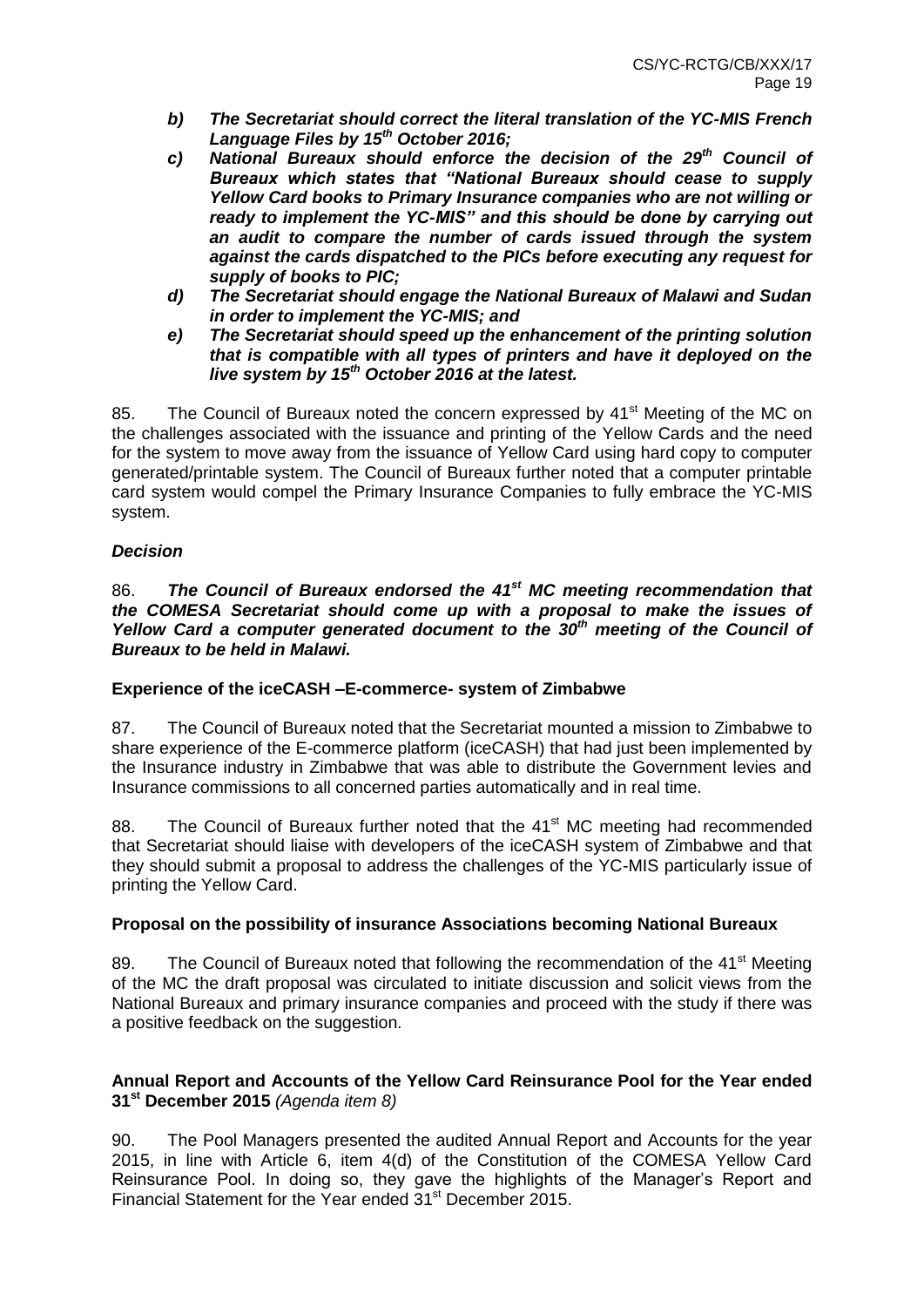- *b) The Secretariat should correct the literal translation of the YC-MIS French Language Files by 15th October 2016;*
- *c) National Bureaux should enforce the decision of the 29th Council of Bureaux which states that "National Bureaux should cease to supply Yellow Card books to Primary Insurance companies who are not willing or ready to implement the YC-MIS" and this should be done by carrying out an audit to compare the number of cards issued through the system against the cards dispatched to the PICs before executing any request for supply of books to PIC;*
- *d) The Secretariat should engage the National Bureaux of Malawi and Sudan in order to implement the YC-MIS; and*
- *e) The Secretariat should speed up the enhancement of the printing solution that is compatible with all types of printers and have it deployed on the live system by 15th October 2016 at the latest.*

85. The Council of Bureaux noted the concern expressed by 41<sup>st</sup> Meeting of the MC on the challenges associated with the issuance and printing of the Yellow Cards and the need for the system to move away from the issuance of Yellow Card using hard copy to computer generated/printable system. The Council of Bureaux further noted that a computer printable card system would compel the Primary Insurance Companies to fully embrace the YC-MIS system.

# *Decision*

86. *The Council of Bureaux endorsed the 41st MC meeting recommendation that the COMESA Secretariat should come up with a proposal to make the issues of Yellow Card a computer generated document to the 30th meeting of the Council of Bureaux to be held in Malawi.* 

# **Experience of the iceCASH –E-commerce- system of Zimbabwe**

87. The Council of Bureaux noted that the Secretariat mounted a mission to Zimbabwe to share experience of the E-commerce platform (iceCASH) that had just been implemented by the Insurance industry in Zimbabwe that was able to distribute the Government levies and Insurance commissions to all concerned parties automatically and in real time.

88. The Council of Bureaux further noted that the 41<sup>st</sup> MC meeting had recommended that Secretariat should liaise with developers of the iceCASH system of Zimbabwe and that they should submit a proposal to address the challenges of the YC-MIS particularly issue of printing the Yellow Card.

# **Proposal on the possibility of insurance Associations becoming National Bureaux**

89. The Council of Bureaux noted that following the recommendation of the 41<sup>st</sup> Meeting of the MC the draft proposal was circulated to initiate discussion and solicit views from the National Bureaux and primary insurance companies and proceed with the study if there was a positive feedback on the suggestion.

# **Annual Report and Accounts of the Yellow Card Reinsurance Pool for the Year ended 31st December 2015** *(Agenda item 8)*

90. The Pool Managers presented the audited Annual Report and Accounts for the year 2015, in line with Article 6, item 4(d) of the Constitution of the COMESA Yellow Card Reinsurance Pool. In doing so, they gave the highlights of the Manager's Report and Financial Statement for the Year ended 31<sup>st</sup> December 2015.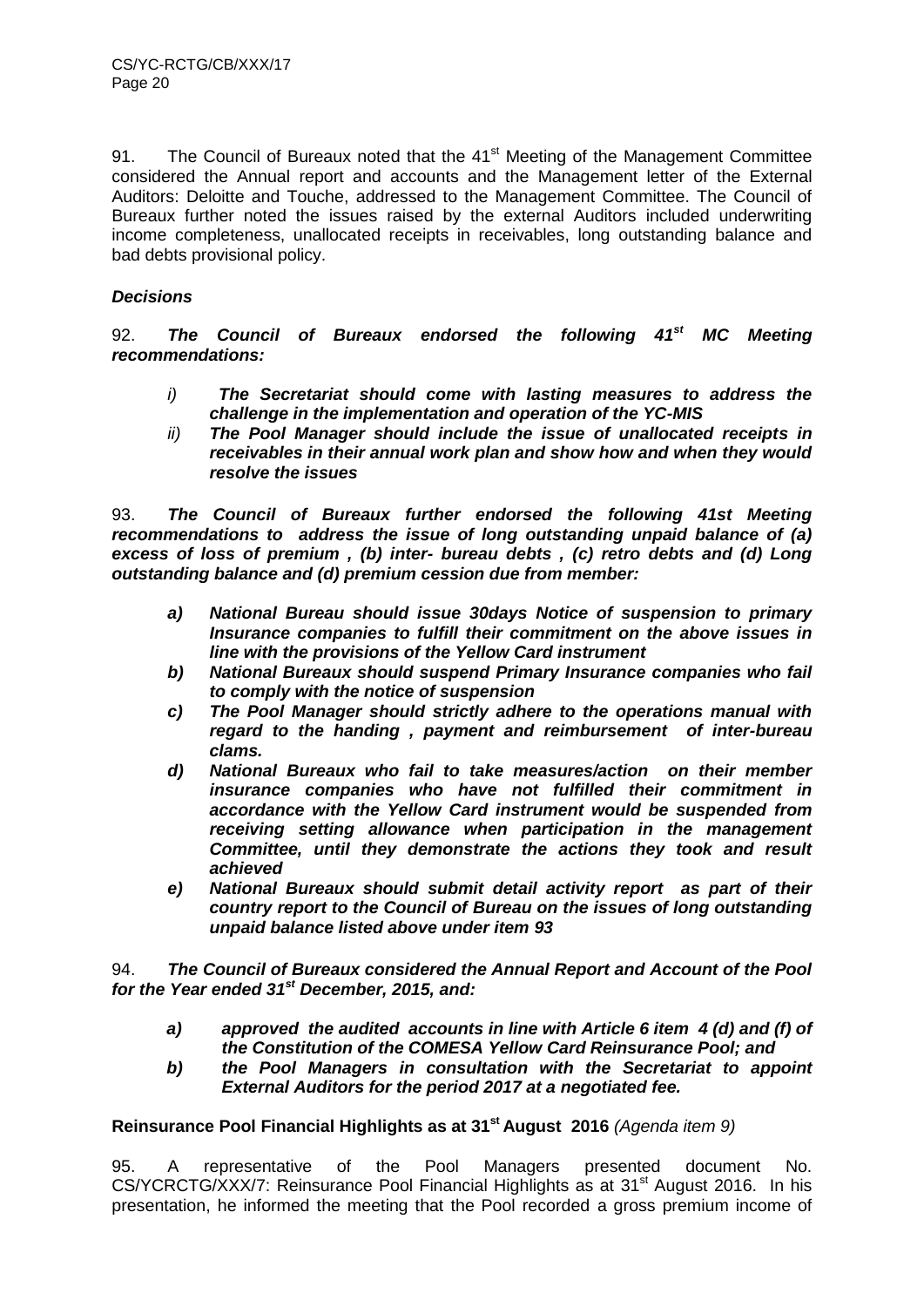91. The Council of Bureaux noted that the 41<sup>st</sup> Meeting of the Management Committee considered the Annual report and accounts and the Management letter of the External Auditors: Deloitte and Touche, addressed to the Management Committee. The Council of Bureaux further noted the issues raised by the external Auditors included underwriting income completeness, unallocated receipts in receivables, long outstanding balance and bad debts provisional policy.

# *Decisions*

92. *The Council of Bureaux endorsed the following 41st MC Meeting recommendations:*

- *i) The Secretariat should come with lasting measures to address the challenge in the implementation and operation of the YC-MIS*
- *ii) The Pool Manager should include the issue of unallocated receipts in receivables in their annual work plan and show how and when they would resolve the issues*

93. *The Council of Bureaux further endorsed the following 41st Meeting recommendations to address the issue of long outstanding unpaid balance of (a) excess of loss of premium , (b) inter- bureau debts , (c) retro debts and (d) Long outstanding balance and (d) premium cession due from member:*

- *a) National Bureau should issue 30days Notice of suspension to primary Insurance companies to fulfill their commitment on the above issues in line with the provisions of the Yellow Card instrument*
- *b) National Bureaux should suspend Primary Insurance companies who fail to comply with the notice of suspension*
- *c) The Pool Manager should strictly adhere to the operations manual with regard to the handing , payment and reimbursement of inter-bureau clams.*
- *d) National Bureaux who fail to take measures/action on their member insurance companies who have not fulfilled their commitment in accordance with the Yellow Card instrument would be suspended from receiving setting allowance when participation in the management Committee, until they demonstrate the actions they took and result achieved*
- *e) National Bureaux should submit detail activity report as part of their country report to the Council of Bureau on the issues of long outstanding unpaid balance listed above under item 93*

94. *The Council of Bureaux considered the Annual Report and Account of the Pool for the Year ended 31st December, 2015, and:* 

- *a) approved the audited accounts in line with Article 6 item 4 (d) and (f) of the Constitution of the COMESA Yellow Card Reinsurance Pool; and*
- *b) the Pool Managers in consultation with the Secretariat to appoint External Auditors for the period 2017 at a negotiated fee.*

# **Reinsurance Pool Financial Highlights as at 31 st August 2016** *(Agenda item 9)*

95. A representative of the Pool Managers presented document No. CS/YCRCTG/XXX/7: Reinsurance Pool Financial Highlights as at 31<sup>st</sup> August 2016. In his presentation, he informed the meeting that the Pool recorded a gross premium income of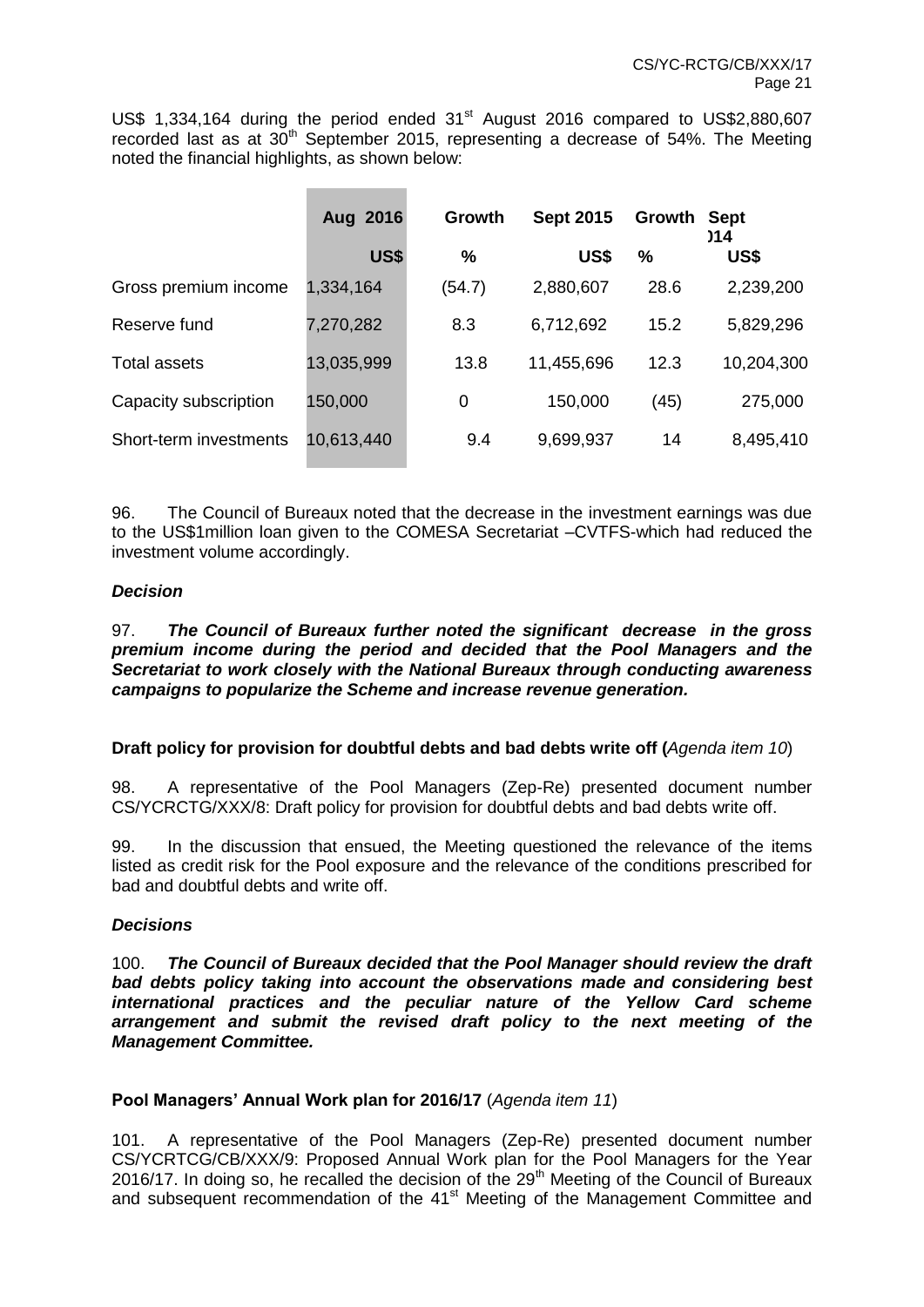US\$ 1,334,164 during the period ended 31<sup>st</sup> August 2016 compared to US\$2,880,607 recorded last as at 30<sup>th</sup> September 2015, representing a decrease of 54%. The Meeting noted the financial highlights, as shown below:

|                        | Aug 2016   | Growth<br><b>Sept 2015</b> |            | Growth | <b>Sept</b><br>)14 |  |
|------------------------|------------|----------------------------|------------|--------|--------------------|--|
|                        | US\$       | $\%$                       | US\$       | %      | US\$               |  |
| Gross premium income   | 1,334,164  | (54.7)                     | 2,880,607  | 28.6   | 2,239,200          |  |
| Reserve fund           | 7,270,282  | 8.3                        | 6,712,692  | 15.2   | 5,829,296          |  |
| <b>Total assets</b>    | 13,035,999 | 13.8                       | 11,455,696 | 12.3   | 10,204,300         |  |
| Capacity subscription  | 150,000    | 0                          | 150,000    | (45)   | 275,000            |  |
| Short-term investments | 10,613,440 | 9.4                        | 9,699,937  | 14     | 8,495,410          |  |

96. The Council of Bureaux noted that the decrease in the investment earnings was due to the US\$1million loan given to the COMESA Secretariat –CVTFS-which had reduced the investment volume accordingly.

# *Decision*

#### 97. *The Council of Bureaux further noted the significant decrease in the gross premium income during the period and decided that the Pool Managers and the Secretariat to work closely with the National Bureaux through conducting awareness campaigns to popularize the Scheme and increase revenue generation.*

# **Draft policy for provision for doubtful debts and bad debts write off (***Agenda item 10*)

98. A representative of the Pool Managers (Zep-Re) presented document number CS/YCRCTG/XXX/8: Draft policy for provision for doubtful debts and bad debts write off.

99. In the discussion that ensued, the Meeting questioned the relevance of the items listed as credit risk for the Pool exposure and the relevance of the conditions prescribed for bad and doubtful debts and write off.

#### *Decisions*

100. *The Council of Bureaux decided that the Pool Manager should review the draft bad debts policy taking into account the observations made and considering best international practices and the peculiar nature of the Yellow Card scheme arrangement and submit the revised draft policy to the next meeting of the Management Committee.*

#### **Pool Managers' Annual Work plan for 2016/17** (*Agenda item 11*)

101. A representative of the Pool Managers (Zep-Re) presented document number CS/YCRTCG/CB/XXX/9: Proposed Annual Work plan for the Pool Managers for the Year 2016/17. In doing so, he recalled the decision of the  $29<sup>th</sup>$  Meeting of the Council of Bureaux and subsequent recommendation of the 41<sup>st</sup> Meeting of the Management Committee and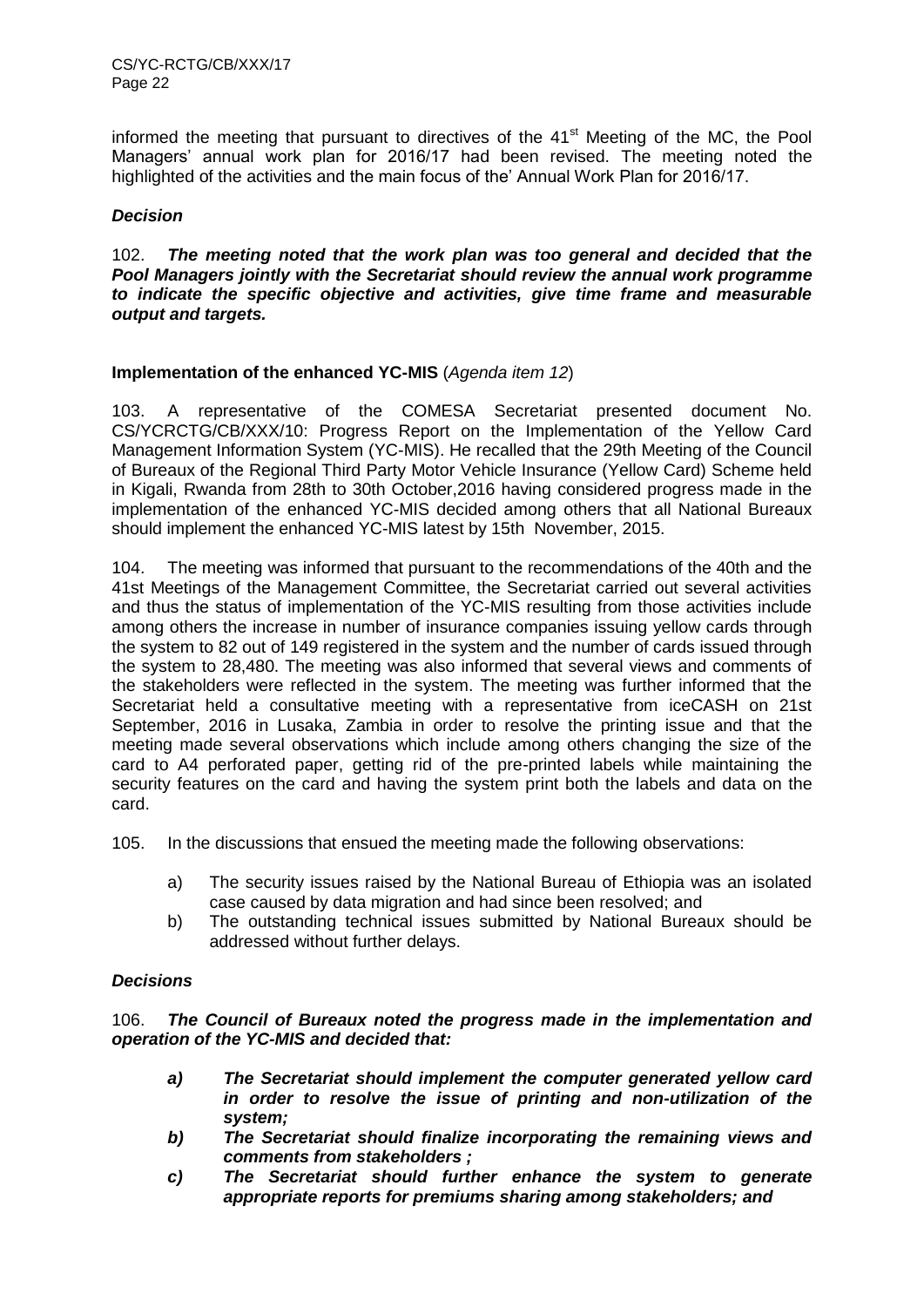informed the meeting that pursuant to directives of the  $41<sup>st</sup>$  Meeting of the MC, the Pool Managers' annual work plan for 2016/17 had been revised. The meeting noted the highlighted of the activities and the main focus of the' Annual Work Plan for 2016/17.

# *Decision*

102. *The meeting noted that the work plan was too general and decided that the Pool Managers jointly with the Secretariat should review the annual work programme to indicate the specific objective and activities, give time frame and measurable output and targets.* 

#### **Implementation of the enhanced YC-MIS** (*Agenda item 12*)

103. A representative of the COMESA Secretariat presented document No. CS/YCRCTG/CB/XXX/10: Progress Report on the Implementation of the Yellow Card Management Information System (YC-MIS). He recalled that the 29th Meeting of the Council of Bureaux of the Regional Third Party Motor Vehicle Insurance (Yellow Card) Scheme held in Kigali, Rwanda from 28th to 30th October,2016 having considered progress made in the implementation of the enhanced YC-MIS decided among others that all National Bureaux should implement the enhanced YC-MIS latest by 15th November, 2015.

104. The meeting was informed that pursuant to the recommendations of the 40th and the 41st Meetings of the Management Committee, the Secretariat carried out several activities and thus the status of implementation of the YC-MIS resulting from those activities include among others the increase in number of insurance companies issuing yellow cards through the system to 82 out of 149 registered in the system and the number of cards issued through the system to 28,480. The meeting was also informed that several views and comments of the stakeholders were reflected in the system. The meeting was further informed that the Secretariat held a consultative meeting with a representative from iceCASH on 21st September, 2016 in Lusaka, Zambia in order to resolve the printing issue and that the meeting made several observations which include among others changing the size of the card to A4 perforated paper, getting rid of the pre-printed labels while maintaining the security features on the card and having the system print both the labels and data on the card.

105. In the discussions that ensued the meeting made the following observations:

- a) The security issues raised by the National Bureau of Ethiopia was an isolated case caused by data migration and had since been resolved; and
- b) The outstanding technical issues submitted by National Bureaux should be addressed without further delays.

# *Decisions*

106. *The Council of Bureaux noted the progress made in the implementation and operation of the YC-MIS and decided that:* 

- *a) The Secretariat should implement the computer generated yellow card in order to resolve the issue of printing and non-utilization of the system;*
- *b) The Secretariat should finalize incorporating the remaining views and comments from stakeholders ;*
- *c) The Secretariat should further enhance the system to generate appropriate reports for premiums sharing among stakeholders; and*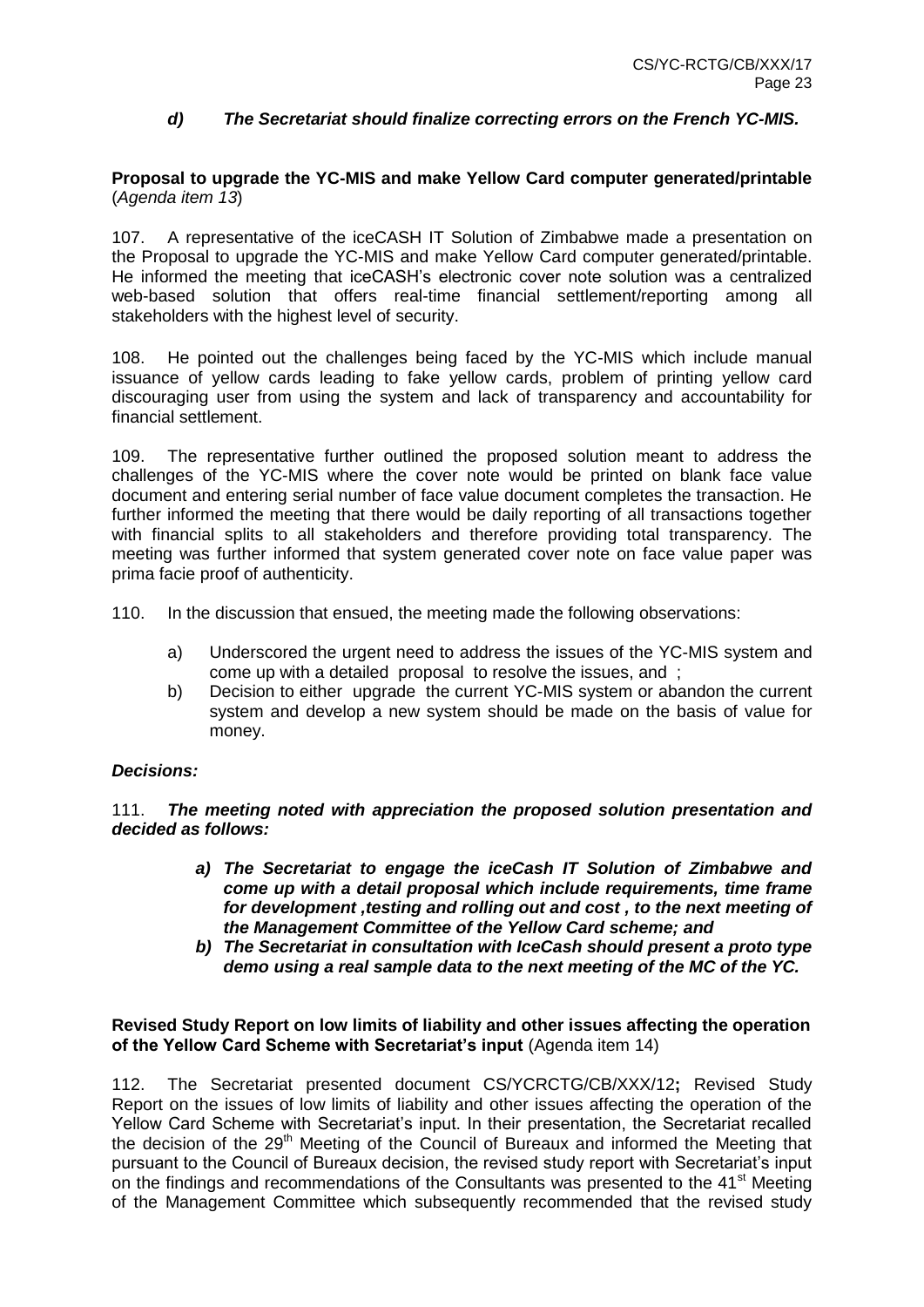# *d) The Secretariat should finalize correcting errors on the French YC-MIS.*

#### **Proposal to upgrade the YC-MIS and make Yellow Card computer generated/printable** (*Agenda item 13*)

107. A representative of the iceCASH IT Solution of Zimbabwe made a presentation on the Proposal to upgrade the YC-MIS and make Yellow Card computer generated/printable. He informed the meeting that iceCASH's electronic cover note solution was a centralized web-based solution that offers real-time financial settlement/reporting among all stakeholders with the highest level of security.

108. He pointed out the challenges being faced by the YC-MIS which include manual issuance of yellow cards leading to fake yellow cards, problem of printing yellow card discouraging user from using the system and lack of transparency and accountability for financial settlement.

109. The representative further outlined the proposed solution meant to address the challenges of the YC-MIS where the cover note would be printed on blank face value document and entering serial number of face value document completes the transaction. He further informed the meeting that there would be daily reporting of all transactions together with financial splits to all stakeholders and therefore providing total transparency. The meeting was further informed that system generated cover note on face value paper was prima facie proof of authenticity.

110. In the discussion that ensued, the meeting made the following observations:

- a) Underscored the urgent need to address the issues of the YC-MIS system and come up with a detailed proposal to resolve the issues, and ;
- b) Decision to either upgrade the current YC-MIS system or abandon the current system and develop a new system should be made on the basis of value for money.

# *Decisions:*

111. *The meeting noted with appreciation the proposed solution presentation and decided as follows:*

- *a) The Secretariat to engage the iceCash IT Solution of Zimbabwe and come up with a detail proposal which include requirements, time frame for development ,testing and rolling out and cost , to the next meeting of the Management Committee of the Yellow Card scheme; and*
- *b) The Secretariat in consultation with IceCash should present a proto type demo using a real sample data to the next meeting of the MC of the YC.*

#### **Revised Study Report on low limits of liability and other issues affecting the operation of the Yellow Card Scheme with Secretariat's input** (Agenda item 14)

112. The Secretariat presented document CS/YCRCTG/CB/XXX/12**;** Revised Study Report on the issues of low limits of liability and other issues affecting the operation of the Yellow Card Scheme with Secretariat's input. In their presentation, the Secretariat recalled the decision of the 29<sup>th</sup> Meeting of the Council of Bureaux and informed the Meeting that pursuant to the Council of Bureaux decision, the revised study report with Secretariat's input on the findings and recommendations of the Consultants was presented to the 41<sup>st</sup> Meeting of the Management Committee which subsequently recommended that the revised study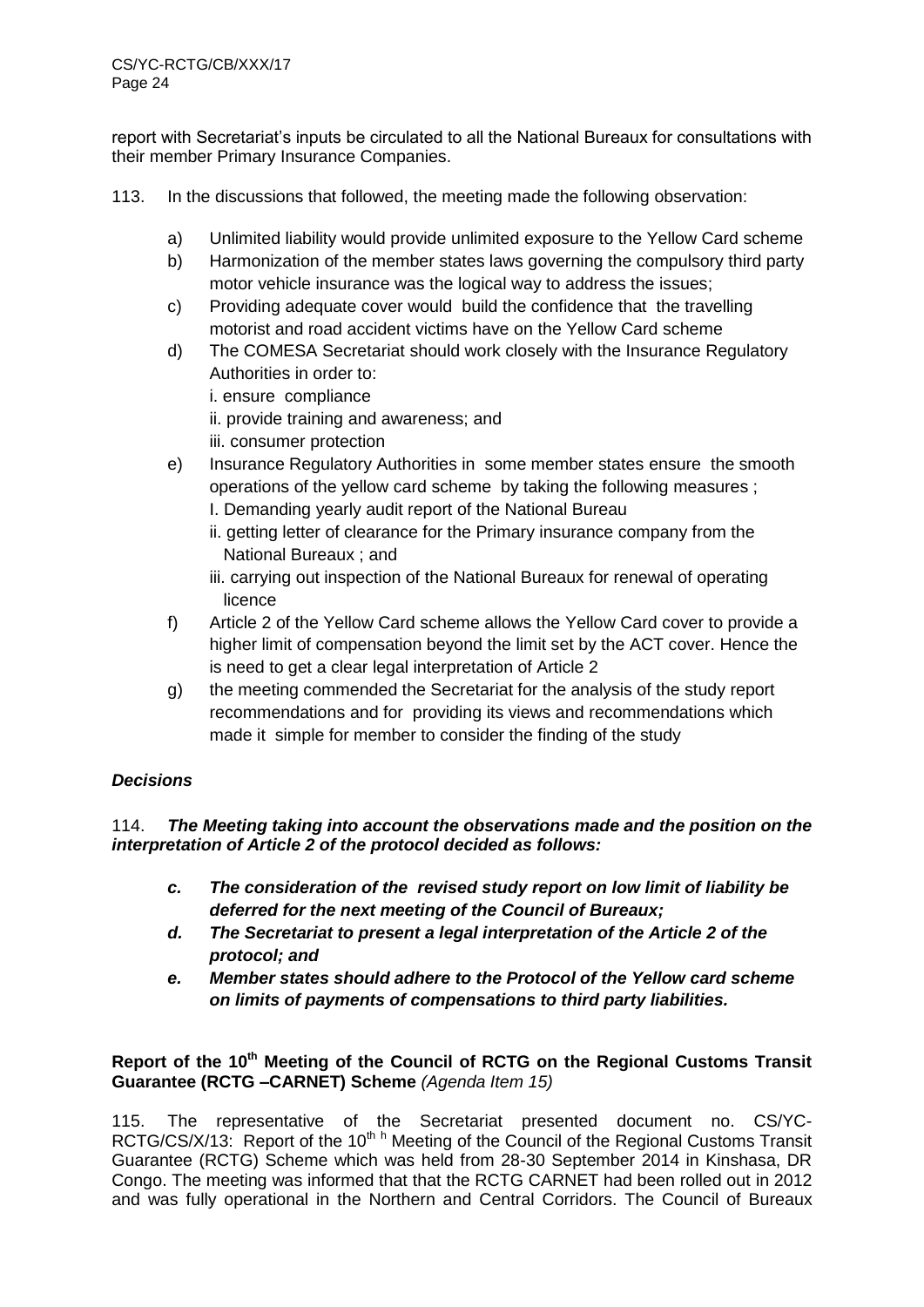report with Secretariat's inputs be circulated to all the National Bureaux for consultations with their member Primary Insurance Companies.

- 113. In the discussions that followed, the meeting made the following observation:
	- a) Unlimited liability would provide unlimited exposure to the Yellow Card scheme
	- b) Harmonization of the member states laws governing the compulsory third party motor vehicle insurance was the logical way to address the issues;
	- c) Providing adequate cover would build the confidence that the travelling motorist and road accident victims have on the Yellow Card scheme
	- d) The COMESA Secretariat should work closely with the Insurance Regulatory Authorities in order to:
		- i. ensure compliance
		- ii. provide training and awareness; and
		- iii. consumer protection
	- e) Insurance Regulatory Authorities in some member states ensure the smooth operations of the yellow card scheme by taking the following measures ;
		- I. Demanding yearly audit report of the National Bureau
		- ii. getting letter of clearance for the Primary insurance company from the National Bureaux ; and
		- iii. carrying out inspection of the National Bureaux for renewal of operating licence
	- f) Article 2 of the Yellow Card scheme allows the Yellow Card cover to provide a higher limit of compensation beyond the limit set by the ACT cover. Hence the is need to get a clear legal interpretation of Article 2
	- g) the meeting commended the Secretariat for the analysis of the study report recommendations and for providing its views and recommendations which made it simple for member to consider the finding of the study

# *Decisions*

# 114. *The Meeting taking into account the observations made and the position on the interpretation of Article 2 of the protocol decided as follows:*

- *c. The consideration of the revised study report on low limit of liability be deferred for the next meeting of the Council of Bureaux;*
- *d. The Secretariat to present a legal interpretation of the Article 2 of the protocol; and*
- *e. Member states should adhere to the Protocol of the Yellow card scheme on limits of payments of compensations to third party liabilities.*

# **Report of the 10th Meeting of the Council of RCTG on the Regional Customs Transit Guarantee (RCTG –CARNET) Scheme** *(Agenda Item 15)*

115. The representative of the Secretariat presented document no. CS/YC-RCTG/CS/X/13: Report of the 10<sup>th h</sup> Meeting of the Council of the Regional Customs Transit Guarantee (RCTG) Scheme which was held from 28-30 September 2014 in Kinshasa, DR Congo. The meeting was informed that that the RCTG CARNET had been rolled out in 2012 and was fully operational in the Northern and Central Corridors. The Council of Bureaux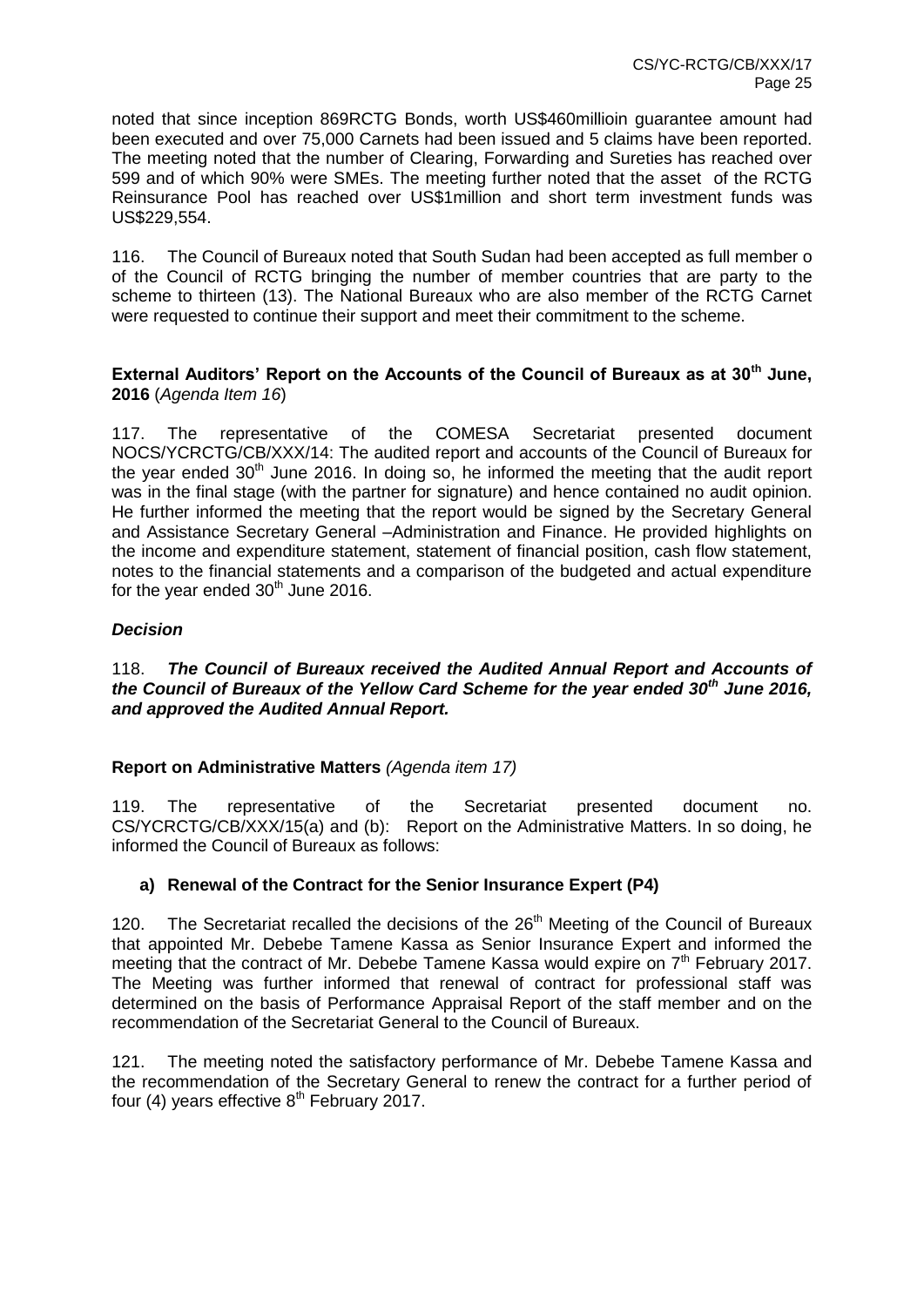noted that since inception 869RCTG Bonds, worth US\$460millioin guarantee amount had been executed and over 75,000 Carnets had been issued and 5 claims have been reported. The meeting noted that the number of Clearing, Forwarding and Sureties has reached over 599 and of which 90% were SMEs. The meeting further noted that the asset of the RCTG Reinsurance Pool has reached over US\$1million and short term investment funds was US\$229,554.

116. The Council of Bureaux noted that South Sudan had been accepted as full member o of the Council of RCTG bringing the number of member countries that are party to the scheme to thirteen (13). The National Bureaux who are also member of the RCTG Carnet were requested to continue their support and meet their commitment to the scheme.

# **External Auditors' Report on the Accounts of the Council of Bureaux as at 30th June, 2016** (*Agenda Item 16*)

117. The representative of the COMESA Secretariat presented document NOCS/YCRCTG/CB/XXX/14: The audited report and accounts of the Council of Bureaux for the year ended  $30<sup>th</sup>$  June 2016. In doing so, he informed the meeting that the audit report was in the final stage (with the partner for signature) and hence contained no audit opinion. He further informed the meeting that the report would be signed by the Secretary General and Assistance Secretary General –Administration and Finance. He provided highlights on the income and expenditure statement, statement of financial position, cash flow statement, notes to the financial statements and a comparison of the budgeted and actual expenditure for the year ended  $30<sup>th</sup>$  June 2016.

# *Decision*

# 118. *The Council of Bureaux received the Audited Annual Report and Accounts of the Council of Bureaux of the Yellow Card Scheme for the year ended 30th June 2016, and approved the Audited Annual Report.*

# **Report on Administrative Matters** *(Agenda item 17)*

119. The representative of the Secretariat presented document no. CS/YCRCTG/CB/XXX/15(a) and (b): Report on the Administrative Matters. In so doing, he informed the Council of Bureaux as follows:

# **a) Renewal of the Contract for the Senior Insurance Expert (P4)**

120. The Secretariat recalled the decisions of the 26<sup>th</sup> Meeting of the Council of Bureaux that appointed Mr. Debebe Tamene Kassa as Senior Insurance Expert and informed the meeting that the contract of Mr. Debebe Tamene Kassa would expire on  $7<sup>th</sup>$  February 2017. The Meeting was further informed that renewal of contract for professional staff was determined on the basis of Performance Appraisal Report of the staff member and on the recommendation of the Secretariat General to the Council of Bureaux.

121. The meeting noted the satisfactory performance of Mr. Debebe Tamene Kassa and the recommendation of the Secretary General to renew the contract for a further period of four (4) years effective  $8<sup>th</sup>$  February 2017.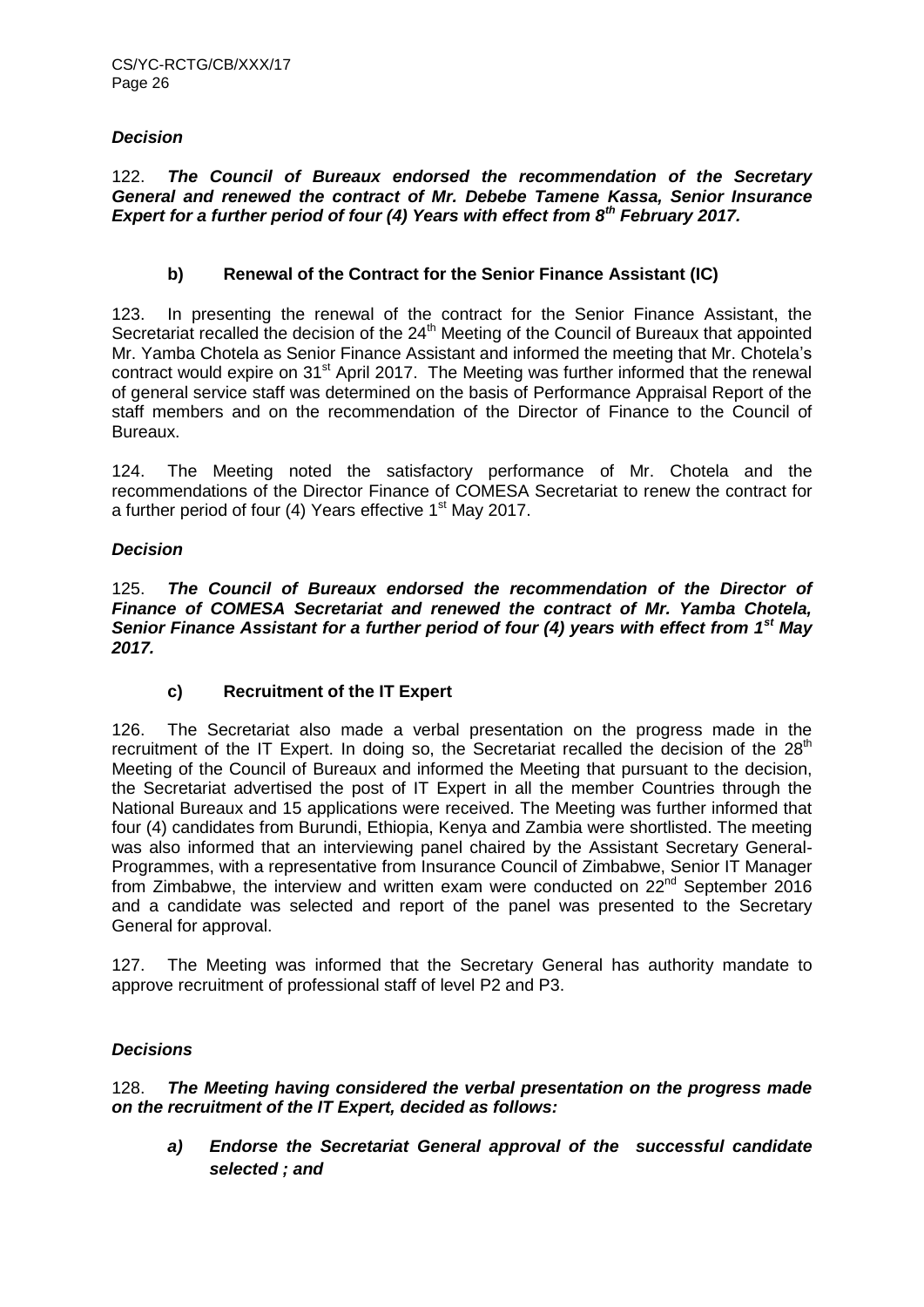# *Decision*

122. *The Council of Bureaux endorsed the recommendation of the Secretary General and renewed the contract of Mr. Debebe Tamene Kassa, Senior Insurance Expert for a further period of four (4) Years with effect from 8th February 2017.*

# **b) Renewal of the Contract for the Senior Finance Assistant (IC)**

123. In presenting the renewal of the contract for the Senior Finance Assistant, the Secretariat recalled the decision of the 24<sup>th</sup> Meeting of the Council of Bureaux that appointed Mr. Yamba Chotela as Senior Finance Assistant and informed the meeting that Mr. Chotela's contract would expire on 31<sup>st</sup> April 2017. The Meeting was further informed that the renewal of general service staff was determined on the basis of Performance Appraisal Report of the staff members and on the recommendation of the Director of Finance to the Council of Bureaux.

124. The Meeting noted the satisfactory performance of Mr. Chotela and the recommendations of the Director Finance of COMESA Secretariat to renew the contract for a further period of four  $(4)$  Years effective 1<sup>st</sup> May 2017.

# *Decision*

125. *The Council of Bureaux endorsed the recommendation of the Director of Finance of COMESA Secretariat and renewed the contract of Mr. Yamba Chotela, Senior Finance Assistant for a further period of four (4) years with effect from 1st May 2017.*

# **c) Recruitment of the IT Expert**

126. The Secretariat also made a verbal presentation on the progress made in the recruitment of the IT Expert. In doing so, the Secretariat recalled the decision of the 28<sup>th</sup> Meeting of the Council of Bureaux and informed the Meeting that pursuant to the decision, the Secretariat advertised the post of IT Expert in all the member Countries through the National Bureaux and 15 applications were received. The Meeting was further informed that four (4) candidates from Burundi, Ethiopia, Kenya and Zambia were shortlisted. The meeting was also informed that an interviewing panel chaired by the Assistant Secretary General-Programmes, with a representative from Insurance Council of Zimbabwe, Senior IT Manager from Zimbabwe, the interview and written exam were conducted on  $22<sup>nd</sup>$  September 2016 and a candidate was selected and report of the panel was presented to the Secretary General for approval.

127. The Meeting was informed that the Secretary General has authority mandate to approve recruitment of professional staff of level P2 and P3.

# *Decisions*

# 128. *The Meeting having considered the verbal presentation on the progress made on the recruitment of the IT Expert, decided as follows:*

*a) Endorse the Secretariat General approval of the successful candidate selected ; and*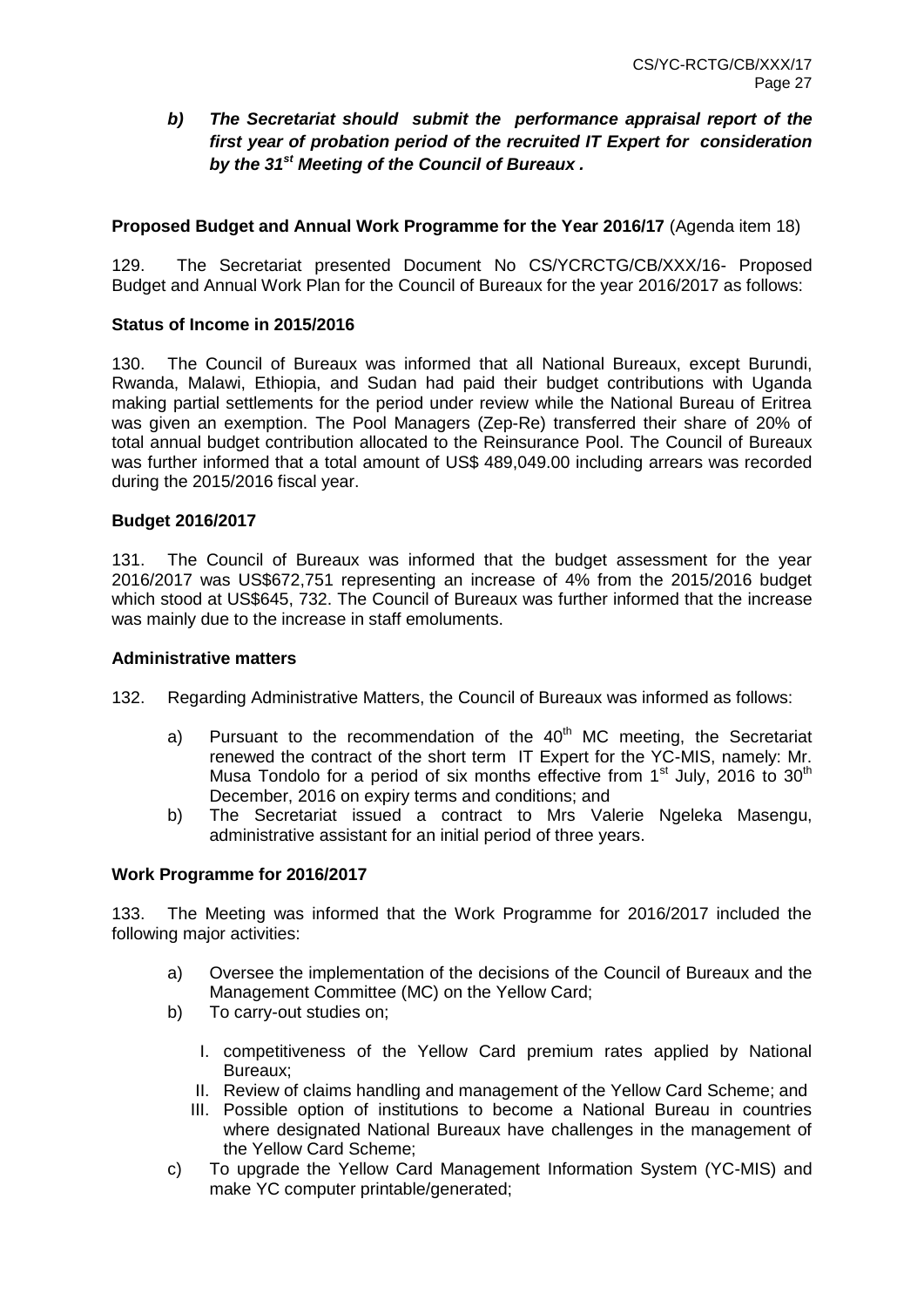# *b) The Secretariat should submit the performance appraisal report of the first year of probation period of the recruited IT Expert for consideration by the 31st Meeting of the Council of Bureaux .*

# **Proposed Budget and Annual Work Programme for the Year 2016/17** (Agenda item 18)

129. The Secretariat presented Document No CS/YCRCTG/CB/XXX/16- Proposed Budget and Annual Work Plan for the Council of Bureaux for the year 2016/2017 as follows:

#### **Status of Income in 2015/2016**

130. The Council of Bureaux was informed that all National Bureaux, except Burundi, Rwanda, Malawi, Ethiopia, and Sudan had paid their budget contributions with Uganda making partial settlements for the period under review while the National Bureau of Eritrea was given an exemption. The Pool Managers (Zep-Re) transferred their share of 20% of total annual budget contribution allocated to the Reinsurance Pool. The Council of Bureaux was further informed that a total amount of US\$ 489,049.00 including arrears was recorded during the 2015/2016 fiscal year.

#### **Budget 2016/2017**

131. The Council of Bureaux was informed that the budget assessment for the year 2016/2017 was US\$672,751 representing an increase of 4% from the 2015/2016 budget which stood at US\$645, 732. The Council of Bureaux was further informed that the increase was mainly due to the increase in staff emoluments.

#### **Administrative matters**

- 132. Regarding Administrative Matters, the Council of Bureaux was informed as follows:
	- a) Pursuant to the recommendation of the  $40<sup>th</sup>$  MC meeting, the Secretariat renewed the contract of the short term IT Expert for the YC-MIS, namely: Mr. Musa Tondolo for a period of six months effective from  $1<sup>st</sup>$  July, 2016 to 30<sup>th</sup> December, 2016 on expiry terms and conditions; and
	- b) The Secretariat issued a contract to Mrs Valerie Ngeleka Masengu, administrative assistant for an initial period of three years.

#### **Work Programme for 2016/2017**

133. The Meeting was informed that the Work Programme for 2016/2017 included the following major activities:

- a) Oversee the implementation of the decisions of the Council of Bureaux and the Management Committee (MC) on the Yellow Card;
- b) To carry-out studies on;
	- I. competitiveness of the Yellow Card premium rates applied by National Bureaux;
	- II. Review of claims handling and management of the Yellow Card Scheme; and
	- III. Possible option of institutions to become a National Bureau in countries where designated National Bureaux have challenges in the management of the Yellow Card Scheme;
- c) To upgrade the Yellow Card Management Information System (YC-MIS) and make YC computer printable/generated;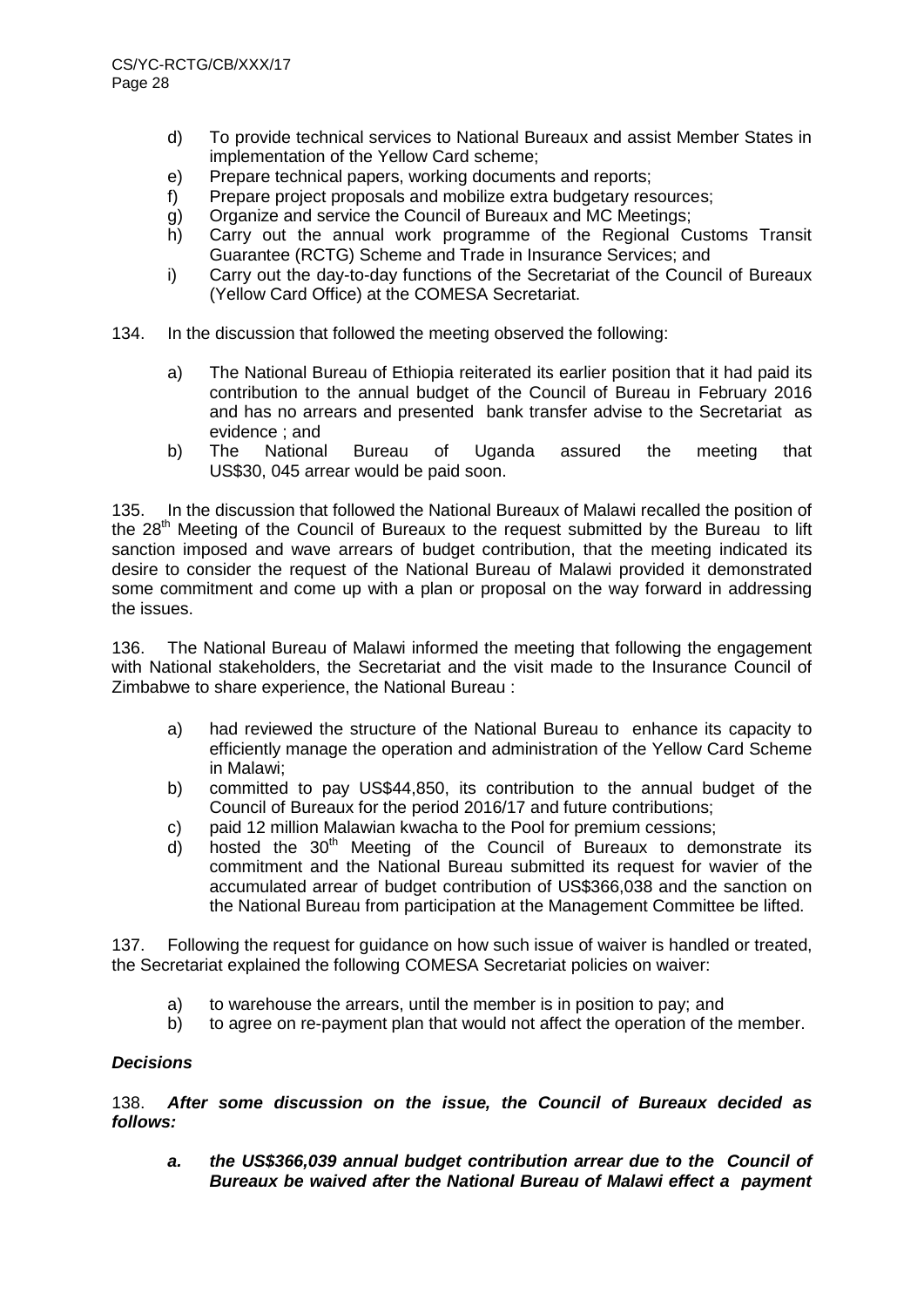- d) To provide technical services to National Bureaux and assist Member States in implementation of the Yellow Card scheme;
- e) Prepare technical papers, working documents and reports;
- f) Prepare project proposals and mobilize extra budgetary resources;
- g) Organize and service the Council of Bureaux and MC Meetings;
- h) Carry out the annual work programme of the Regional Customs Transit Guarantee (RCTG) Scheme and Trade in Insurance Services; and
- i) Carry out the day-to-day functions of the Secretariat of the Council of Bureaux (Yellow Card Office) at the COMESA Secretariat.
- 134. In the discussion that followed the meeting observed the following:
	- a) The National Bureau of Ethiopia reiterated its earlier position that it had paid its contribution to the annual budget of the Council of Bureau in February 2016 and has no arrears and presented bank transfer advise to the Secretariat as evidence ; and
	- b) The National Bureau of Uganda assured the meeting that US\$30, 045 arrear would be paid soon.

135. In the discussion that followed the National Bureaux of Malawi recalled the position of the  $28<sup>th</sup>$  Meeting of the Council of Bureaux to the request submitted by the Bureau to lift sanction imposed and wave arrears of budget contribution, that the meeting indicated its desire to consider the request of the National Bureau of Malawi provided it demonstrated some commitment and come up with a plan or proposal on the way forward in addressing the issues.

136. The National Bureau of Malawi informed the meeting that following the engagement with National stakeholders, the Secretariat and the visit made to the Insurance Council of Zimbabwe to share experience, the National Bureau :

- a) had reviewed the structure of the National Bureau to enhance its capacity to efficiently manage the operation and administration of the Yellow Card Scheme in Malawi;
- b) committed to pay US\$44,850, its contribution to the annual budget of the Council of Bureaux for the period 2016/17 and future contributions;
- c) paid 12 million Malawian kwacha to the Pool for premium cessions;
- d) hosted the  $30<sup>th</sup>$  Meeting of the Council of Bureaux to demonstrate its commitment and the National Bureau submitted its request for wavier of the accumulated arrear of budget contribution of US\$366,038 and the sanction on the National Bureau from participation at the Management Committee be lifted.

137. Following the request for guidance on how such issue of waiver is handled or treated, the Secretariat explained the following COMESA Secretariat policies on waiver:

- a) to warehouse the arrears, until the member is in position to pay; and
- b) to agree on re-payment plan that would not affect the operation of the member.

# *Decisions*

138. *After some discussion on the issue, the Council of Bureaux decided as follows:*

*a. the US\$366,039 annual budget contribution arrear due to the Council of Bureaux be waived after the National Bureau of Malawi effect a payment*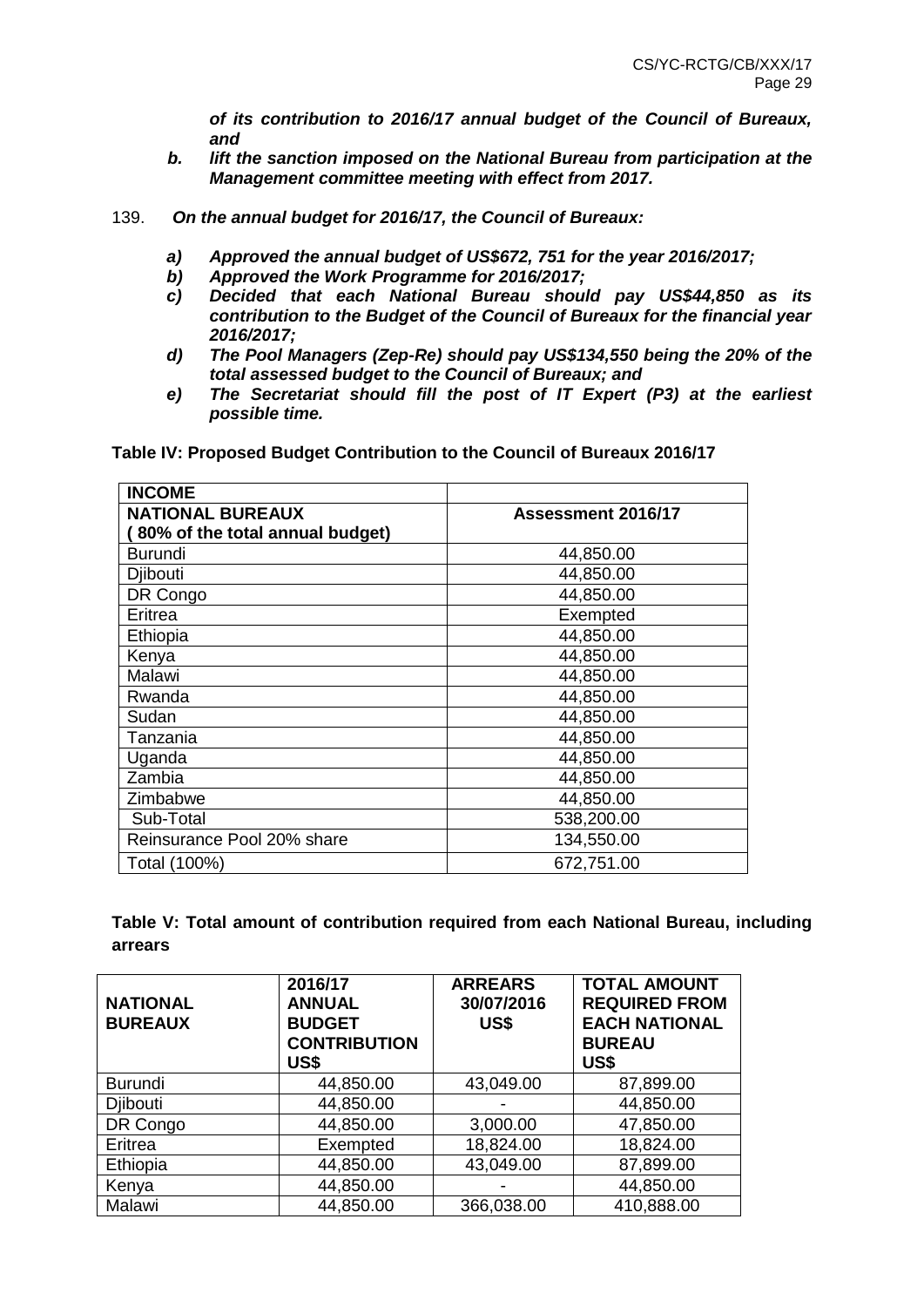*of its contribution to 2016/17 annual budget of the Council of Bureaux, and* 

- *b. lift the sanction imposed on the National Bureau from participation at the Management committee meeting with effect from 2017.*
- 139. *On the annual budget for 2016/17, the Council of Bureaux:* 
	- *a) Approved the annual budget of US\$672, 751 for the year 2016/2017;*
	- *b) Approved the Work Programme for 2016/2017;*
	- *c) Decided that each National Bureau should pay US\$44,850 as its contribution to the Budget of the Council of Bureaux for the financial year 2016/2017;*
	- *d) The Pool Managers (Zep-Re) should pay US\$134,550 being the 20% of the total assessed budget to the Council of Bureaux; and*
	- *e) The Secretariat should fill the post of IT Expert (P3) at the earliest possible time.*

| <b>INCOME</b>                   |                    |
|---------------------------------|--------------------|
| <b>NATIONAL BUREAUX</b>         | Assessment 2016/17 |
| 80% of the total annual budget) |                    |
| <b>Burundi</b>                  | 44,850.00          |
| <b>Dibouti</b>                  | 44,850.00          |
| DR Congo                        | 44,850.00          |
| Eritrea                         | Exempted           |
| Ethiopia                        | 44,850.00          |
| Kenya                           | 44,850.00          |
| Malawi                          | 44,850.00          |
| Rwanda                          | 44,850.00          |
| Sudan                           | 44,850.00          |
| Tanzania                        | 44,850.00          |
| Uganda                          | 44,850.00          |
| Zambia                          | 44,850.00          |
| Zimbabwe                        | 44,850.00          |
| Sub-Total                       | 538,200.00         |
| Reinsurance Pool 20% share      | 134,550.00         |
| Total (100%)                    | 672,751.00         |

**Table IV: Proposed Budget Contribution to the Council of Bureaux 2016/17**

**Table V: Total amount of contribution required from each National Bureau, including arrears**

| <b>NATIONAL</b><br><b>BUREAUX</b> | 2016/17<br><b>ANNUAL</b><br><b>BUDGET</b><br><b>CONTRIBUTION</b><br>US\$ | <b>ARREARS</b><br>30/07/2016<br>US\$ | <b>TOTAL AMOUNT</b><br><b>REQUIRED FROM</b><br><b>EACH NATIONAL</b><br><b>BUREAU</b><br>US\$ |  |  |  |
|-----------------------------------|--------------------------------------------------------------------------|--------------------------------------|----------------------------------------------------------------------------------------------|--|--|--|
| <b>Burundi</b>                    | 44,850.00                                                                | 43,049.00                            | 87,899.00                                                                                    |  |  |  |
| <b>Dibouti</b>                    | 44,850.00                                                                |                                      | 44,850.00                                                                                    |  |  |  |
| DR Congo                          | 44,850.00                                                                | 3,000.00                             | 47,850.00                                                                                    |  |  |  |
| Eritrea                           | Exempted                                                                 | 18,824.00                            | 18,824.00                                                                                    |  |  |  |
| Ethiopia                          | 44,850.00                                                                | 43,049.00                            | 87,899.00                                                                                    |  |  |  |
| Kenya                             | 44,850.00                                                                |                                      | 44,850.00                                                                                    |  |  |  |
| Malawi                            | 44,850.00                                                                | 366,038.00                           | 410,888.00                                                                                   |  |  |  |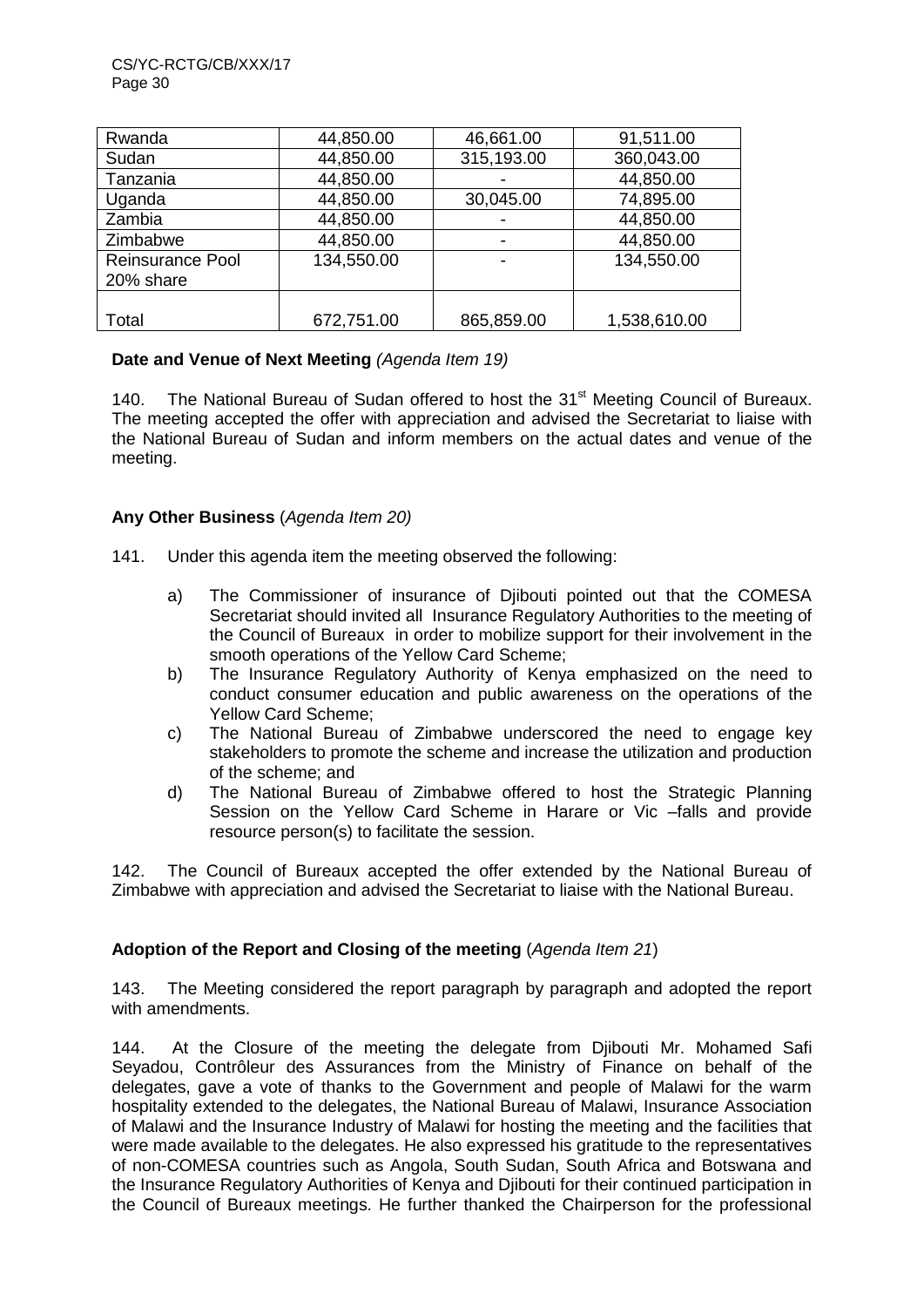| Rwanda                  | 44,850.00  | 46,661.00  | 91,511.00    |
|-------------------------|------------|------------|--------------|
| Sudan                   | 44,850.00  | 315,193.00 | 360,043.00   |
| Tanzania                | 44,850.00  |            | 44,850.00    |
| Uganda                  | 44,850.00  | 30,045.00  | 74,895.00    |
| Zambia                  | 44,850.00  | -          | 44,850.00    |
| Zimbabwe                | 44,850.00  | -          | 44,850.00    |
| <b>Reinsurance Pool</b> | 134,550.00 |            | 134,550.00   |
| 20% share               |            |            |              |
|                         |            |            |              |
| Total                   | 672,751.00 | 865,859.00 | 1,538,610.00 |

# **Date and Venue of Next Meeting** *(Agenda Item 19)*

140. The National Bureau of Sudan offered to host the 31<sup>st</sup> Meeting Council of Bureaux. The meeting accepted the offer with appreciation and advised the Secretariat to liaise with the National Bureau of Sudan and inform members on the actual dates and venue of the meeting.

# **Any Other Business** (*Agenda Item 20)*

- 141. Under this agenda item the meeting observed the following:
	- a) The Commissioner of insurance of Djibouti pointed out that the COMESA Secretariat should invited all Insurance Regulatory Authorities to the meeting of the Council of Bureaux in order to mobilize support for their involvement in the smooth operations of the Yellow Card Scheme;
	- b) The Insurance Regulatory Authority of Kenya emphasized on the need to conduct consumer education and public awareness on the operations of the Yellow Card Scheme;
	- c) The National Bureau of Zimbabwe underscored the need to engage key stakeholders to promote the scheme and increase the utilization and production of the scheme; and
	- d) The National Bureau of Zimbabwe offered to host the Strategic Planning Session on the Yellow Card Scheme in Harare or Vic –falls and provide resource person(s) to facilitate the session.

142. The Council of Bureaux accepted the offer extended by the National Bureau of Zimbabwe with appreciation and advised the Secretariat to liaise with the National Bureau.

# **Adoption of the Report and Closing of the meeting** (*Agenda Item 21*)

143. The Meeting considered the report paragraph by paragraph and adopted the report with amendments.

144. At the Closure of the meeting the delegate from Djibouti Mr. Mohamed Safi Seyadou, Contrôleur des Assurances from the Ministry of Finance on behalf of the delegates, gave a vote of thanks to the Government and people of Malawi for the warm hospitality extended to the delegates, the National Bureau of Malawi, Insurance Association of Malawi and the Insurance Industry of Malawi for hosting the meeting and the facilities that were made available to the delegates. He also expressed his gratitude to the representatives of non-COMESA countries such as Angola, South Sudan, South Africa and Botswana and the Insurance Regulatory Authorities of Kenya and Djibouti for their continued participation in the Council of Bureaux meetings. He further thanked the Chairperson for the professional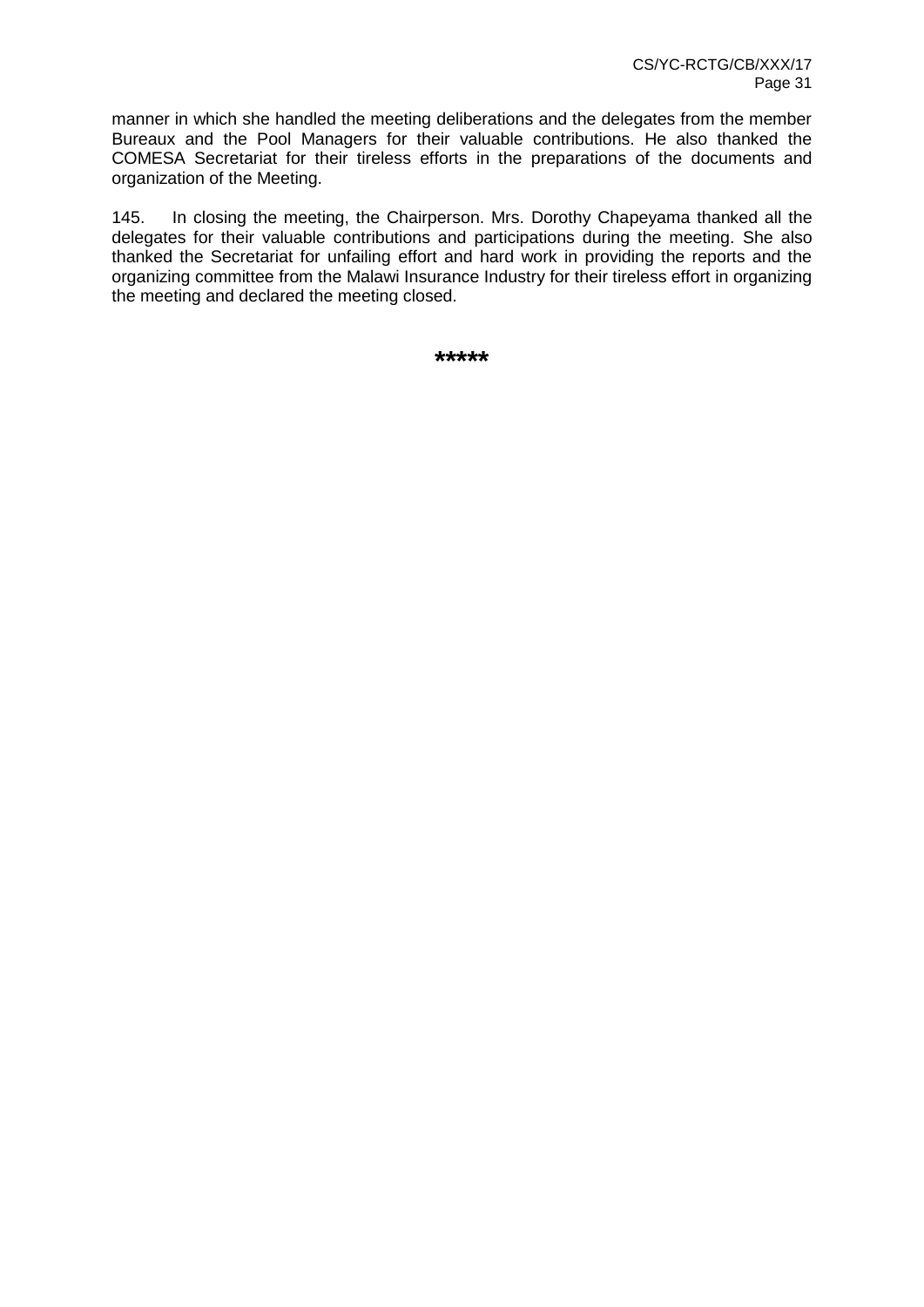manner in which she handled the meeting deliberations and the delegates from the member Bureaux and the Pool Managers for their valuable contributions. He also thanked the COMESA Secretariat for their tireless efforts in the preparations of the documents and organization of the Meeting.

145. In closing the meeting, the Chairperson. Mrs. Dorothy Chapeyama thanked all the delegates for their valuable contributions and participations during the meeting. She also thanked the Secretariat for unfailing effort and hard work in providing the reports and the organizing committee from the Malawi Insurance Industry for their tireless effort in organizing the meeting and declared the meeting closed.

**\*\*\*\*\***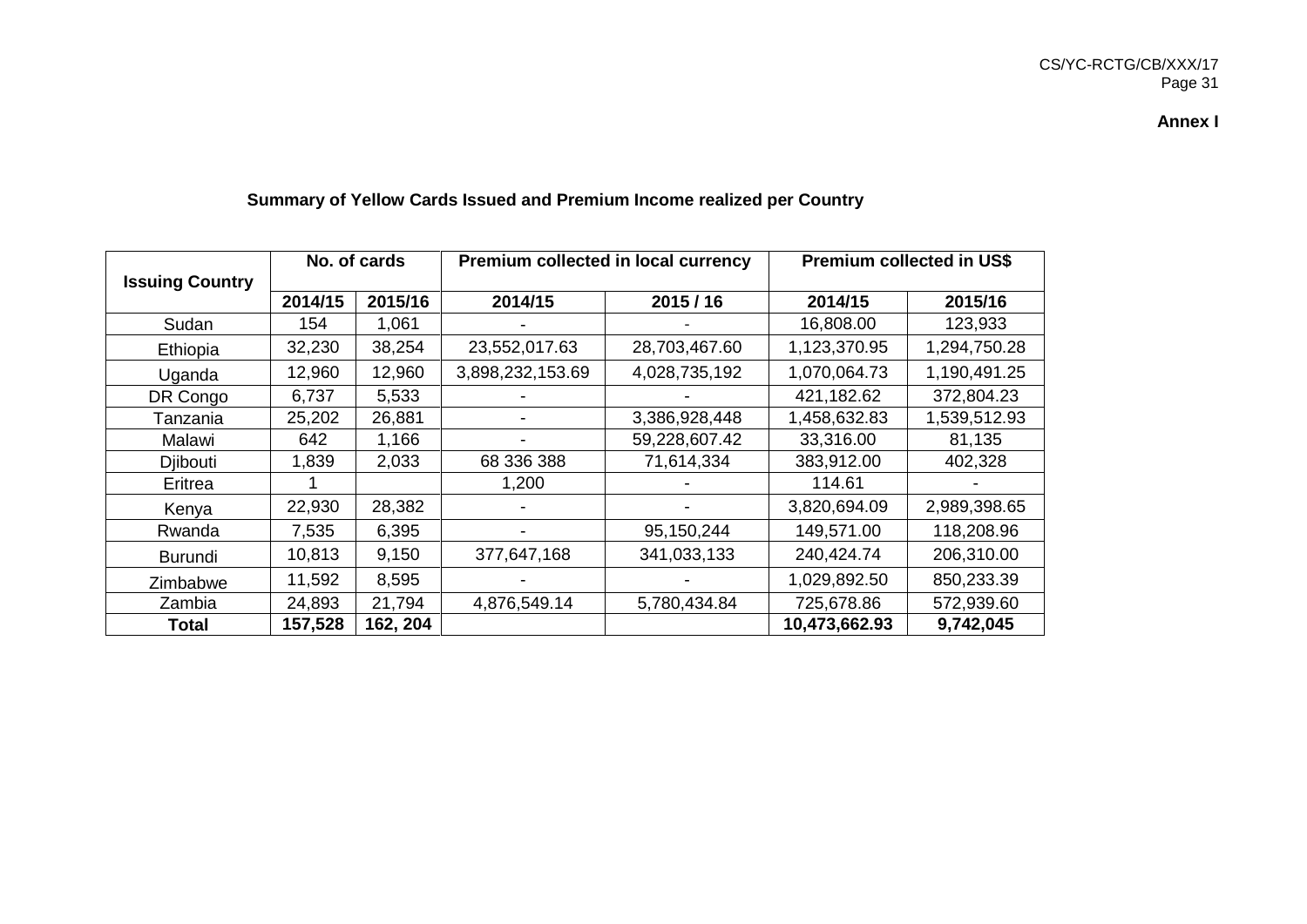# CS/YC-RCTG/CB/XXX/17 Page 31

**Annex I**

|                        | No. of cards |          | Premium collected in local currency |               | <b>Premium collected in US\$</b> |              |  |  |
|------------------------|--------------|----------|-------------------------------------|---------------|----------------------------------|--------------|--|--|
| <b>Issuing Country</b> |              |          |                                     |               |                                  |              |  |  |
|                        | 2014/15      | 2015/16  | 2014/15                             | 2015/16       | 2014/15                          | 2015/16      |  |  |
| Sudan                  | 154          | 1,061    |                                     |               | 16,808.00                        | 123,933      |  |  |
| Ethiopia               | 32,230       | 38,254   | 23,552,017.63                       | 28,703,467.60 | 1,123,370.95                     | 1,294,750.28 |  |  |
| Uganda                 | 12,960       | 12,960   | 3,898,232,153.69                    | 4,028,735,192 | 1,070,064.73                     | 1,190,491.25 |  |  |
| DR Congo               | 6,737        | 5,533    |                                     |               | 421,182.62                       | 372,804.23   |  |  |
| Tanzania               | 25,202       | 26,881   |                                     | 3,386,928,448 | 1,458,632.83                     | 1,539,512.93 |  |  |
| Malawi                 | 642          | 1,166    |                                     | 59,228,607.42 | 33,316.00                        | 81,135       |  |  |
| <b>Dibouti</b>         | 1,839        | 2,033    | 68 336 388                          | 71,614,334    | 383,912.00                       | 402,328      |  |  |
| Eritrea                |              |          | 1,200                               |               | 114.61                           |              |  |  |
| Kenya                  | 22,930       | 28,382   |                                     |               | 3,820,694.09                     | 2,989,398.65 |  |  |
| Rwanda                 | 7,535        | 6,395    |                                     | 95,150,244    | 149,571.00                       | 118,208.96   |  |  |
| <b>Burundi</b>         | 10,813       | 9,150    | 377,647,168                         | 341,033,133   | 240,424.74                       | 206,310.00   |  |  |
| Zimbabwe               | 11,592       | 8,595    |                                     |               | 1,029,892.50                     | 850,233.39   |  |  |
| Zambia                 | 24,893       | 21,794   | 4,876,549.14                        | 5,780,434.84  | 725,678.86                       | 572,939.60   |  |  |
| <b>Total</b>           | 157,528      | 162, 204 |                                     |               | 10,473,662.93                    | 9,742,045    |  |  |

# **Summary of Yellow Cards Issued and Premium Income realized per Country**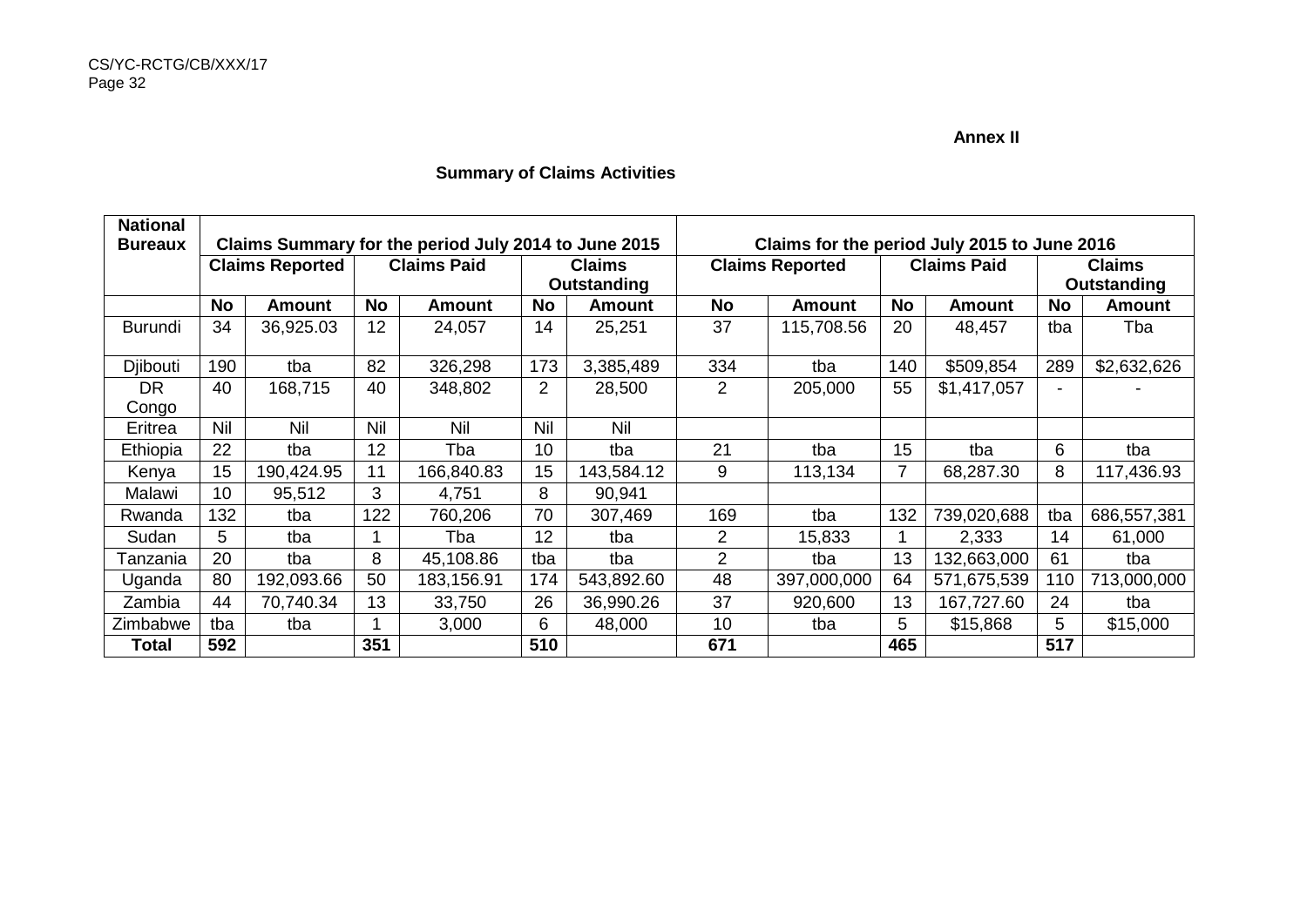#### **Annex II**

# **Summary of Claims Activities**

| <b>National</b><br><b>Bureaux</b> | Claims Summary for the period July 2014 to June 2015 |                        |     |                    |                | Claims for the period July 2015 to June 2016 |                        |               |                    |               |               |               |
|-----------------------------------|------------------------------------------------------|------------------------|-----|--------------------|----------------|----------------------------------------------|------------------------|---------------|--------------------|---------------|---------------|---------------|
|                                   |                                                      | <b>Claims Reported</b> |     | <b>Claims Paid</b> | <b>Claims</b>  |                                              | <b>Claims Reported</b> |               | <b>Claims Paid</b> |               | <b>Claims</b> |               |
|                                   |                                                      |                        |     |                    |                | Outstanding                                  |                        |               |                    |               | Outstanding   |               |
|                                   | No                                                   | <b>Amount</b>          | No  | <b>Amount</b>      | No             | <b>Amount</b>                                | No                     | <b>Amount</b> | No                 | <b>Amount</b> | <b>No</b>     | <b>Amount</b> |
| <b>Burundi</b>                    | 34                                                   | 36,925.03              | 12  | 24,057             | 14             | 25,251                                       | 37                     | 115,708.56    | 20                 | 48,457        | tba           | Tba           |
| Djibouti                          | 190                                                  | tba                    | 82  | 326,298            | 173            | 3,385,489                                    | 334                    | tba           | 140                | \$509,854     | 289           | \$2,632,626   |
| <b>DR</b>                         | 40                                                   | 168,715                | 40  | 348,802            | $\overline{2}$ | 28,500                                       | 2                      | 205,000       | 55                 | \$1,417,057   | -             |               |
| Congo                             |                                                      |                        |     |                    |                |                                              |                        |               |                    |               |               |               |
| Eritrea                           | Nil                                                  | Nil                    | Nil | Nil                | Nil            | Nil                                          |                        |               |                    |               |               |               |
| Ethiopia                          | 22                                                   | tba                    | 12  | Tba                | 10             | tba                                          | 21                     | tba           | 15                 | tba           | 6             | tba           |
| Kenya                             | 15                                                   | 190,424.95             | 11  | 166,840.83         | 15             | 143,584.12                                   | 9                      | 113,134       |                    | 68,287.30     | 8             | 117,436.93    |
| Malawi                            | 10                                                   | 95,512                 | 3   | 4,751              | 8              | 90,941                                       |                        |               |                    |               |               |               |
| Rwanda                            | 132                                                  | tba                    | 122 | 760,206            | 70             | 307,469                                      | 169                    | tba           | 132                | 739,020,688   | tba           | 686,557,381   |
| Sudan                             | 5                                                    | tba                    |     | Tba                | 12             | tba                                          | 2                      | 15,833        |                    | 2,333         | 14            | 61,000        |
| Tanzania                          | 20                                                   | tba                    | 8   | 45,108.86          | tba            | tba                                          | 2                      | tba           | 13                 | 132,663,000   | 61            | tba           |
| Uganda                            | 80                                                   | 192,093.66             | 50  | 183,156.91         | 174            | 543,892.60                                   | 48                     | 397,000,000   | 64                 | 571,675,539   | 110           | 713,000,000   |
| Zambia                            | 44                                                   | 70,740.34              | 13  | 33,750             | 26             | 36,990.26                                    | 37                     | 920,600       | 13                 | 167,727.60    | 24            | tba           |
| Zimbabwe                          | tba                                                  | tba                    |     | 3,000              | 6              | 48,000                                       | 10                     | tba           | 5                  | \$15,868      | 5             | \$15,000      |
| Total                             | 592                                                  |                        | 351 |                    | 510            |                                              | 671                    |               | 465                |               | 517           |               |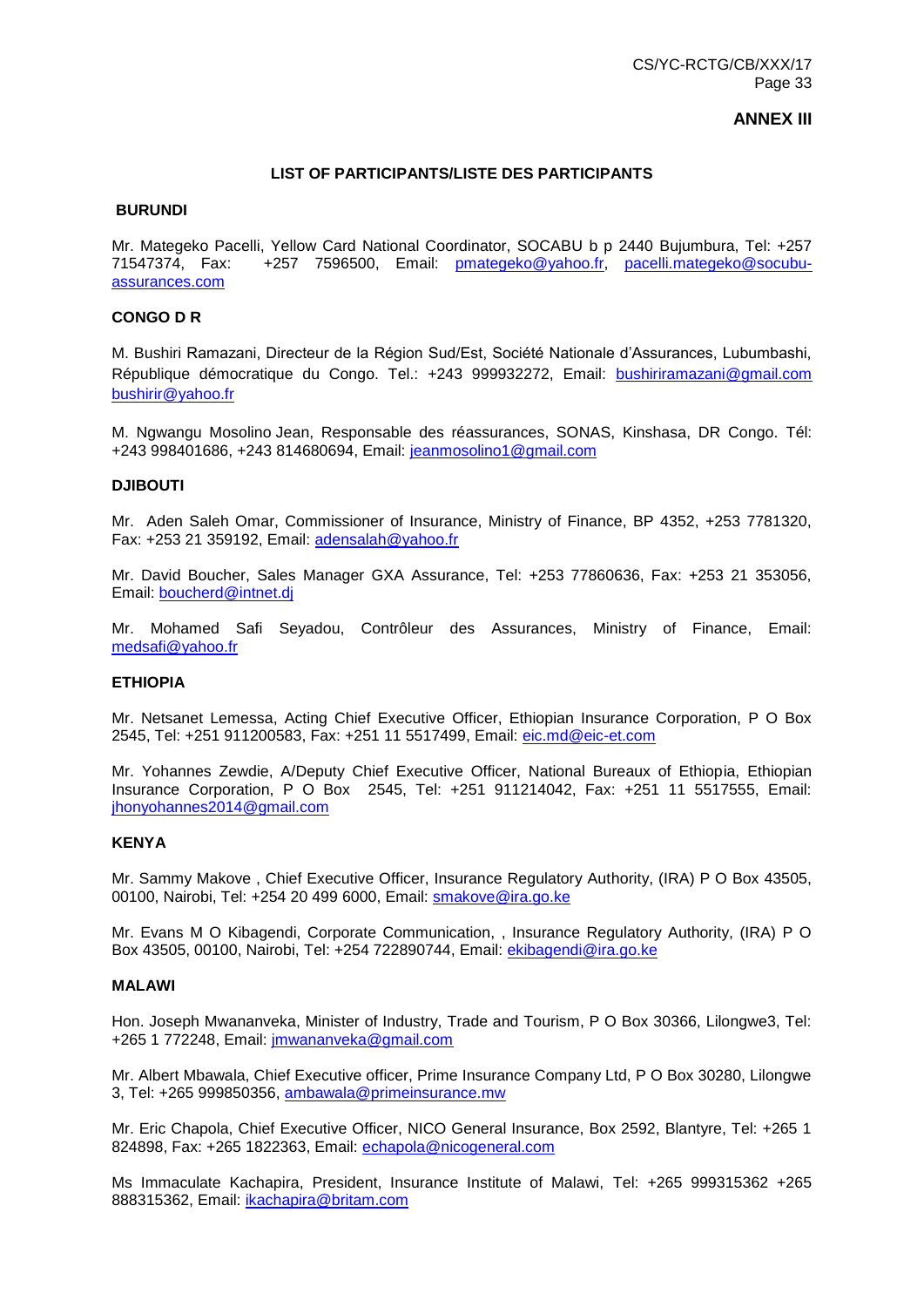#### **ANNEX III**

#### **LIST OF PARTICIPANTS/LISTE DES PARTICIPANTS**

#### **BURUNDI**

Mr. Mategeko Pacelli, Yellow Card National Coordinator, SOCABU b p 2440 Bujumbura, Tel: +257 71547374, Fax: +257 7596500, Email: [pmategeko@yahoo.fr,](mailto:pmategeko@yahoo.fr) [pacelli.mategeko@socubu](mailto:pacelli.mategeko@socubu-assurances.com)[assurances.com](mailto:pacelli.mategeko@socubu-assurances.com)

#### **CONGO D R**

M. Bushiri Ramazani, Directeur de la Région Sud/Est, Société Nationale d'Assurances, Lubumbashi, République démocratique du Congo. Tel.: +243 999932272, Email: [bushiriramazani@gmail.com](mailto:bushiriramazani@gmail.com) [bushirir@yahoo.fr](mailto:bushirir@yahoo.fr)

M. Ngwangu Mosolino Jean, Responsable des réassurances, SONAS, Kinshasa, DR Congo. Tél: +243 998401686, +243 814680694, Email: [jeanmosolino1@gmail.com](mailto:jeanmosolino1@gmail.com)

#### **DJIBOUTI**

Mr. Aden Saleh Omar, Commissioner of Insurance, Ministry of Finance, BP 4352, +253 7781320, Fax: +253 21 359192, Email: [adensalah@yahoo.fr](mailto:adensalah@yahoo.fr)

Mr. David Boucher, Sales Manager GXA Assurance, Tel: +253 77860636, Fax: +253 21 353056, Email: [boucherd@intnet.dj](mailto:boucherd@intnet.dj)

Mr. Mohamed Safi Seyadou, Contrôleur des Assurances, Ministry of Finance, Email: [medsafi@yahoo.fr](mailto:medsafi@yahoo.fr)

#### **ETHIOPIA**

Mr. Netsanet Lemessa, Acting Chief Executive Officer, Ethiopian Insurance Corporation, P O Box 2545, Tel: +251 911200583, Fax: +251 11 5517499, Email: [eic.md@eic-et.com](mailto:eic.md@eic-et.com)

Mr. Yohannes Zewdie, A/Deputy Chief Executive Officer, National Bureaux of Ethiopia, Ethiopian Insurance Corporation, P O Box 2545, Tel: +251 911214042, Fax: +251 11 5517555, Email: [jhonyohannes2014@gmail.com](mailto:jhonyohannes2014@gmail.com)

#### **KENYA**

Mr. Sammy Makove , Chief Executive Officer, Insurance Regulatory Authority, (IRA) P O Box 43505, 00100, Nairobi, Tel: +254 20 499 6000, Email: [smakove@ira.go.ke](mailto:smakove@ira.go.ke)

Mr. Evans M O Kibagendi, Corporate Communication, , Insurance Regulatory Authority, (IRA) P O Box 43505, 00100, Nairobi, Tel: +254 722890744, Email: [ekibagendi@ira.go.ke](mailto:ekibagendi@ira.go.ke)

#### **MALAWI**

Hon. Joseph Mwananveka, Minister of Industry, Trade and Tourism, P O Box 30366, Lilongwe3, Tel: +265 1 772248, Email: [jmwananveka@gmail.com](mailto:jmwananveka@gmail.com)

Mr. Albert Mbawala, Chief Executive officer, Prime Insurance Company Ltd, P O Box 30280, Lilongwe 3, Tel: +265 999850356, [ambawala@primeinsurance.mw](mailto:ambawala@primeinsurance.mw)

Mr. Eric Chapola, Chief Executive Officer, NICO General Insurance, Box 2592, Blantyre, Tel: +265 1 824898, Fax: +265 1822363, Email: [echapola@nicogeneral.com](mailto:echapola@nicogeneral.com)

Ms Immaculate Kachapira, President, Insurance Institute of Malawi, Tel: +265 999315362 +265 888315362, Email: [ikachapira@britam.com](mailto:ikachapira@britam.com)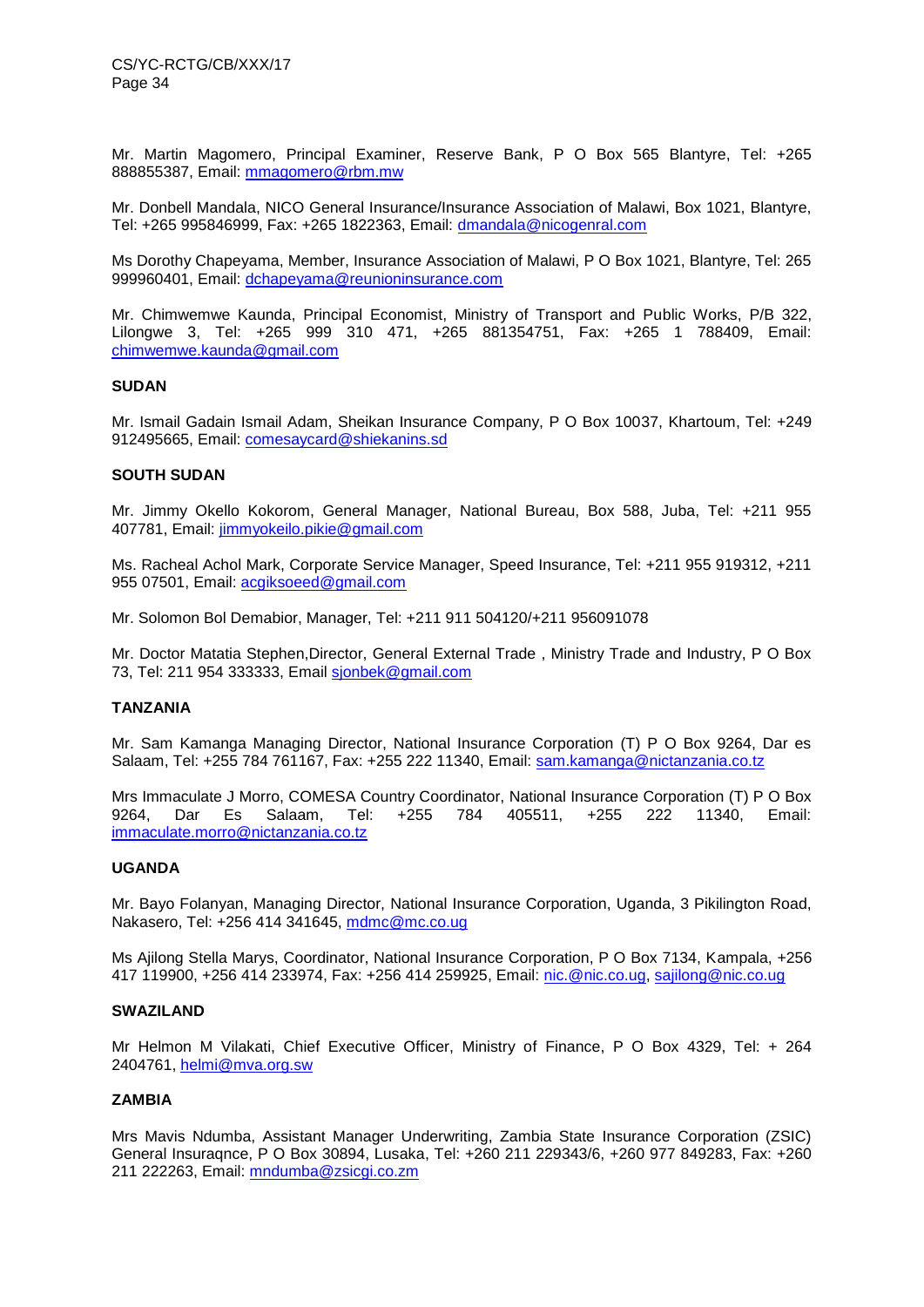Mr. Martin Magomero, Principal Examiner, Reserve Bank, P O Box 565 Blantyre, Tel: +265 888855387, Email: [mmagomero@rbm.mw](mailto:mmagomero@rbm.mw)

Mr. Donbell Mandala, NICO General Insurance/Insurance Association of Malawi, Box 1021, Blantyre, Tel: +265 995846999, Fax: +265 1822363, Email: [dmandala@nicogenral.com](mailto:dmandala@nicogenral.com)

Ms Dorothy Chapeyama, Member, Insurance Association of Malawi, P O Box 1021, Blantyre, Tel: 265 999960401, Email: [dchapeyama@reunioninsurance.com](mailto:dchapeyama@reunioninsurance.com)

Mr. Chimwemwe Kaunda, Principal Economist, Ministry of Transport and Public Works, P/B 322, Lilongwe 3, Tel: +265 999 310 471, +265 881354751, Fax: +265 1 788409, Email: [chimwemwe.kaunda@gmail.com](mailto:chimwemwe.kaunda@gmail.com)

#### **SUDAN**

Mr. Ismail Gadain Ismail Adam, Sheikan Insurance Company, P O Box 10037, Khartoum, Tel: +249 912495665, Email: [comesaycard@shiekanins.sd](mailto:comesaycard@shiekanins.sd)

#### **SOUTH SUDAN**

Mr. Jimmy Okello Kokorom, General Manager, National Bureau, Box 588, Juba, Tel: +211 955 407781, Email: [jimmyokeilo.pikie@gmail.com](mailto:jimmyokeilo.pikie@gmail.com)

Ms. Racheal Achol Mark, Corporate Service Manager, Speed Insurance, Tel: +211 955 919312, +211 955 07501, Email: [acgiksoeed@gmail.com](mailto:acgiksoeed@gmail.com)

Mr. Solomon Bol Demabior, Manager, Tel: +211 911 504120/+211 956091078

Mr. Doctor Matatia Stephen,Director, General External Trade , Ministry Trade and Industry, P O Box 73, Tel: 211 954 333333, Email [sjonbek@gmail.com](mailto:sjonbek@gmail.com)

#### **TANZANIA**

Mr. Sam Kamanga Managing Director, National Insurance Corporation (T) P O Box 9264, Dar es Salaam, Tel: +255 784 761167, Fax: +255 222 11340, Email: [sam.kamanga@nictanzania.co.tz](mailto:sam.kamanga@nictanzania.co.tz)

Mrs Immaculate J Morro, COMESA Country Coordinator, National Insurance Corporation (T) P O Box 9264, Dar Es Salaam, Tel: +255 784 405511, +255 222 11340, Email: [immaculate.morro@nictanzania.co.tz](mailto:immaculate.morro@nictanzania.co.tz)

#### **UGANDA**

Mr. Bayo Folanyan, Managing Director, National Insurance Corporation, Uganda, 3 Pikilington Road, Nakasero, Tel: +256 414 341645, [mdmc@mc.co.ug](mailto:mdmc@mc.co.ug)

Ms Ajilong Stella Marys, Coordinator, National Insurance Corporation, P O Box 7134, Kampala, +256 417 119900, +256 414 233974, Fax: +256 414 259925, Email: [nic.@nic.co.ug,](mailto:nic.@nic.co.ug) [sajilong@nic.co.ug](mailto:sajilong@nic.co.ug)

#### **SWAZILAND**

Mr Helmon M Vilakati, Chief Executive Officer, Ministry of Finance, P O Box 4329, Tel: + 264 2404761, [helmi@mva.org.sw](mailto:helmi@mva.org.sw)

#### **ZAMBIA**

Mrs Mavis Ndumba, Assistant Manager Underwriting, Zambia State Insurance Corporation (ZSIC) General Insuraqnce, P O Box 30894, Lusaka, Tel: +260 211 229343/6, +260 977 849283, Fax: +260 211 222263, Email: [mndumba@zsicgi.co.zm](mailto:mndumba@zsicgi.co.zm)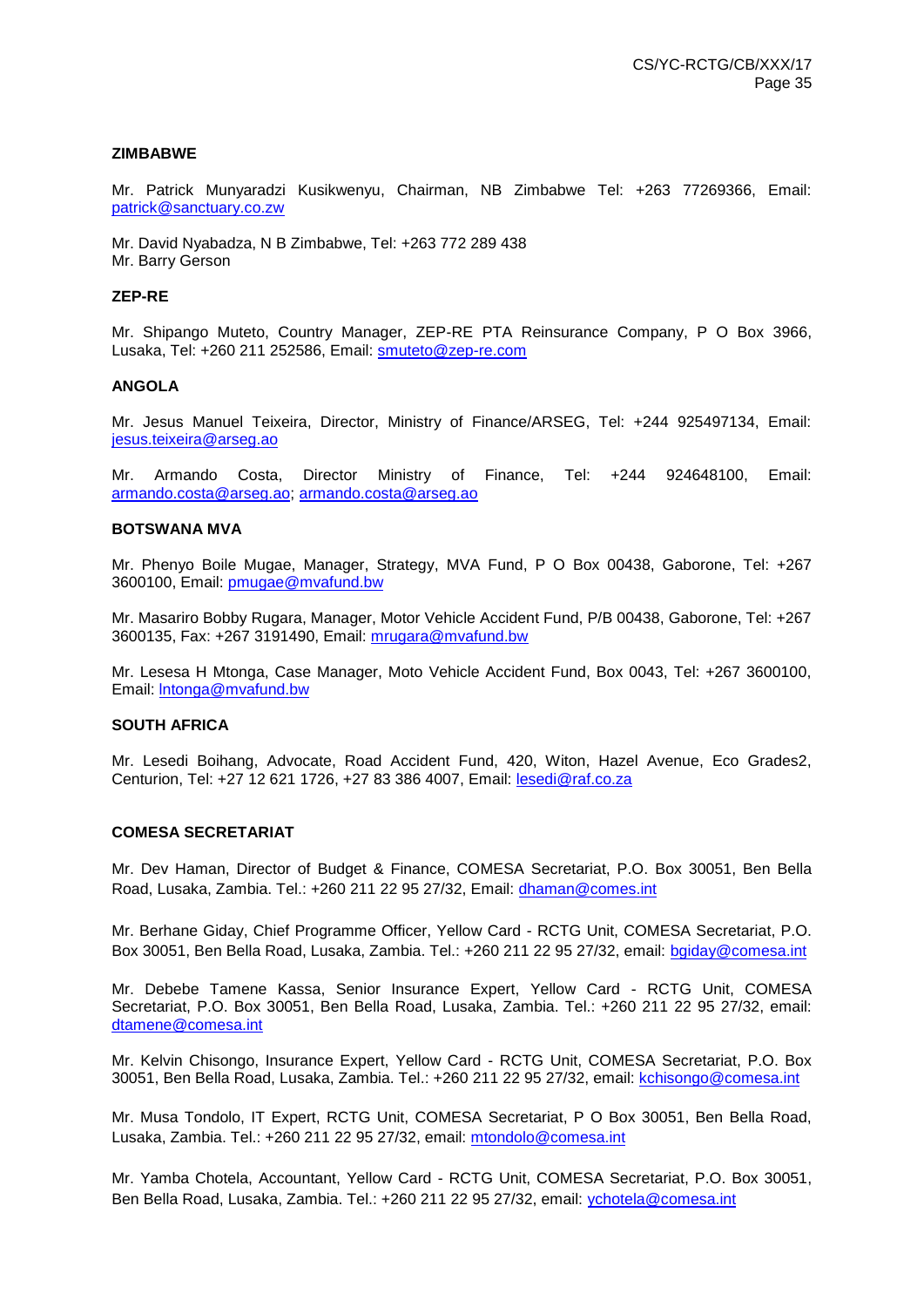#### **ZIMBABWE**

Mr. Patrick Munyaradzi Kusikwenyu, Chairman, NB Zimbabwe Tel: +263 77269366, Email: [patrick@sanctuary.co.zw](mailto:patrick@sanctuary.co.zw)

Mr. David Nyabadza, N B Zimbabwe, Tel: +263 772 289 438 Mr. Barry Gerson

#### **ZEP-RE**

Mr. Shipango Muteto, Country Manager, ZEP-RE PTA Reinsurance Company, P O Box 3966, Lusaka, Tel: +260 211 252586, Email: [smuteto@zep-re.com](mailto:smuteto@zep-re.com)

#### **ANGOLA**

Mr. Jesus Manuel Teixeira, Director, Ministry of Finance/ARSEG, Tel: +244 925497134, Email: [jesus.teixeira@arseg.ao](mailto:jesus.teixeira@arseg.ao)

Mr. Armando Costa, Director Ministry of Finance, Tel: +244 924648100, Email: [armando.costa@arseg.ao; armando.costa@arseg.ao](mailto:armando.costa@arseg.ao)

#### **BOTSWANA MVA**

Mr. Phenyo Boile Mugae, Manager, Strategy, MVA Fund, P O Box 00438, Gaborone, Tel: +267 3600100, Email: [pmugae@mvafund.bw](mailto:pmugae@mvafund.bw)

Mr. Masariro Bobby Rugara, Manager, Motor Vehicle Accident Fund, P/B 00438, Gaborone, Tel: +267 3600135, Fax: +267 3191490, Email: [mrugara@mvafund.bw](mailto:mrugara@mvafund.bw)

Mr. Lesesa H Mtonga, Case Manager, Moto Vehicle Accident Fund, Box 0043, Tel: +267 3600100, Email: [lntonga@mvafund.bw](mailto:lntonga@mvafund.bw)

#### **SOUTH AFRICA**

Mr. Lesedi Boihang, Advocate, Road Accident Fund, 420, Witon, Hazel Avenue, Eco Grades2, Centurion, Tel: +27 12 621 1726, +27 83 386 4007, Email: [lesedi@raf.co.za](mailto:lesedi@raf.co.za) 

#### **COMESA SECRETARIAT**

Mr. Dev Haman, Director of Budget & Finance, COMESA Secretariat, P.O. Box 30051, Ben Bella Road, Lusaka, Zambia. Tel.: +260 211 22 95 27/32, Email: [dhaman@comes.int](mailto:dhaman@comes.int) 

Mr. Berhane Giday, Chief Programme Officer, Yellow Card - RCTG Unit, COMESA Secretariat, P.O. Box 30051, Ben Bella Road, Lusaka, Zambia. Tel.: +260 211 22 95 27/32, email: [bgiday@comesa.int](mailto:bgiday@comesa.int)

Mr. Debebe Tamene Kassa, Senior Insurance Expert, Yellow Card - RCTG Unit, COMESA Secretariat, P.O. Box 30051, Ben Bella Road, Lusaka, Zambia. Tel.: +260 211 22 95 27/32, email: [dtamene@comesa.int](mailto:dtamene@comesa.int)

Mr. Kelvin Chisongo, Insurance Expert, Yellow Card - RCTG Unit, COMESA Secretariat, P.O. Box 30051, Ben Bella Road, Lusaka, Zambia. Tel.: +260 211 22 95 27/32, email: [kchisongo@comesa.int](mailto:kchisongo@comesa.int)

Mr. Musa Tondolo, IT Expert, RCTG Unit, COMESA Secretariat, P O Box 30051, Ben Bella Road, Lusaka, Zambia. Tel.: +260 211 22 95 27/32, email: [mtondolo@comesa.int](mailto:mtondolo@comesa.int)

Mr. Yamba Chotela, Accountant, Yellow Card - RCTG Unit, COMESA Secretariat, P.O. Box 30051, Ben Bella Road, Lusaka, Zambia. Tel.: +260 211 22 95 27/32, email: [ychotela@comesa.int](mailto:ychotela@comesa.int)